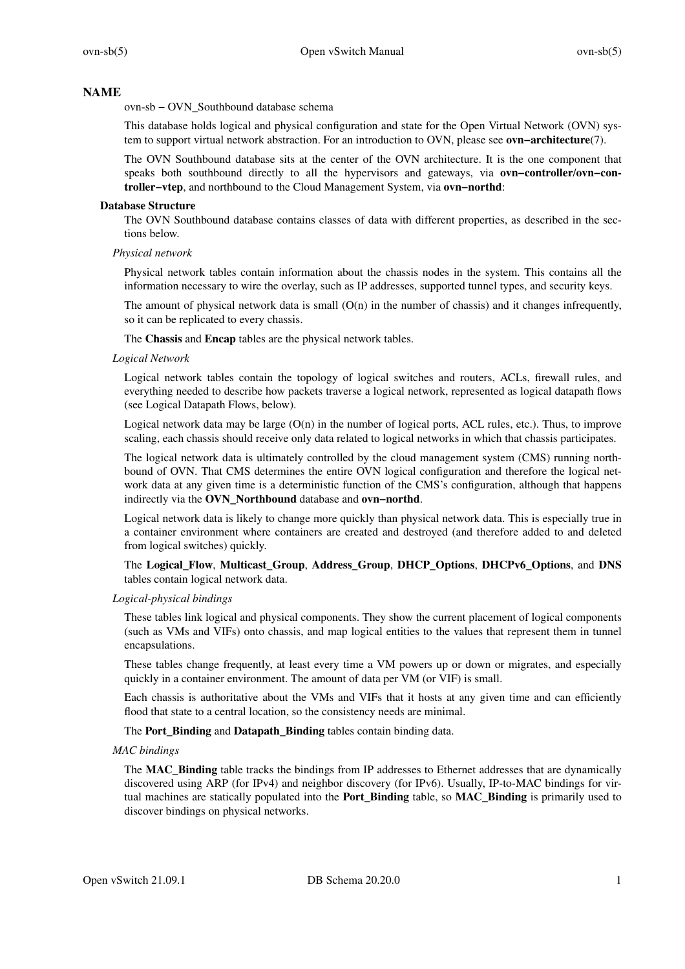### **NAME**

ovn-sb − OVN\_Southbound database schema

This database holds logical and physical configuration and state for the Open Virtual Network (OVN) system to support virtual network abstraction. For an introduction to OVN, please see **ovn−architecture**(7).

The OVN Southbound database sits at the center of the OVN architecture. It is the one component that speaks both southbound directly to all the hypervisors and gateways, via **ovn−controller**/**ovn−controller−vtep**, and northbound to the Cloud Management System, via **ovn−northd**:

#### **Database Structure**

The OVN Southbound database contains classes of data with different properties, as described in the sections below.

#### *Physical network*

Physical network tables contain information about the chassis nodes in the system. This contains all the information necessary to wire the overlay, such as IP addresses, supported tunnel types, and security keys.

The amount of physical network data is small  $(O(n)$  in the number of chassis) and it changes infrequently, so it can be replicated to every chassis.

The **Chassis** and **Encap** tables are the physical network tables.

#### *Logical Network*

Logical network tables contain the topology of logical switches and routers, ACLs, firewall rules, and everything needed to describe how packets traverse a logical network, represented as logical datapath flows (see Logical Datapath Flows, below).

Logical network data may be large  $(O(n)$  in the number of logical ports, ACL rules, etc.). Thus, to improve scaling, each chassis should receive only data related to logical networks in which that chassis participates.

The logical network data is ultimately controlled by the cloud management system (CMS) running northbound of OVN. That CMS determines the entire OVN logical configuration and therefore the logical network data at any given time is a deterministic function of the CMS's configuration, although that happens indirectly via the **OVN\_Northbound** database and **ovn−northd**.

Logical network data is likely to change more quickly than physical network data. This is especially true in a container environment where containers are created and destroyed (and therefore added to and deleted from logical switches) quickly.

### The **Logical\_Flow**, **Multicast\_Group**, **Address\_Group**, **DHCP\_Options**, **DHCPv6\_Options**, and **DNS** tables contain logical network data.

### *Logical-physical bindings*

These tables link logical and physical components. They show the current placement of logical components (such as VMs and VIFs) onto chassis, and map logical entities to the values that represent them in tunnel encapsulations.

These tables change frequently, at least every time a VM powers up or down or migrates, and especially quickly in a container environment. The amount of data per VM (or VIF) is small.

Each chassis is authoritative about the VMs and VIFs that it hosts at any given time and can efficiently flood that state to a central location, so the consistency needs are minimal.

The **Port\_Binding** and **Datapath\_Binding** tables contain binding data.

### *MAC bindings*

The **MAC\_Binding** table tracks the bindings from IP addresses to Ethernet addresses that are dynamically discovered using ARP (for IPv4) and neighbor discovery (for IPv6). Usually, IP-to-MAC bindings for virtual machines are statically populated into the **Port\_Binding** table, so **MAC\_Binding** is primarily used to discover bindings on physical networks.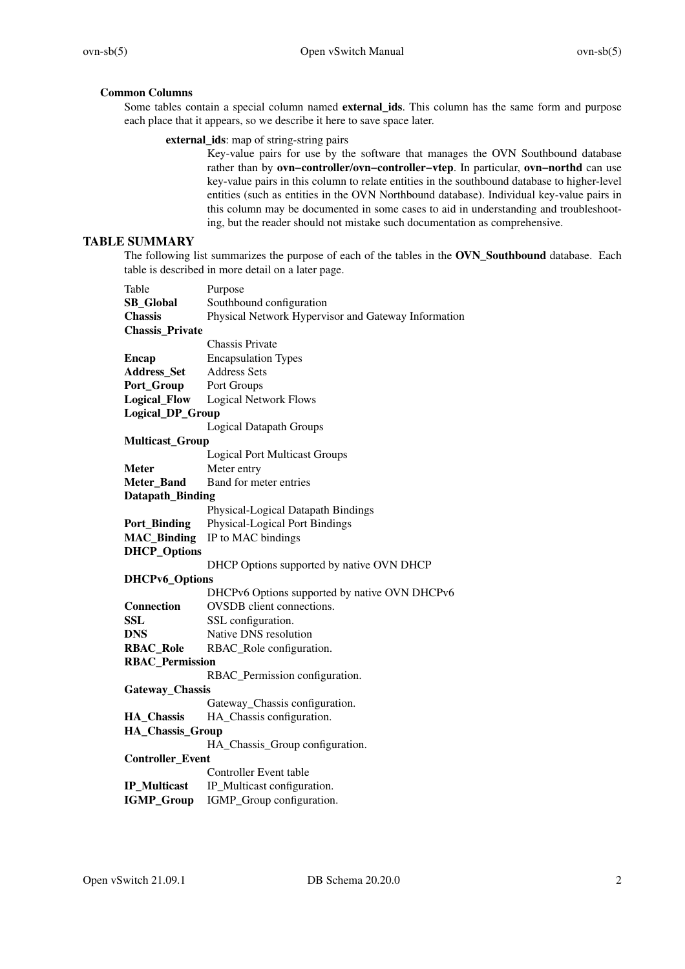# **Common Columns**

Some tables contain a special column named **external\_ids**. This column has the same form and purpose each place that it appears, so we describe it here to save space later.

# **external\_ids**: map of string-string pairs

Key-value pairs for use by the software that manages the OVN Southbound database rather than by **ovn−controller**/**ovn−controller−vtep**. In particular, **ovn−northd** can use key-value pairs in this column to relate entities in the southbound database to higher-level entities (such as entities in the OVN Northbound database). Individual key-value pairs in this column may be documented in some cases to aid in understanding and troubleshooting, but the reader should not mistake such documentation as comprehensive.

# **TABLE SUMMARY**

The following list summarizes the purpose of each of the tables in the **OVN\_Southbound** database. Each table is described in more detail on a later page.

| Table                   | Purpose                                             |  |
|-------------------------|-----------------------------------------------------|--|
| <b>SB_Global</b>        | Southbound configuration                            |  |
| <b>Chassis</b>          | Physical Network Hypervisor and Gateway Information |  |
| <b>Chassis_Private</b>  |                                                     |  |
|                         | <b>Chassis Private</b>                              |  |
| <b>Encap</b>            | <b>Encapsulation Types</b>                          |  |
| Address_Set             | <b>Address Sets</b>                                 |  |
| Port_Group              | Port Groups                                         |  |
| <b>Logical_Flow</b>     | <b>Logical Network Flows</b>                        |  |
| <b>Logical_DP_Group</b> |                                                     |  |
|                         | <b>Logical Datapath Groups</b>                      |  |
| <b>Multicast_Group</b>  |                                                     |  |
|                         | <b>Logical Port Multicast Groups</b>                |  |
| <b>Meter</b>            | Meter entry                                         |  |
| Meter_Band              | Band for meter entries                              |  |
| Datapath_Binding        |                                                     |  |
|                         | Physical-Logical Datapath Bindings                  |  |
| <b>Port_Binding</b>     | Physical-Logical Port Bindings                      |  |
| <b>MAC_Binding</b>      | IP to MAC bindings                                  |  |
| <b>DHCP_Options</b>     |                                                     |  |
|                         | DHCP Options supported by native OVN DHCP           |  |
| DHCPv6_Options          |                                                     |  |
|                         | DHCPv6 Options supported by native OVN DHCPv6       |  |
| <b>Connection</b>       | OVSDB client connections.                           |  |
| <b>SSL</b>              | SSL configuration.                                  |  |
| <b>DNS</b>              | Native DNS resolution                               |  |
| <b>RBAC_Role</b>        | RBAC_Role configuration.                            |  |
| <b>RBAC_Permission</b>  |                                                     |  |
|                         | RBAC_Permission configuration.                      |  |
| Gateway_Chassis         |                                                     |  |
|                         | Gateway_Chassis configuration.                      |  |
| <b>HA_Chassis</b>       | HA_Chassis configuration.                           |  |
| HA_Chassis_Group        |                                                     |  |
|                         | HA_Chassis_Group configuration.                     |  |
| <b>Controller_Event</b> |                                                     |  |
|                         | <b>Controller Event table</b>                       |  |
| <b>IP_Multicast</b>     | IP_Multicast configuration.                         |  |
| <b>IGMP_Group</b>       | IGMP_Group configuration.                           |  |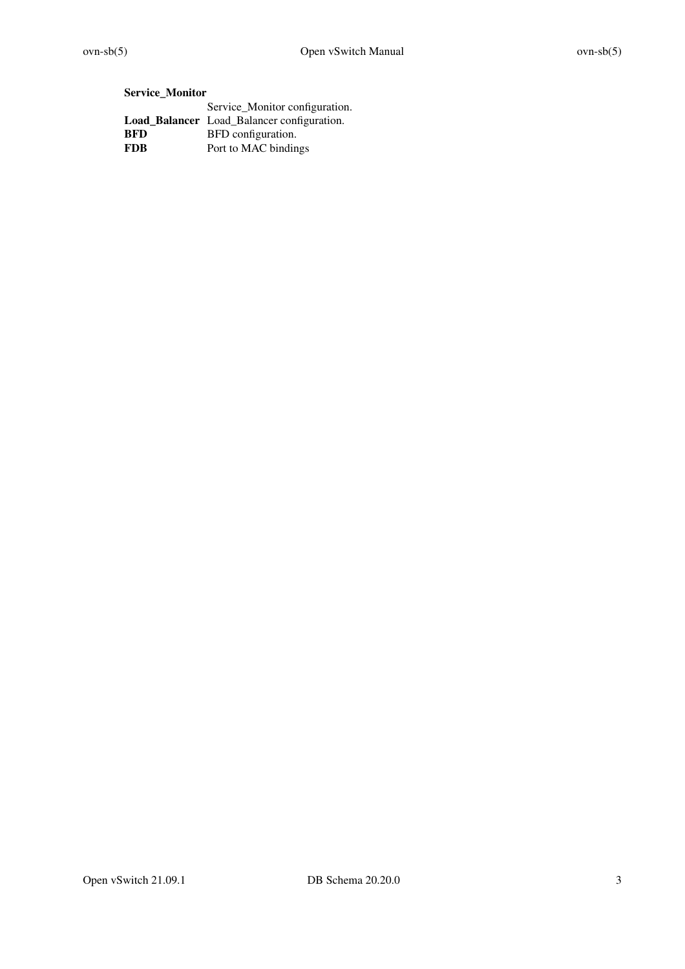# **Service\_Monitor**

|      | Service_Monitor configuration.                    |
|------|---------------------------------------------------|
|      | <b>Load_Balancer</b> Load_Balancer configuration. |
| BFD  | BFD configuration.                                |
| FDB. | Port to MAC bindings                              |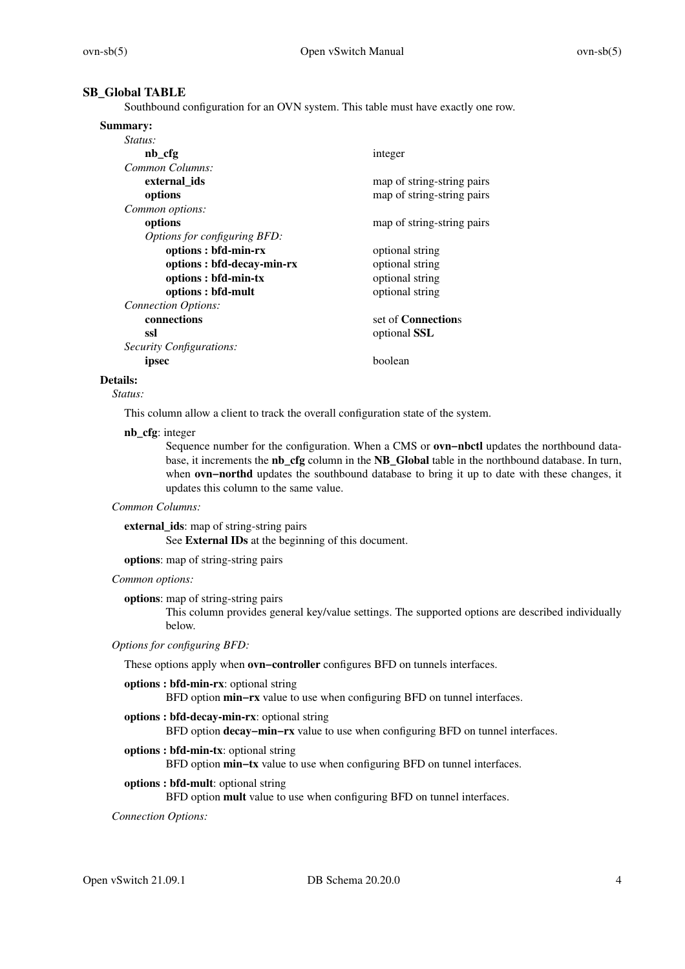### **SB\_Global TABLE**

Southbound configuration for an OVN system. This table must have exactly one row.

| Summary:                     |                            |
|------------------------------|----------------------------|
| <i>Status:</i>               |                            |
| nb_cfg                       | integer                    |
| Common Columns:              |                            |
| external ids                 | map of string-string pairs |
| options                      | map of string-string pairs |
| Common options:              |                            |
| options                      | map of string-string pairs |
| Options for configuring BFD: |                            |
| options : bfd-min-rx         | optional string            |
| options : bfd-decay-min-rx   | optional string            |
| options : bfd-min-tx         | optional string            |
| options : bfd-mult           | optional string            |
| <b>Connection Options:</b>   |                            |
| connections                  | set of <b>Connections</b>  |
| ssl                          | optional SSL               |
| Security Configurations:     |                            |
| ipsec                        | boolean                    |
|                              |                            |

#### **Details:**

*Status:*

This column allow a client to track the overall configuration state of the system.

#### **nb\_cfg**: integer

Sequence number for the configuration. When a CMS or **ovn−nbctl** updates the northbound database, it increments the **nb\_cfg** column in the **NB\_Global** table in the northbound database. In turn, when **ovn−northd** updates the southbound database to bring it up to date with these changes, it updates this column to the same value.

### *Common Columns:*

**external\_ids**: map of string-string pairs

See **External IDs** at the beginning of this document.

**options**: map of string-string pairs

### *Common options:*

**options**: map of string-string pairs

This column provides general key/value settings. The supported options are described individually below.

### *Options for configuring BFD:*

These options apply when **ovn−controller** configures BFD on tunnels interfaces.

### **options : bfd-min-rx**: optional string

BFD option **min–rx** value to use when configuring BFD on tunnel interfaces.

#### **options : bfd-decay-min-rx**: optional string

BFD option **decay–min–rx** value to use when configuring BFD on tunnel interfaces.

### **options : bfd-min-tx**: optional string

BFD option **min–tx** value to use when configuring BFD on tunnel interfaces.

#### **options : bfd-mult**: optional string

BFD option **mult** value to use when configuring BFD on tunnel interfaces.

### *Connection Options:*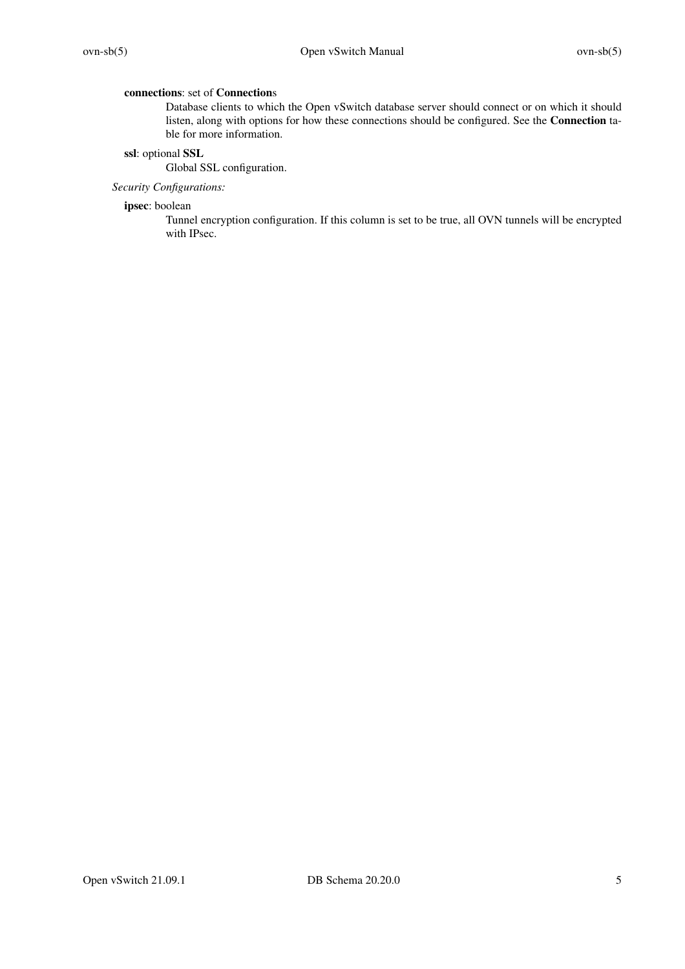### **connections**: set of **Connection**s

Database clients to which the Open vSwitch database server should connect or on which it should listen, along with options for how these connections should be configured. See the **Connection** table for more information.

### **ssl**: optional **SSL**

Global SSL configuration.

# *Security Configurations:*

### **ipsec**: boolean

Tunnel encryption configuration. If this column is set to be true, all OVN tunnels will be encrypted with IPsec.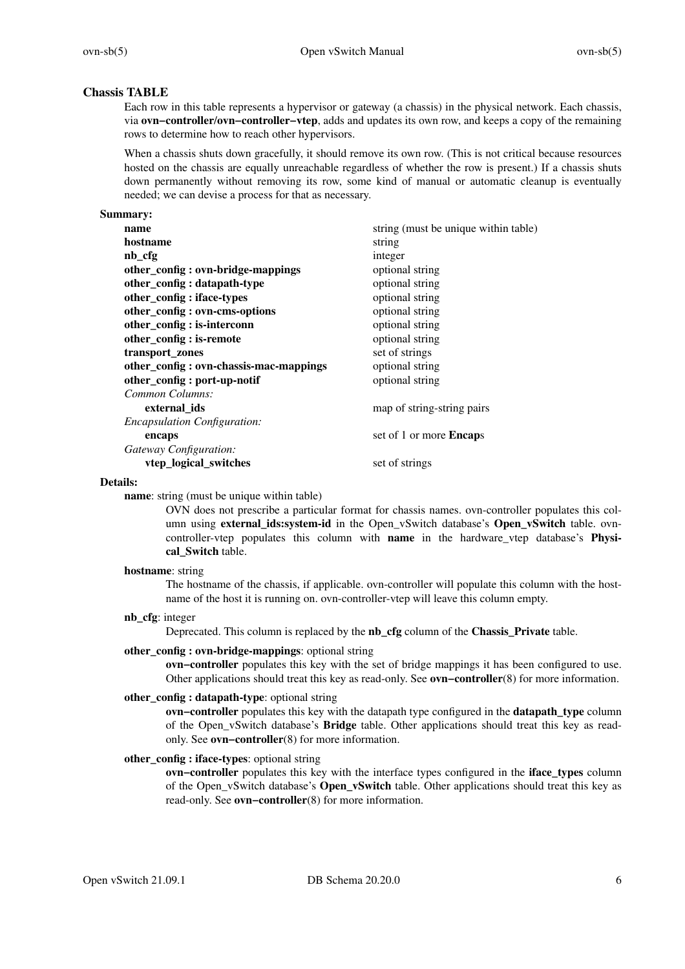# **Chassis TABLE**

Each row in this table represents a hypervisor or gateway (a chassis) in the physical network. Each chassis, via **ovn−controller**/**ovn−controller−vtep**, adds and updates its own row, and keeps a copy of the remaining rows to determine how to reach other hypervisors.

When a chassis shuts down gracefully, it should remove its own row. (This is not critical because resources hosted on the chassis are equally unreachable regardless of whether the row is present.) If a chassis shuts down permanently without removing its row, some kind of manual or automatic cleanup is eventually needed; we can devise a process for that as necessary.

### **Summary:**

| name                                   | string (must be unique within table) |
|----------------------------------------|--------------------------------------|
| hostname                               | string                               |
| nb_cfg                                 | integer                              |
| other_config: ovn-bridge-mappings      | optional string                      |
| other_config: datapath-type            | optional string                      |
| other_config: iface-types              | optional string                      |
| other_config: ovn-cms-options          | optional string                      |
| other_config: is-interconn             | optional string                      |
| other_config: is-remote                | optional string                      |
| transport_zones                        | set of strings                       |
| other_config: ovn-chassis-mac-mappings | optional string                      |
| other_config: port-up-notif            | optional string                      |
| Common Columns:                        |                                      |
| external ids                           | map of string-string pairs           |
| <b>Encapsulation Configuration:</b>    |                                      |
| encaps                                 | set of 1 or more <b>Encaps</b>       |
| Gateway Configuration:                 |                                      |
| vtep_logical_switches                  | set of strings                       |
|                                        |                                      |

#### **Details:**

**name**: string (must be unique within table)

OVN does not prescribe a particular format for chassis names. ovn-controller populates this column using **external\_ids:system-id** in the Open\_vSwitch database's **Open\_vSwitch** table. ovncontroller-vtep populates this column with **name** in the hardware\_vtep database's **Physical\_Switch** table.

### **hostname**: string

The hostname of the chassis, if applicable. ovn-controller will populate this column with the hostname of the host it is running on. ovn-controller-vtep will leave this column empty.

#### **nb\_cfg**: integer

Deprecated. This column is replaced by the **nb\_cfg** column of the **Chassis\_Private** table.

### **other\_config : ovn-bridge-mappings**: optional string

**ovn−controller** populates this key with the set of bridge mappings it has been configured to use. Other applications should treat this key as read-only. See **ovn−controller**(8) for more information.

# **other\_config : datapath-type**: optional string

**ovn−controller** populates this key with the datapath type configured in the **datapath\_type** column of the Open\_vSwitch database's **Bridge** table. Other applications should treat this key as readonly. See **ovn−controller**(8) for more information.

# **other\_config : iface-types**: optional string

**ovn−controller** populates this key with the interface types configured in the **iface\_types** column of the Open\_vSwitch database's **Open\_vSwitch** table. Other applications should treat this key as read-only. See **ovn−controller**(8) for more information.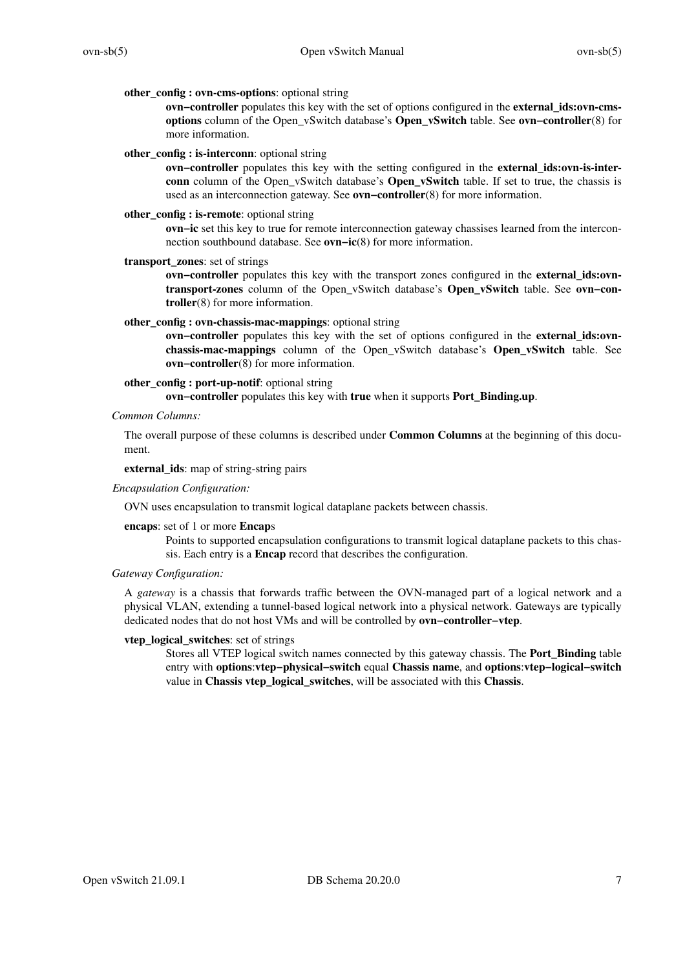### **other\_config : ovn-cms-options**: optional string

**ovn−controller** populates this key with the set of options configured in the **external\_ids:ovn-cmsoptions** column of the Open\_vSwitch database's **Open\_vSwitch** table. See **ovn−controller**(8) for more information.

#### **other** config : is-interconn: optional string

**ovn−controller** populates this key with the setting configured in the **external\_ids:ovn-is-interconn** column of the Open vSwitch database's **Open vSwitch** table. If set to true, the chassis is used as an interconnection gateway. See **ovn−controller**(8) for more information.

#### **other\_config : is-remote**: optional string

**ovn−ic** set this key to true for remote interconnection gateway chassises learned from the interconnection southbound database. See **ovn−ic**(8) for more information.

### **transport\_zones**: set of strings

**ovn–controller** populates this key with the transport zones configured in the **external ids:ovntransport-zones** column of the Open\_vSwitch database's **Open\_vSwitch** table. See **ovn−controller**(8) for more information.

#### **other\_config : ovn-chassis-mac-mappings**: optional string

**ovn–controller** populates this key with the set of options configured in the **external ids:ovnchassis-mac-mappings** column of the Open\_vSwitch database's **Open\_vSwitch** table. See **ovn−controller**(8) for more information.

### **other\_config : port-up-notif**: optional string

**ovn−controller** populates this key with **true** when it supports **Port\_Binding.up**.

### *Common Columns:*

The overall purpose of these columns is described under **Common Columns** at the beginning of this document.

### **external\_ids**: map of string-string pairs

### *Encapsulation Configuration:*

OVN uses encapsulation to transmit logical dataplane packets between chassis.

#### **encaps**: set of 1 or more **Encap**s

Points to supported encapsulation configurations to transmit logical dataplane packets to this chassis. Each entry is a **Encap** record that describes the configuration.

### *Gateway Configuration:*

A *gateway* is a chassis that forwards traffic between the OVN-managed part of a logical network and a physical VLAN, extending a tunnel-based logical network into a physical network. Gateways are typically dedicated nodes that do not host VMs and will be controlled by **ovn−controller−vtep**.

### **vtep\_logical\_switches**: set of strings

Stores all VTEP logical switch names connected by this gateway chassis. The **Port\_Binding** table entry with **options**:**vtep−physical−switch** equal **Chassis name**, and **options**:**vtep−logical−switch** value in **Chassis vtep\_logical\_switches**, will be associated with this **Chassis**.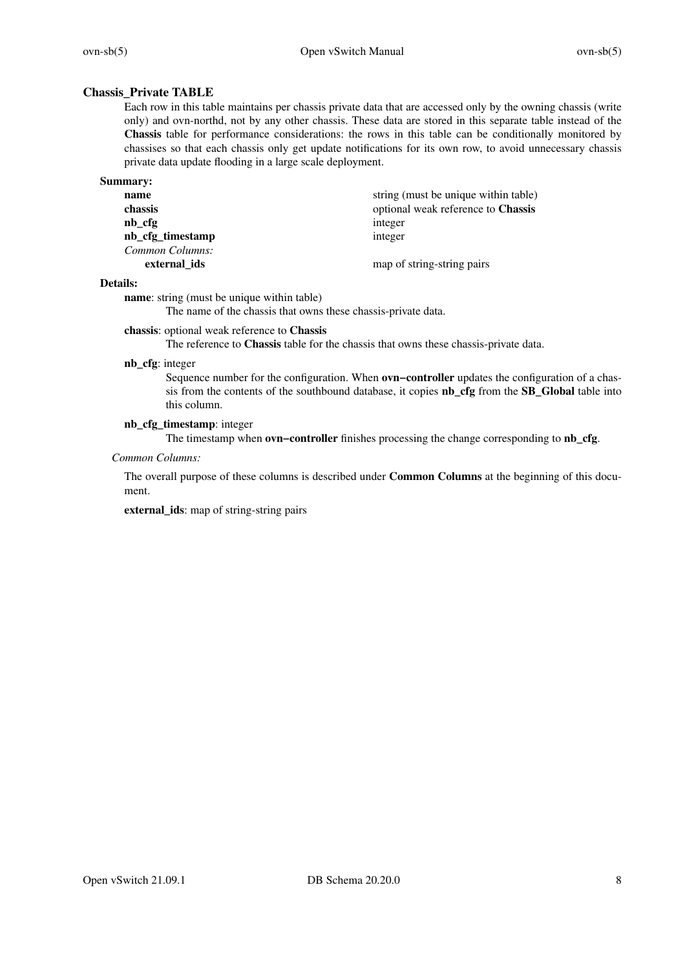# **Chassis\_Private TABLE**

Each row in this table maintains per chassis private data that are accessed only by the owning chassis (write only) and ovn-northd, not by any other chassis. These data are stored in this separate table instead of the **Chassis** table for performance considerations: the rows in this table can be conditionally monitored by chassises so that each chassis only get update notifications for its own row, to avoid unnecessary chassis private data update flooding in a large scale deployment.

### **Summary:**

| name             | string (must be unique within table) |
|------------------|--------------------------------------|
| chassis          | optional weak reference to Chassis   |
| $nb_cfg$         | integer                              |
| nb_cfg_timestamp | integer                              |
| Common Columns:  |                                      |
| external ids     | map of string-string pairs           |

#### **Details:**

**name**: string (must be unique within table)

The name of the chassis that owns these chassis-private data.

### **chassis**: optional weak reference to **Chassis**

The reference to **Chassis** table for the chassis that owns these chassis-private data.

#### **nb\_cfg**: integer

Sequence number for the configuration. When **ovn−controller** updates the configuration of a chassis from the contents of the southbound database, it copies **nb\_cfg** from the **SB\_Global** table into this column.

### **nb\_cfg\_timestamp**: integer

The timestamp when **ovn−controller** finishes processing the change corresponding to **nb\_cfg**.

### *Common Columns:*

The overall purpose of these columns is described under **Common Columns** at the beginning of this document.

**external\_ids**: map of string-string pairs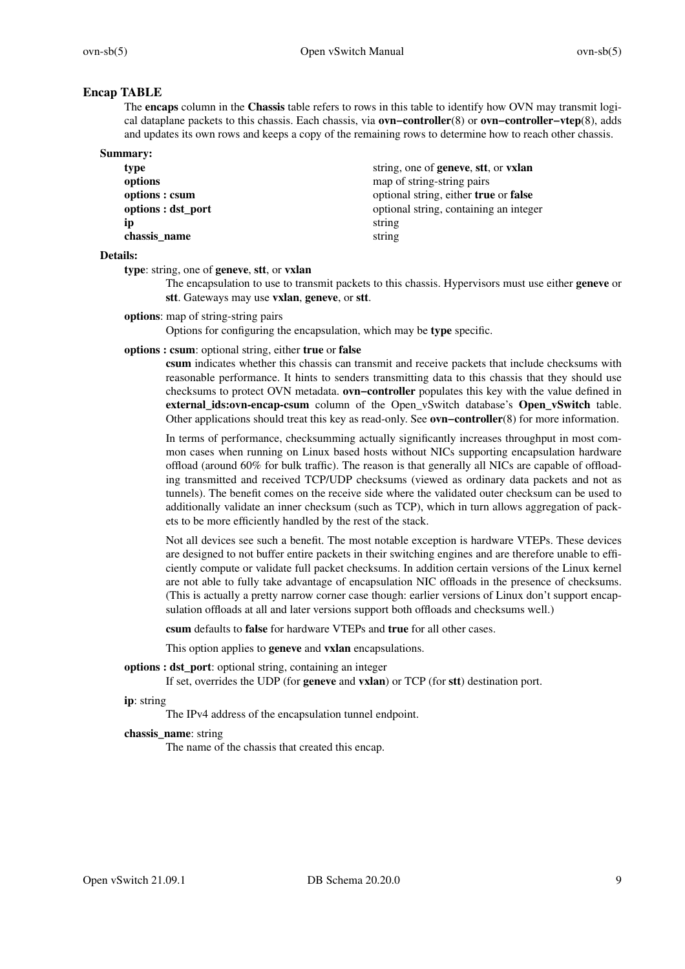# **Encap TABLE**

The **encaps** column in the **Chassis** table refers to rows in this table to identify how OVN may transmit logical dataplane packets to this chassis. Each chassis, via **ovn−controller**(8) or **ovn−controller−vtep**(8), adds and updates its own rows and keeps a copy of the remaining rows to determine how to reach other chassis.

| <b>Summary:</b>    |                                              |
|--------------------|----------------------------------------------|
| type               | string, one of <b>geneve</b> , stt, or vxlan |
| options            | map of string-string pairs                   |
| options : csum     | optional string, either true or false        |
| options : dst_port | optional string, containing an integer       |
| Ìр                 | string                                       |
| chassis name       | string                                       |

### **Details:**

**type**: string, one of **geneve**, **stt**, or **vxlan**

The encapsulation to use to transmit packets to this chassis. Hypervisors must use either **geneve** or **stt**. Gateways may use **vxlan**, **geneve**, or **stt**.

**options**: map of string-string pairs

Options for configuring the encapsulation, which may be **type** specific.

**options : csum**: optional string, either **true** or **false**

**csum** indicates whether this chassis can transmit and receive packets that include checksums with reasonable performance. It hints to senders transmitting data to this chassis that they should use checksums to protect OVN metadata. **ovn−controller** populates this key with the value defined in **external\_ids:ovn-encap-csum** column of the Open\_vSwitch database's **Open\_vSwitch** table. Other applications should treat this key as read-only. See **ovn−controller**(8) for more information.

In terms of performance, checksumming actually significantly increases throughput in most common cases when running on Linux based hosts without NICs supporting encapsulation hardware offload (around 60% for bulk traffic). The reason is that generally all NICs are capable of offloading transmitted and received TCP/UDP checksums (viewed as ordinary data packets and not as tunnels). The benefit comes on the receive side where the validated outer checksum can be used to additionally validate an inner checksum (such as TCP), which in turn allows aggregation of packets to be more efficiently handled by the rest of the stack.

Not all devices see such a benefit. The most notable exception is hardware VTEPs. These devices are designed to not buffer entire packets in their switching engines and are therefore unable to efficiently compute or validate full packet checksums. In addition certain versions of the Linux kernel are not able to fully take advantage of encapsulation NIC offloads in the presence of checksums. (This is actually a pretty narrow corner case though: earlier versions of Linux don't support encapsulation offloads at all and later versions support both offloads and checksums well.)

**csum** defaults to **false** for hardware VTEPs and **true** for all other cases.

This option applies to **geneve** and **vxlan** encapsulations.

**options : dst\_port**: optional string, containing an integer

If set, overrides the UDP (for **geneve** and **vxlan**) or TCP (for **stt**) destination port.

**ip**: string

The IPv4 address of the encapsulation tunnel endpoint.

### **chassis\_name**: string

The name of the chassis that created this encap.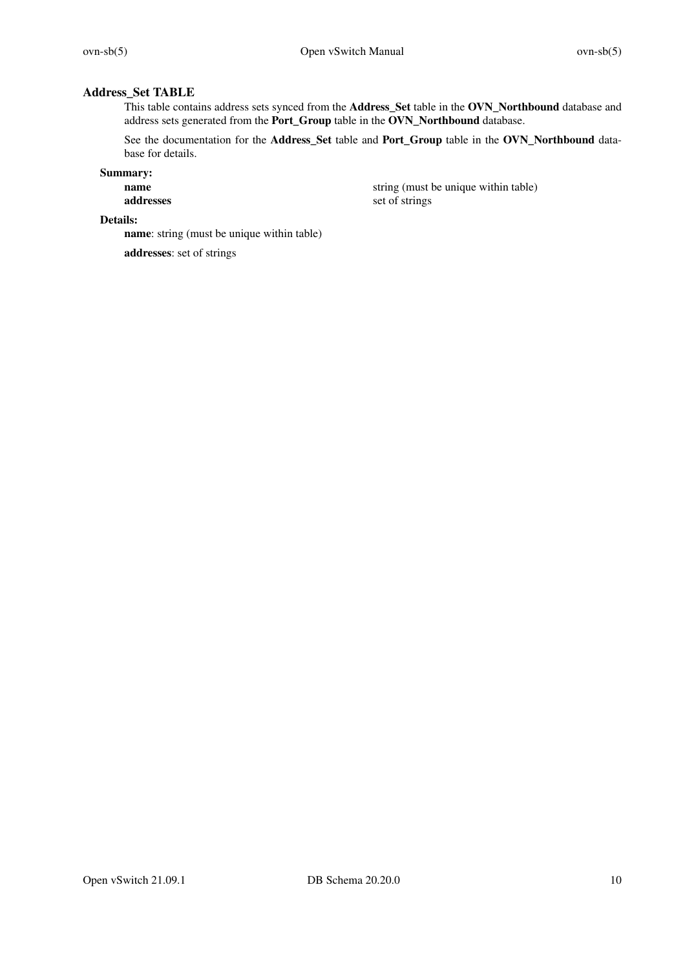# **Address\_Set TABLE**

This table contains address sets synced from the **Address\_Set** table in the **OVN\_Northbound** database and address sets generated from the **Port\_Group** table in the **OVN\_Northbound** database.

See the documentation for the **Address\_Set** table and **Port\_Group** table in the **OVN\_Northbound** database for details.

**Summary:**

**name** string (must be unique within table) **addresses** set of strings

**Details:**

**name**: string (must be unique within table)

**addresses**: set of strings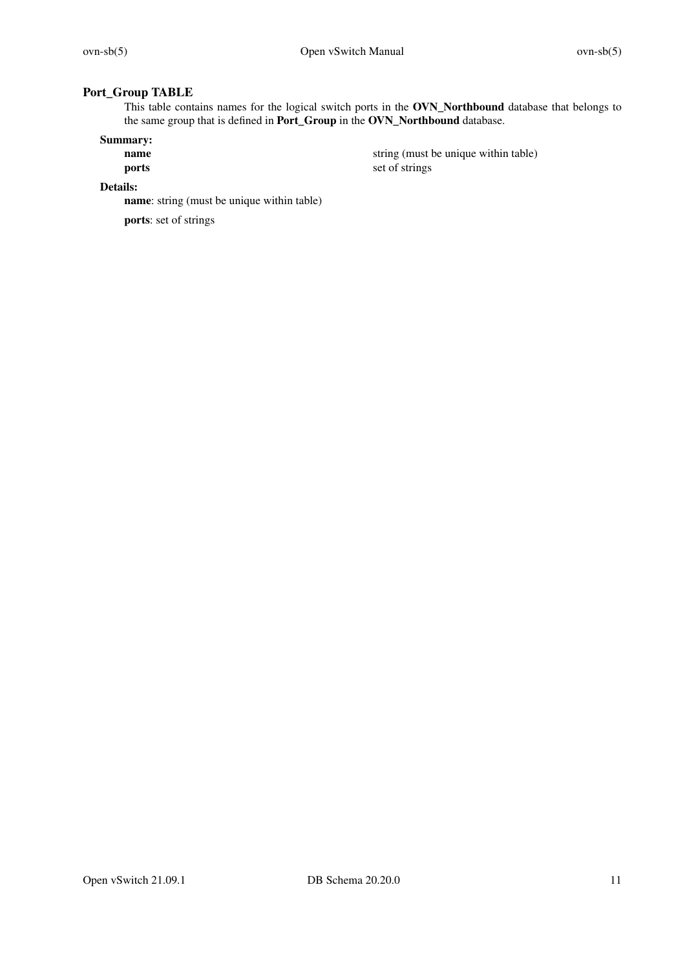# **Port\_Group TABLE**

This table contains names for the logical switch ports in the **OVN\_Northbound** database that belongs to the same group that is defined in **Port\_Group** in the **OVN\_Northbound** database.

# **Summary:**

string (must be unique within table) **ports** set of strings

# **Details:**

**name**: string (must be unique within table)

**ports**: set of strings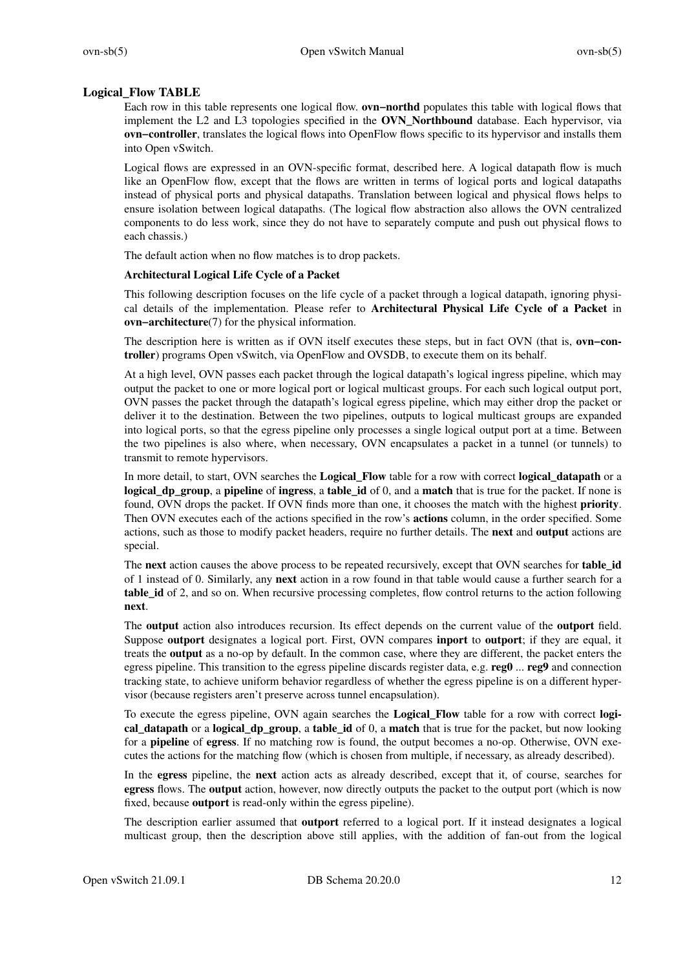### **Logical\_Flow TABLE**

Each row in this table represents one logical flow. **ovn−northd** populates this table with logical flows that implement the L2 and L3 topologies specified in the **OVN\_Northbound** database. Each hypervisor, via **ovn−controller**, translates the logical flows into OpenFlow flows specific to its hypervisor and installs them into Open vSwitch.

Logical flows are expressed in an OVN-specific format, described here. A logical datapath flow is much like an OpenFlow flow, except that the flows are written in terms of logical ports and logical datapaths instead of physical ports and physical datapaths. Translation between logical and physical flows helps to ensure isolation between logical datapaths. (The logical flow abstraction also allows the OVN centralized components to do less work, since they do not have to separately compute and push out physical flows to each chassis.)

The default action when no flow matches is to drop packets.

### **Architectural Logical Life Cycle of a Packet**

This following description focuses on the life cycle of a packet through a logical datapath, ignoring physical details of the implementation. Please refer to **Architectural Physical Life Cycle of a Packet** in **ovn−architecture**(7) for the physical information.

The description here is written as if OVN itself executes these steps, but in fact OVN (that is, **ovn−controller**) programs Open vSwitch, via OpenFlow and OVSDB, to execute them on its behalf.

At a high level, OVN passes each packet through the logical datapath's logical ingress pipeline, which may output the packet to one or more logical port or logical multicast groups. For each such logical output port, OVN passes the packet through the datapath's logical egress pipeline, which may either drop the packet or deliver it to the destination. Between the two pipelines, outputs to logical multicast groups are expanded into logical ports, so that the egress pipeline only processes a single logical output port at a time. Between the two pipelines is also where, when necessary, OVN encapsulates a packet in a tunnel (or tunnels) to transmit to remote hypervisors.

In more detail, to start, OVN searches the **Logical\_Flow** table for a row with correct **logical\_datapath** or a **logical\_dp\_group**, a **pipeline** of **ingress**, a **table\_id** of 0, and a **match** that is true for the packet. If none is found, OVN drops the packet. If OVN finds more than one, it chooses the match with the highest **priority**. Then OVN executes each of the actions specified in the row's **actions** column, in the order specified. Some actions, such as those to modify packet headers, require no further details. The **next** and **output** actions are special.

The **next** action causes the above process to be repeated recursively, except that OVN searches for **table\_id** of 1 instead of 0. Similarly, any **next** action in a row found in that table would cause a further search for a **table id** of 2, and so on. When recursive processing completes, flow control returns to the action following **next**.

The **output** action also introduces recursion. Its effect depends on the current value of the **outport** field. Suppose **outport** designates a logical port. First, OVN compares **inport** to **outport**; if they are equal, it treats the **output** as a no-op by default. In the common case, where they are different, the packet enters the egress pipeline. This transition to the egress pipeline discards register data, e.g. **reg0** ... **reg9** and connection tracking state, to achieve uniform behavior regardless of whether the egress pipeline is on a different hypervisor (because registers aren't preserve across tunnel encapsulation).

To execute the egress pipeline, OVN again searches the **Logical\_Flow** table for a row with correct **logical datapath** or a **logical dp** group, a **table id** of 0, a **match** that is true for the packet, but now looking for a **pipeline** of **egress**. If no matching row is found, the output becomes a no-op. Otherwise, OVN executes the actions for the matching flow (which is chosen from multiple, if necessary, as already described).

In the **egress** pipeline, the **next** action acts as already described, except that it, of course, searches for **egress** flows. The **output** action, however, now directly outputs the packet to the output port (which is now fixed, because **outport** is read-only within the egress pipeline).

The description earlier assumed that **outport** referred to a logical port. If it instead designates a logical multicast group, then the description above still applies, with the addition of fan-out from the logical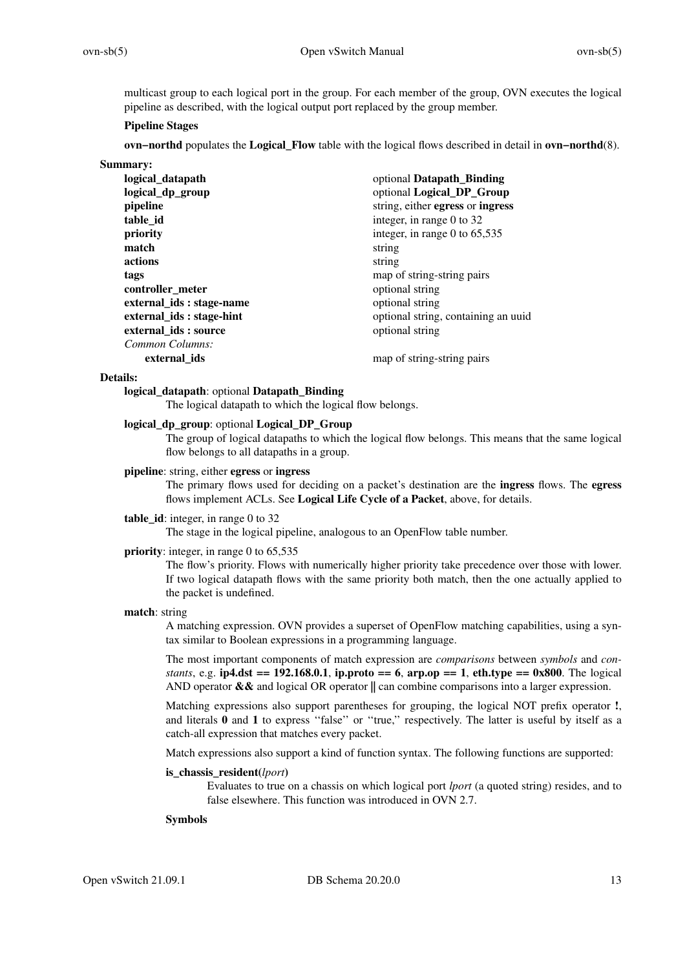multicast group to each logical port in the group. For each member of the group, OVN executes the logical pipeline as described, with the logical output port replaced by the group member.

### **Pipeline Stages**

**ovn−northd** populates the **Logical\_Flow** table with the logical flows described in detail in **ovn−northd**(8).

| Summary: |  |
|----------|--|
|          |  |

| logical_datapath          | optional Datapath_Binding           |
|---------------------------|-------------------------------------|
| logical_dp_group          | optional Logical_DP_Group           |
| pipeline                  | string, either egress or ingress    |
| table id                  | integer, in range 0 to 32           |
| priority                  | integer, in range 0 to $65,535$     |
| match                     | string                              |
| actions                   | string                              |
| tags                      | map of string-string pairs          |
| controller_meter          | optional string                     |
| external ids : stage-name | optional string                     |
| external_ids: stage-hint  | optional string, containing an uuid |
| external_ids: source      | optional string                     |
| Common Columns:           |                                     |
| external ids              | map of string-string pairs          |

#### **Details:**

### **logical\_datapath**: optional **Datapath\_Binding**

The logical datapath to which the logical flow belongs.

# **logical\_dp\_group**: optional **Logical\_DP\_Group**

The group of logical datapaths to which the logical flow belongs. This means that the same logical flow belongs to all datapaths in a group.

### **pipeline**: string, either **egress** or **ingress**

The primary flows used for deciding on a packet's destination are the **ingress** flows. The **egress** flows implement ACLs. See **Logical Life Cycle of a Packet**, above, for details.

### **table\_id**: integer, in range 0 to 32

The stage in the logical pipeline, analogous to an OpenFlow table number.

### **priority**: integer, in range 0 to 65,535

The flow's priority. Flows with numerically higher priority take precedence over those with lower. If two logical datapath flows with the same priority both match, then the one actually applied to the packet is undefined.

### **match**: string

A matching expression. OVN provides a superset of OpenFlow matching capabilities, using a syntax similar to Boolean expressions in a programming language.

The most important components of match expression are *comparisons* between *symbols* and *constants*, e.g. **ip4.dst == 192.168.0.1**, **ip.proto == 6**,  $\text{arp.op}$  == 1,  $\text{eth.type}$  ==  $\text{0x800}$ . The logical AND operator **&&** and logical OR operator **||** can combine comparisons into a larger expression.

Matching expressions also support parentheses for grouping, the logical NOT prefix operator **!**, and literals **0** and **1** to express ''false'' or ''true,'' respectively. The latter is useful by itself as a catch-all expression that matches every packet.

Match expressions also support a kind of function syntax. The following functions are supported:

### **is\_chassis\_resident(***lport***)**

Evaluates to true on a chassis on which logical port *lport* (a quoted string) resides, and to false elsewhere. This function was introduced in OVN 2.7.

#### **Symbols**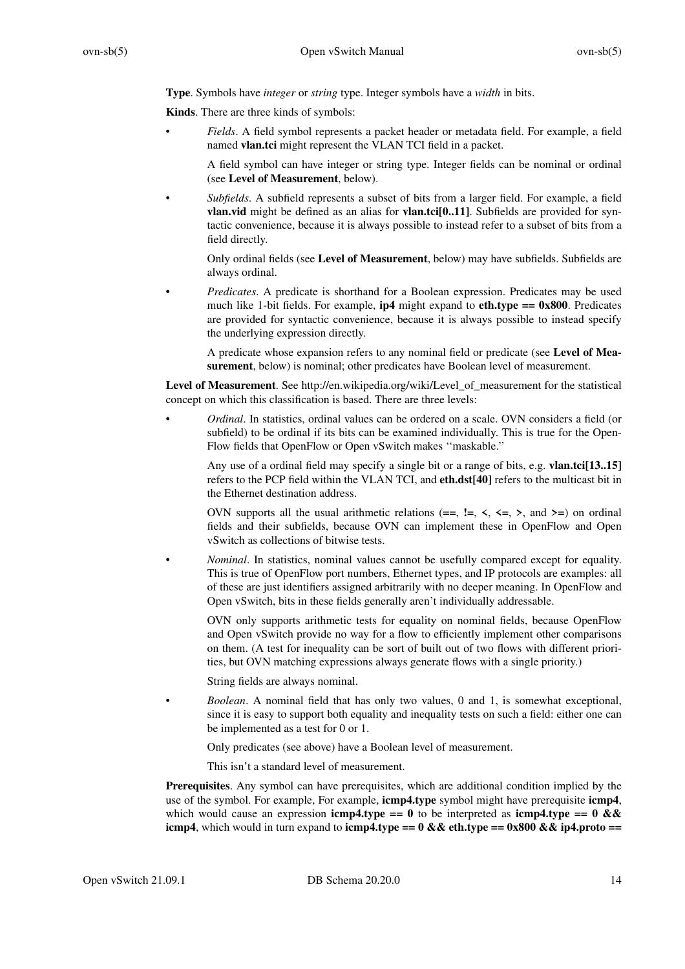**Type**. Symbols have *integer* or *string* type. Integer symbols have a *width* in bits.

**Kinds**. There are three kinds of symbols:

• *Fields*.Afield symbol represents a packet header or metadata field. For example, a field named **vlan.tci** might represent the VLAN TCI field in a packet.

A field symbol can have integer or string type. Integer fields can be nominal or ordinal (see **Level of Measurement**, below).

• *Subfields*.Asubfield represents a subset of bits from a larger field. For example, a field **vlan.vid** might be defined as an alias for **vlan.tci[0..11]**. Subfields are provided for syntactic convenience, because it is always possible to instead refer to a subset of bits from a field directly.

Only ordinal fields (see **Level of Measurement**, below) may have subfields. Subfields are always ordinal.

*Predicates*. A predicate is shorthand for a Boolean expression. Predicates may be used much like 1-bit fields. For example,  $ip4$  might expand to  $eth.type == 0x800$ . Predicates are provided for syntactic convenience, because it is always possible to instead specify the underlying expression directly.

A predicate whose expansion refers to any nominal field or predicate (see **Level of Measurement**, below) is nominal; other predicates have Boolean level of measurement.

Level of Measurement. See http://en.wikipedia.org/wiki/Level of measurement for the statistical concept on which this classification is based. There are three levels:

• *Ordinal*. In statistics, ordinal values can be ordered on a scale. OVN considers a field (or subfield) to be ordinal if its bits can be examined individually. This is true for the Open-Flow fields that OpenFlow or Open vSwitch makes ''maskable.''

Any use of a ordinal field may specify a single bit or a range of bits, e.g. **vlan.tci[13..15]** refers to the PCP field within the VLAN TCI, and **eth.dst[40]** refers to the multicast bit in the Ethernet destination address.

OVN supports all the usual arithmetic relations  $(==, !=, <, <=, >,$  and  $>=)$  on ordinal fields and their subfields, because OVN can implement these in OpenFlow and Open vSwitch as collections of bitwise tests.

• *Nominal*. In statistics, nominal values cannot be usefully compared except for equality. This is true of OpenFlow port numbers, Ethernet types, and IP protocols are examples: all of these are just identifiers assigned arbitrarily with no deeper meaning. In OpenFlow and Open vSwitch, bits in these fields generally aren't individually addressable.

OVN only supports arithmetic tests for equality on nominal fields, because OpenFlow and Open vSwitch provide no way for a flow to efficiently implement other comparisons on them. (A test for inequality can be sort of built out of two flows with different priorities, but OVN matching expressions always generate flows with a single priority.)

String fields are always nominal.

• *Boolean*.Anominal field that has only two values, 0 and 1, is somewhat exceptional, since it is easy to support both equality and inequality tests on such a field: either one can be implemented as a test for 0 or 1.

Only predicates (see above) have a Boolean level of measurement.

This isn't a standard level of measurement.

**Prerequisites**. Any symbol can have prerequisites, which are additional condition implied by the use of the symbol. For example, For example, **icmp4.type** symbol might have prerequisite **icmp4**, which would cause an expression **icmp4.type == 0** to be interpreted as **icmp4.type == 0 && icmp4**, which would in turn expand to **icmp4.type == 0 && eth.type == 0x800 && ip4.proto ==**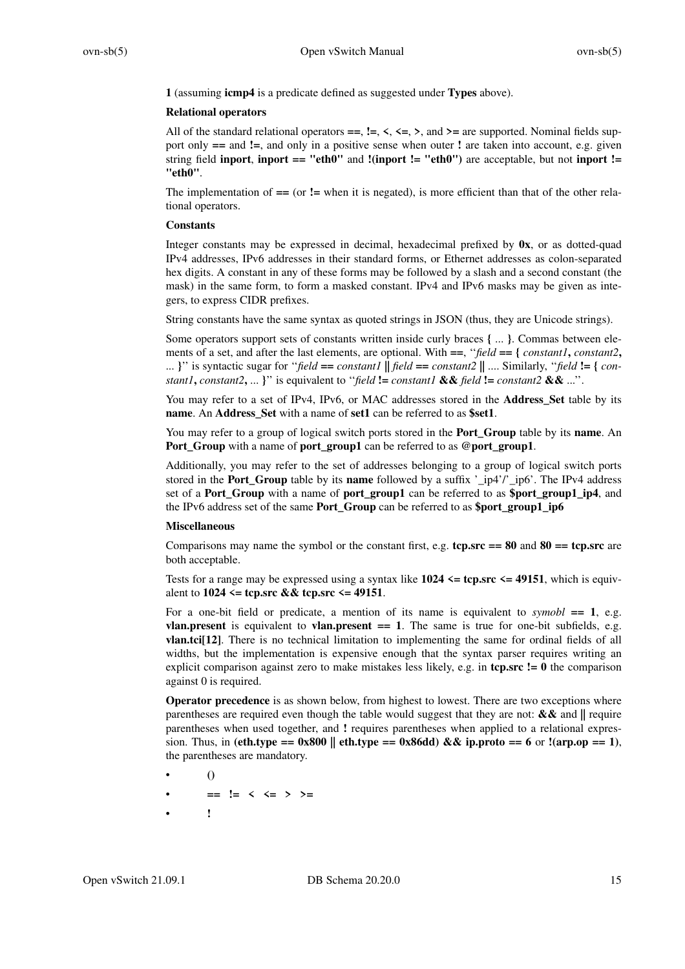**1** (assuming **icmp4** is a predicate defined as suggested under **Types** above).

### **Relational operators**

All of the standard relational operators  $==, !=, <, < =, >$ , and  $>=$  are supported. Nominal fields support only **==** and **!=**, and only in a positive sense when outer **!** are taken into account, e.g. given string field **inport**, **inport == "eth0"** and **!(inport != "eth0")** are acceptable, but not **inport != "eth0"**.

The implementation of **==** (or **!=** when it is negated), is more efficient than that of the other relational operators.

### **Constants**

Integer constants may be expressed in decimal, hexadecimal prefixed by **0x**, or as dotted-quad IPv4 addresses, IPv6 addresses in their standard forms, or Ethernet addresses as colon-separated hex digits. A constant in any of these forms may be followed by a slash and a second constant (the mask) in the same form, to form a masked constant. IPv4 and IPv6 masks may be given as integers, to express CIDR prefixes.

String constants have the same syntax as quoted strings in JSON (thus, they are Unicode strings).

Some operators support sets of constants written inside curly braces **{** ... **}**. Commas between elements of a set, and after the last elements, are optional. With **==**, ''*field* **== {** *constant1***,** *constant2***,** ... **}**'' is syntactic sugar for ''*field* **==** *constant1* **||** *field* **==** *constant2* **||** .... Similarly, ''*field* **!= {** *constant1*, *constant2*, ... **}**'' is equivalent to "*field* **!=** *constant1* && *field* **!=** *constant2* && ...''.

You may refer to a set of IPv4, IPv6, or MAC addresses stored in the **Address\_Set** table by its **name**. An **Address\_Set** with a name of **set1** can be referred to as **\$set1**.

You may refer to a group of logical switch ports stored in the **Port\_Group** table by its **name**. An **Port\_Group** with a name of **port\_group1** can be referred to as **@port\_group1**.

Additionally, you may refer to the set of addresses belonging to a group of logical switch ports stored in the **Port\_Group** table by its **name** followed by a suffix '\_ip4'/'\_ip6'. The IPv4 address set of a **Port\_Group** with a name of **port\_group1** can be referred to as **\$port\_group1\_ip4**, and the IPv6 address set of the same **Port\_Group** can be referred to as **\$port\_group1\_ip6**

### **Miscellaneous**

Comparisons may name the symbol or the constant first, e.g.  $\text{tep}.\text{src} == 80$  and  $80 = \text{tep}.\text{src}$  are both acceptable.

Tests for a range may be expressed using a syntax like  $1024 \leq \text{top.src} \leq 49151$ , which is equivalent to **1024 <= tcp.src && tcp.src <= 49151**.

For a one-bit field or predicate, a mention of its name is equivalent to  $symbol$  = 1, e.g. **vlan.present** is equivalent to **vlan.present** = 1. The same is true for one-bit subfields, e.g. **vlan.tci[12]**. There is no technical limitation to implementing the same for ordinal fields of all widths, but the implementation is expensive enough that the syntax parser requires writing an explicit comparison against zero to make mistakes less likely, e.g. in **tcp.src != 0** the comparison against 0 is required.

**Operator precedence** is as shown below, from highest to lowest. There are two exceptions where parentheses are required even though the table would suggest that they are not: **&&** and **||** require parentheses when used together, and **!** requires parentheses when applied to a relational expression. Thus, in **(eth.type == 0x800 || eth.type == 0x86dd) && ip.proto == 6** or **!(arp.op == 1)**, the parentheses are mandatory.

- **()**
- **== != < <= > >=**
- **!**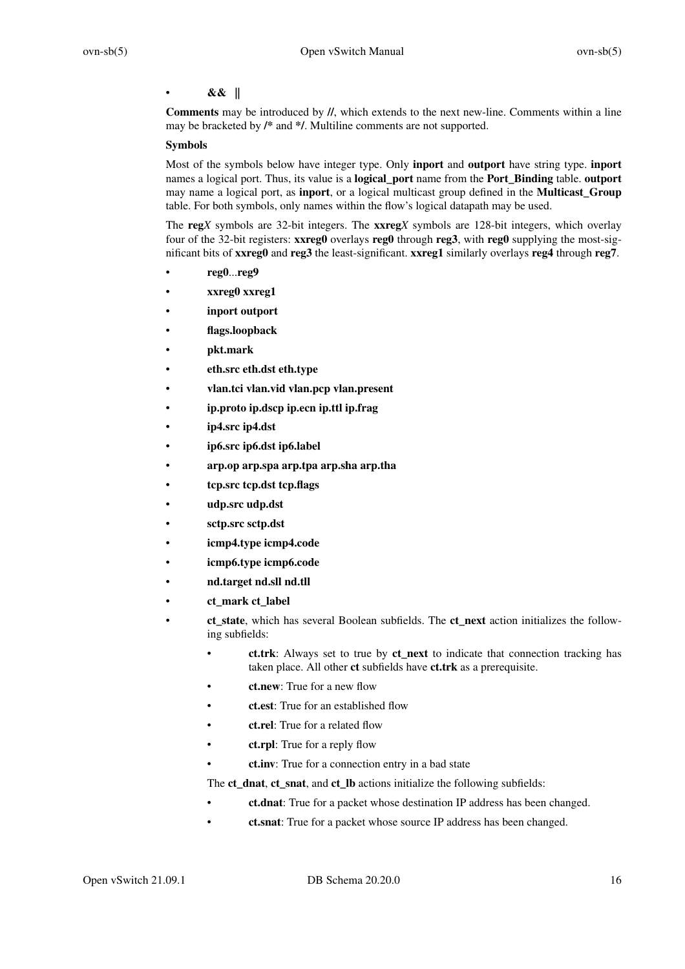# • **&& ||**

**Comments** may be introduced by **//**, which extends to the next new-line. Comments within a line may be bracketed by **/\*** and **\*/**. Multiline comments are not supported.

### **Symbols**

Most of the symbols below have integer type. Only **inport** and **outport** have string type. **inport** names a logical port. Thus, its value is a **logical\_port** name from the **Port\_Binding** table. **outport** may name a logical port, as **inport**, or a logical multicast group defined in the **Multicast\_Group** table. For both symbols, only names within the flow's logical datapath may be used.

The **reg***X* symbols are 32-bit integers. The **xxreg***X* symbols are 128-bit integers, which overlay four of the 32-bit registers: **xxreg0** overlays **reg0** through **reg3**, with **reg0** supplying the most-significant bits of **xxreg0** and **reg3** the least-significant. **xxreg1** similarly overlays **reg4** through **reg7**.

- **reg0**...**reg9**
- **xxreg0 xxreg1**
- **inport outport**
- **flags.loopback**
- **pkt.mark**
- **eth.src eth.dst eth.type**
- **vlan.tci vlan.vid vlan.pcp vlan.present**
- **ip.proto ip.dscp ip.ecn ip.ttl ip.frag**
- **ip4.src ip4.dst**
- **ip6.src ip6.dst ip6.label**
- **arp.op arp.spa arp.tpa arp.sha arp.tha**
- **tcp.src tcp.dst tcp.flags**
- **udp.src udp.dst**
- **sctp.src sctp.dst**
- **icmp4.type icmp4.code**
- **icmp6.type icmp6.code**
- **nd.target nd.sll nd.tll**
- **ct\_mark ct\_label**
- **ct\_state**, which has several Boolean subfields. The **ct\_next** action initializes the following subfields:
	- **ct.trk**: Always set to true by **ct\_next** to indicate that connection tracking has taken place. All other **ct** subfields have **ct.trk** as a prerequisite.
	- **ct.new**: True for a new flow
	- **ct.est**: True for an established flow
	- **ct.rel**: True for a related flow
	- **ct.rpl**: True for a reply flow
	- **ct.inv**: True for a connection entry in a bad state

The **ct** dnat, **ct** snat, and **ct** Ib actions initialize the following subfields:

- **ct.dnat**: True for a packet whose destination IP address has been changed.
- **ct.snat**: True for a packet whose source IP address has been changed.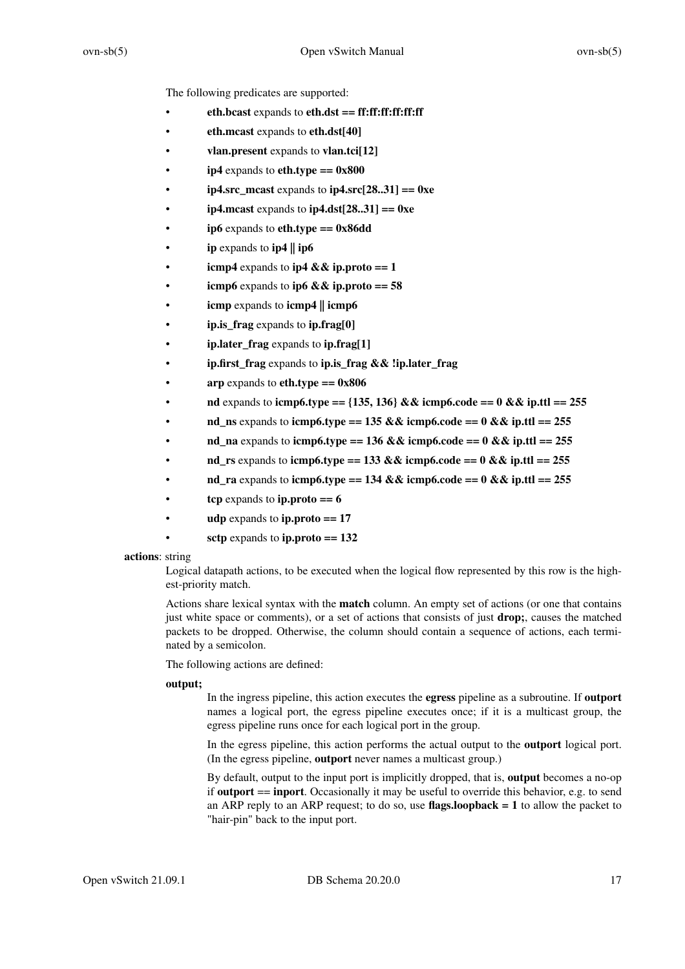The following predicates are supported:

- **eth.bcast** expands to **eth.dst == ff:ff:ff:ff:ff:ff**
- **eth.mcast** expands to **eth.dst[40]**
- **vlan.present** expands to **vlan.tci[12]**
- $ip4$  expands to  $eth.type == 0x800$
- **ip4.src\_mcast** expands to **ip4.src[28..31] == 0xe**
- **ip4.mcast** expands to **ip4.dst[28..31] == 0xe**
- **ip6** expands to **eth.type == 0x86dd**
- **ip** expands to **ip4 || ip6**
- **icmp4** expands to **ip4 && ip.proto** == 1
- **icmp6** expands to **ip6** && **ip.proto** ==  $58$
- **icmp** expands to **icmp4 || icmp6**
- **ip.is\_frag** expands to **ip.frag[0]**
- **ip.later\_frag** expands to **ip.frag[1]**
- **ip.first\_frag** expands to **ip.is\_frag && !ip.later\_frag**
- **arp** expands to **eth.type == 0x806**
- **nd** expands to **icmp6.type ==**  $\{135, 136\}$  && **icmp6.code == 0 && ip.ttl == 255**
- **nd\_ns** expands to **icmp6.type == 135 && icmp6.code == 0 && ip.ttl == 255**
- **nd** na expands to **icmp6.type == 136 && icmp6.code == 0 && ip.ttl == 255**
- **nd\_rs** expands to **icmp6.type == 133 && icmp6.code == 0 && ip.ttl == 255**
- **nd\_ra** expands to **icmp6.type == 134 && icmp6.code == 0 && ip.ttl == 255**
- **tcp** expands to **ip.proto == 6**
- **udp** expands to **ip.proto == 17**
	- sctp expands to  $ip.proto == 132$

#### **actions**: string

Logical datapath actions, to be executed when the logical flow represented by this row is the highest-priority match.

Actions share lexical syntax with the **match** column. An empty set of actions (or one that contains just white space or comments), or a set of actions that consists of just **drop;**, causes the matched packets to be dropped. Otherwise, the column should contain a sequence of actions, each terminated by a semicolon.

The following actions are defined:

#### **output;**

In the ingress pipeline, this action executes the **egress** pipeline as a subroutine. If **outport** names a logical port, the egress pipeline executes once; if it is a multicast group, the egress pipeline runs once for each logical port in the group.

In the egress pipeline, this action performs the actual output to the **outport** logical port. (In the egress pipeline, **outport** never names a multicast group.)

By default, output to the input port is implicitly dropped, that is, **output** becomes a no-op if **outport** == **inport**. Occasionally it may be useful to override this behavior, e.g. to send an ARP reply to an ARP request; to do so, use **flags.loopback = 1** to allow the packet to "hair-pin" back to the input port.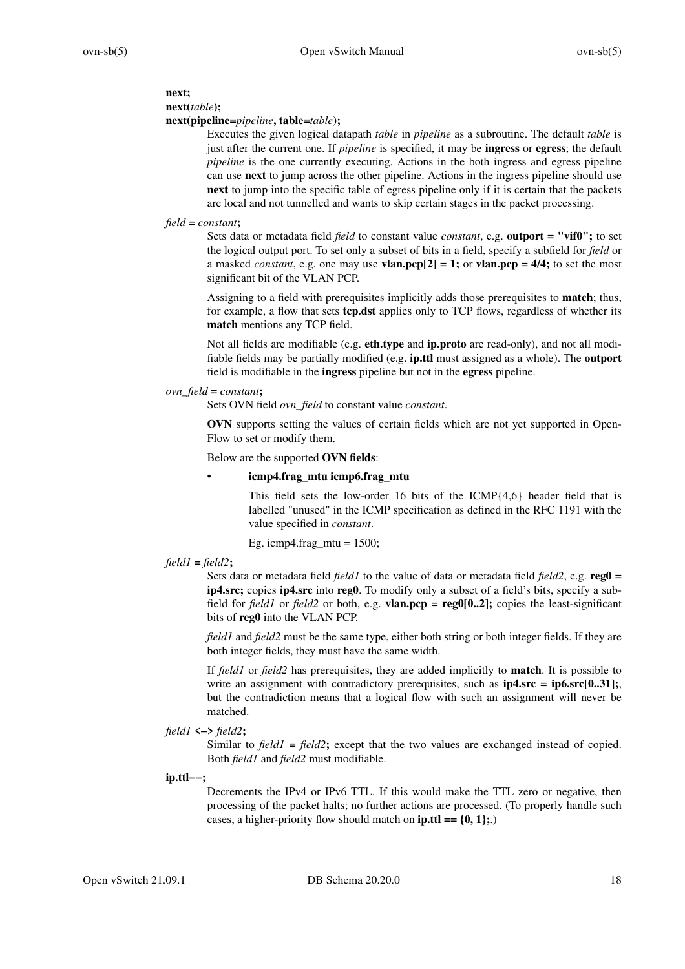# **next;**

### **next(***table***);**

### **next(pipeline=***pipeline***, table=***table***);**

Executes the given logical datapath *table* in *pipeline* as a subroutine. The default *table* is just after the current one. If *pipeline* is specified, it may be **ingress** or **egress**; the default *pipeline* is the one currently executing. Actions in the both ingress and egress pipeline can use **next** to jump across the other pipeline. Actions in the ingress pipeline should use **next** to jump into the specific table of egress pipeline only if it is certain that the packets are local and not tunnelled and wants to skip certain stages in the packet processing.

### *field* **=** *constant***;**

Sets data or metadata field *field* to constant value *constant*, e.g. **outport = "vif0";** to set the logical output port. To set only a subset of bits in a field, specify a subfield for *field* or a masked *constant*, e.g. one may use **vlan.pcp**[2] = 1; or **vlan.pcp** =  $4/4$ ; to set the most significant bit of the VLAN PCP.

Assigning to a field with prerequisites implicitly adds those prerequisites to **match**; thus, for example, a flow that sets **tcp.dst** applies only to TCP flows, regardless of whether its **match** mentions any TCP field.

Not all fields are modifiable (e.g. **eth.type** and **ip.proto** are read-only), and not all modifiable fields may be partially modified (e.g. **ip.ttl** must assigned as a whole). The **outport** field is modifiable in the **ingress** pipeline but not in the **egress** pipeline.

### *ovn\_field* **=** *constant***;**

Sets OVN field *ovn\_field* to constant value *constant*.

**OVN** supports setting the values of certain fields which are not yet supported in Open-Flow to set or modify them.

### Below are the supported **OVN fields**:

### • **icmp4.frag\_mtu icmp6.frag\_mtu**

This field sets the low-order 16 bits of the ICMP{4,6} header field that is labelled "unused" in the ICMP specification as defined in the RFC 1191 with the value specified in *constant*.

Eg. icmp4.frag\_mtu =  $1500$ ;

# *field1* **=** *field2***;**

Sets data or metadata field *field1* to the value of data or metadata field *field2*, e.g. **reg0 = ip4.src;** copies **ip4.src** into **reg0**. To modify only a subset of a field's bits, specify a subfield for *field1* or *field2* or both, e.g. **vlan.pcp = reg0[0..2];** copies the least-significant bits of **reg0** into the VLAN PCP.

*field1* and *field2* must be the same type, either both string or both integer fields. If they are both integer fields, they must have the same width.

If *field1* or *field2* has prerequisites, they are added implicitly to **match**. It is possible to write an assignment with contradictory prerequisites, such as  $ip4.src = ip6.src[0..31];$ but the contradiction means that a logical flow with such an assignment will never be matched.

### *field1* **<−>** *field2***;**

Similar to *field1* **=** *field2***;** except that the two values are exchanged instead of copied. Both *field1* and *field2* must modifiable.

### **ip.ttl−−;**

Decrements the IPv4 or IPv6 TTL. If this would make the TTL zero or negative, then processing of the packet halts; no further actions are processed. (To properly handle such cases, a higher-priority flow should match on **ip.ttl == {0, 1};**.)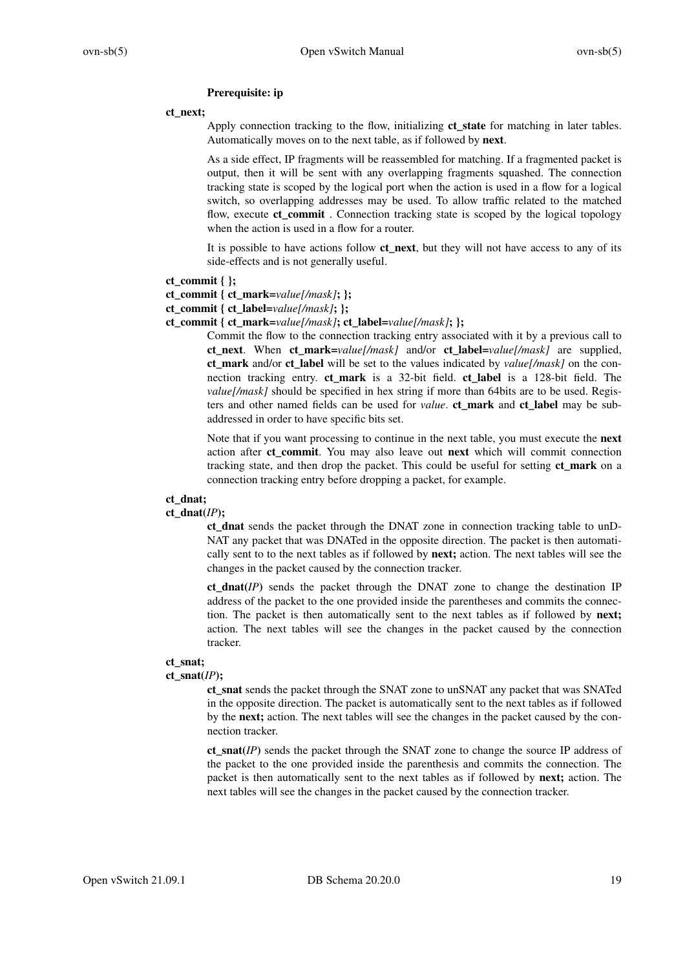### **Prerequisite: ip**

#### **ct\_next;**

Apply connection tracking to the flow, initializing **ct\_state** for matching in later tables. Automatically moves on to the next table, as if followed by **next**.

As a side effect, IP fragments will be reassembled for matching. If a fragmented packet is output, then it will be sent with any overlapping fragments squashed. The connection tracking state is scoped by the logical port when the action is used in a flow for a logical switch, so overlapping addresses may be used. To allow traffic related to the matched flow, execute **ct\_commit** . Connection tracking state is scoped by the logical topology when the action is used in a flow for a router.

It is possible to have actions follow **ct** next, but they will not have access to any of its side-effects and is not generally useful.

#### ct commit  $\{\}$ ;

### **ct\_commit { ct\_mark=***value[/mask]***; };**

**ct\_commit { ct\_label=***value[/mask]***; };**

**ct\_commit { ct\_mark=***value[/mask]***; ct\_label=***value[/mask]***; };**

Commit the flow to the connection tracking entry associated with it by a previous call to **ct\_next**. When **ct\_mark=***value[/mask]* and/or **ct\_label=***value[/mask]* are supplied, **ct\_mark** and/or **ct\_label** will be set to the values indicated by *value[/mask]* on the connection tracking entry. **ct\_mark** is a 32-bit field. **ct\_label** is a 128-bit field. The *value[/mask]* should be specified in hex string if more than 64bits are to be used. Registers and other named fields can be used for *value*. **ct\_mark** and **ct\_label** may be subaddressed in order to have specific bits set.

Note that if you want processing to continue in the next table, you must execute the **next** action after **ct\_commit**. You may also leave out **next** which will commit connection tracking state, and then drop the packet. This could be useful for setting **ct\_mark** on a connection tracking entry before dropping a packet, for example.

#### **ct\_dnat;**

#### ct  $d$ **nat** $(IP)$ **;**

**ct\_dnat** sends the packet through the DNAT zone in connection tracking table to unD-NAT any packet that was DNATed in the opposite direction. The packet is then automatically sent to to the next tables as if followed by **next;** action. The next tables will see the changes in the packet caused by the connection tracker.

**ct** dnat( $IP$ ) sends the packet through the DNAT zone to change the destination IP address of the packet to the one provided inside the parentheses and commits the connection. The packet is then automatically sent to the next tables as if followed by **next;** action. The next tables will see the changes in the packet caused by the connection tracker.

#### **ct\_snat;**

#### ct\_snat $(IP)$ ;

**ct\_snat** sends the packet through the SNAT zone to unSNAT any packet that was SNAT ed in the opposite direction. The packet is automatically sent to the next tables as if followed by the **next;** action. The next tables will see the changes in the packet caused by the connection tracker.

**ct\_snat(***IP***)** sends the packet through the SNAT zone to change the source IP address of the packet to the one provided inside the parenthesis and commits the connection. The packet is then automatically sent to the next tables as if followed by **next;** action. The next tables will see the changes in the packet caused by the connection tracker.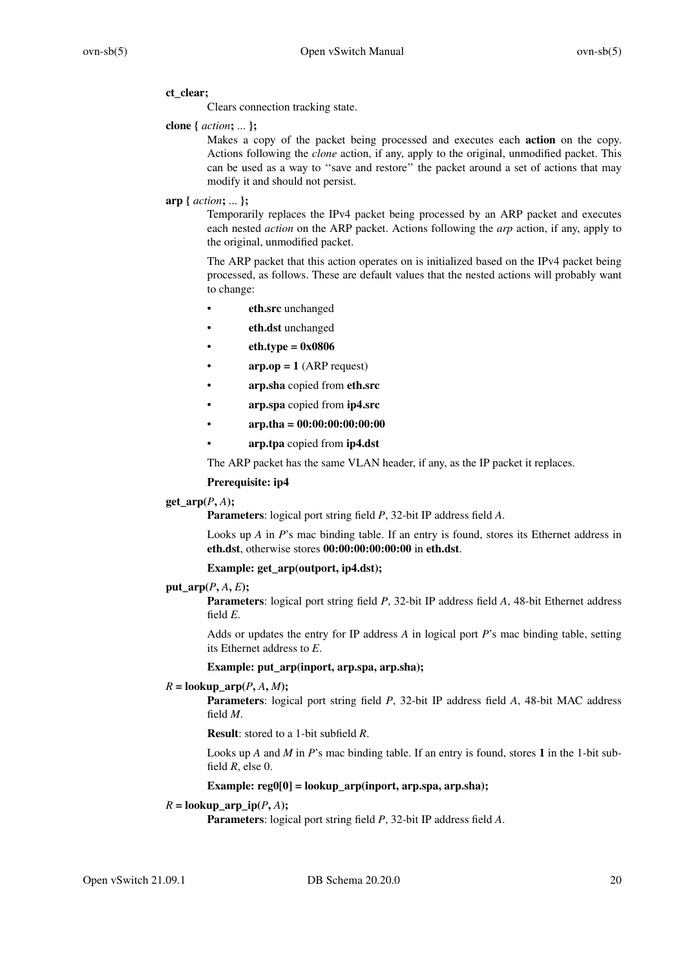### **ct\_clear;**

Clears connection tracking state.

### **clone {** *action***;** ... **};**

Makes a copy of the packet being processed and executes each **action** on the copy. Actions following the *clone* action, if any, apply to the original, unmodified packet. This can be used as a way to ''save and restore'' the packet around a set of actions that may modify it and should not persist.

### **arp {** *action***;** ... **};**

Temporarily replaces the IPv4 packet being processed by an ARP packet and executes each nested *action* on the ARP packet. Actions following the *arp* action, if any, apply to the original, unmodified packet.

The ARP packet that this action operates on is initialized based on the IPv4 packet being processed, as follows. These are default values that the nested actions will probably want to change:

- **eth.src** unchanged
- **eth.dst** unchanged
- **eth.type = 0x0806**
- $arp_op = 1$  (ARP request)
- **arp.sha** copied from **eth.src**
- **arp.spa** copied from **ip4.src**
- **arp.tha = 00:00:00:00:00:00**
- **arp.tpa** copied from **ip4.dst**

The ARP packet has the same VLAN header, if any, as the IP packet it replaces.

### **Prerequisite: ip4**

# $get_$ *arp* $(P, A)$ **;**

**Parameters**: logical port string field *P*, 32-bit IP address field *A*.

Looks up *A* in *P*'s mac binding table. If an entry is found, stores its Ethernet address in **eth.dst**, otherwise stores **00:00:00:00:00:00** in **eth.dst**.

### **Example: get\_arp(outport, ip4.dst);**

### **put**  $\text{arp}(P, A, E)$ ;

**Parameters**: logical port string field *P*, 32-bit IP address field *A*, 48-bit Ethernet address field *E*.

Adds or updates the entry for IP address *A* in logical port *P*'s mac binding table, setting its Ethernet address to *E*.

### **Example: put\_arp(inport, arp.spa, arp.sha);**

### $R = \textbf{lookup\_arp}(P, A, M);$

**Parameters**: logical port string field *P*, 32-bit IP address field *A*, 48-bit MAC address field *M*.

**Result**: stored to a 1-bit subfield *R*.

Looks up *A* and *M* in *P*'s mac binding table. If an entry is found, stores **1** in the 1-bit subfield *R*, else 0.

# **Example: reg0[0] = lookup\_arp(inport, arp.spa, arp.sha);**

# $R =$ **lookup\_arp\_ip** $(P, A)$ ;

**Parameters**: logical port string field *P*, 32-bit IP address field *A*.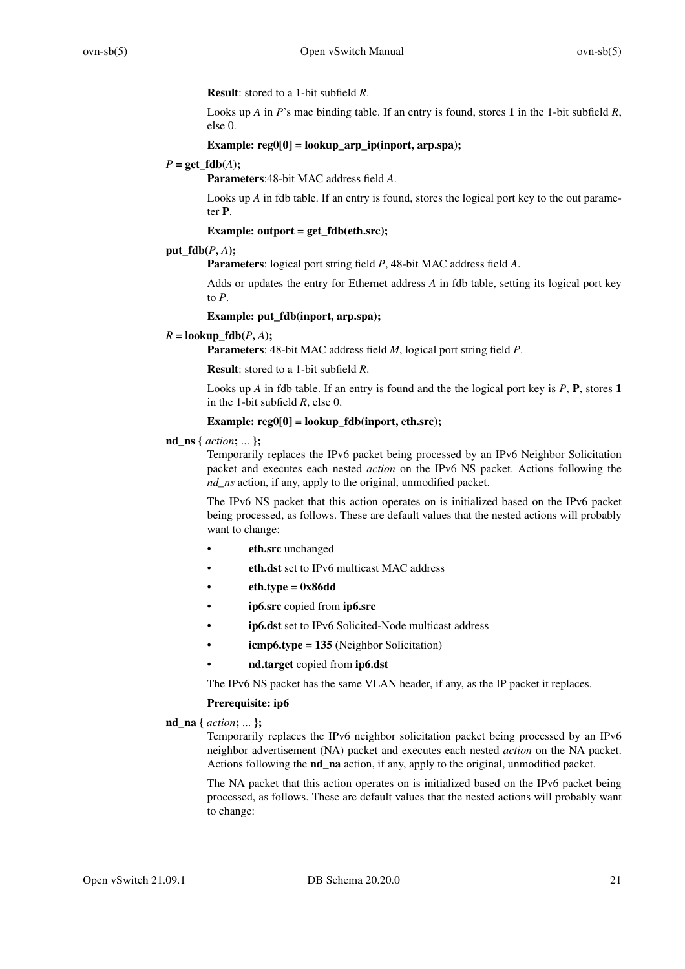**Result**: stored to a 1-bit subfield *R*.

Looks up *A* in *P*'s mac binding table. If an entry is found, stores **1** in the 1-bit subfield *R*, else 0.

# **Example: reg0[0] = lookup\_arp\_ip(inport, arp.spa);**

### $P = \text{get fdb}(A)$ ;

**Parameters**:48-bit MAC address field *A*.

Looks up *A* in fdb table. If an entry is found, stores the logical port key to the out parameter **P**.

### **Example: outport = get\_fdb(eth.src);**

### **put\_fdb(***P***,** *A***);**

**Parameters**: logical port string field *P*, 48-bit MAC address field *A*.

Adds or updates the entry for Ethernet address *A* in fdb table, setting its logical port key to *P*.

### **Example: put\_fdb(inport, arp.spa);**

### $R =$ **lookup**  $fdb(P, A)$ ;

**Parameters**: 48-bit MAC address field *M*, logical port string field *P*.

**Result**: stored to a 1-bit subfield *R*.

Looks up *A* in fdb table. If an entry is found and the the logical port key is *P*, **P**, stores **1** in the 1-bit subfield *R*, else 0.

### **Example: reg0[0] = lookup\_fdb(inport, eth.src);**

### **nd\_ns {** *action***;** ... **};**

Temporarily replaces the IPv6 packet being processed by an IPv6 Neighbor Solicitation packet and executes each nested *action* on the IPv6 NS packet. Actions following the *nd\_ns* action, if any, apply to the original, unmodified packet.

The IPv6 NS packet that this action operates on is initialized based on the IPv6 packet being processed, as follows. These are default values that the nested actions will probably want to change:

- **eth.src** unchanged
- **eth.dst** set to IPv6 multicast MAC address
- **eth.type = 0x86dd**
- **ip6.src** copied from **ip6.src**
- **ip6.dst** set to IPv6 Solicited-Node multicast address
- **icmp6.type = 135** (Neighbor Solicitation)
- **nd.target** copied from **ip6.dst**

The IPv6 NS packet has the same VLAN header, if any, as the IP packet it replaces.

# **Prerequisite: ip6**

### **nd\_na {** *action***;** ... **};**

Temporarily replaces the IPv6 neighbor solicitation packet being processed by an IPv6 neighbor advertisement (NA) packet and executes each nested *action* on the NA packet. Actions following the **nd\_na** action, if any, apply to the original, unmodified packet.

The NA packet that this action operates on is initialized based on the IPv6 packet being processed, as follows. These are default values that the nested actions will probably want to change: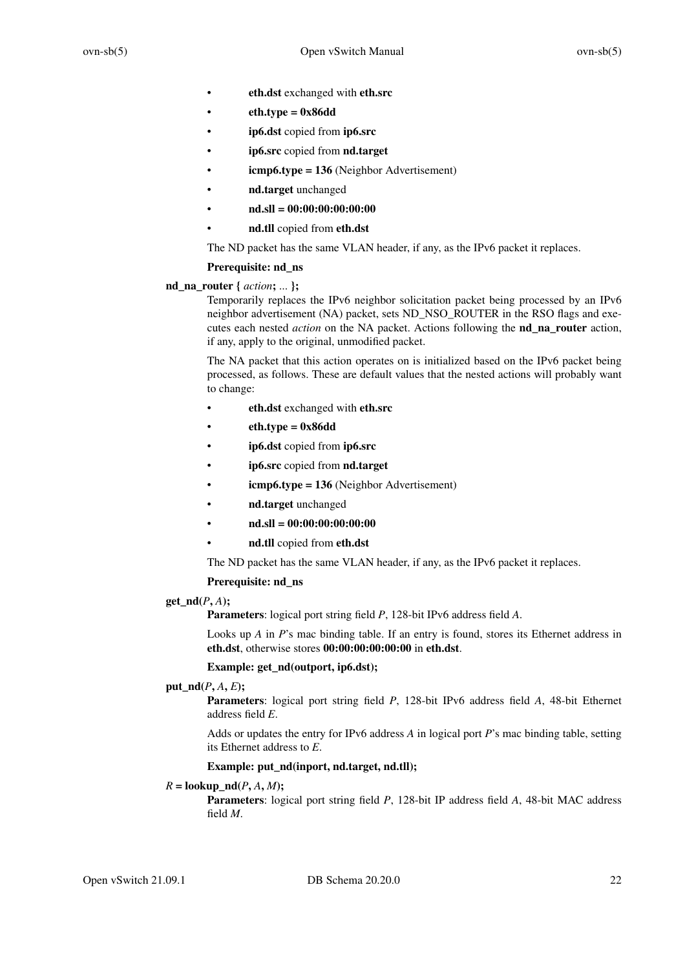- **eth.dst** exchanged with **eth.src**
- $\cdot$  **eth.type = 0x86dd**
- **ip6.dst** copied from **ip6.src**
- **ip6.src** copied from **nd.target**
- **icmp6.type = 136** (Neighbor Advertisement)
- **nd.target** unchanged
- **nd.sll = 00:00:00:00:00:00**
- **nd.tll** copied from **eth.dst**

The ND packet has the same VLAN header, if any, as the IPv6 packet it replaces.

### **Prerequisite: nd\_ns**

**nd\_na\_router {** *action***;** ... **};**

Temporarily replaces the IPv6 neighbor solicitation packet being processed by an IPv6 neighbor advertisement (NA) packet, sets ND\_NSO\_ROUTER in the RSO flags and executes each nested *action* on the NA packet. Actions following the **nd\_na\_router** action, if any, apply to the original, unmodified packet.

The NA packet that this action operates on is initialized based on the IPv6 packet being processed, as follows. These are default values that the nested actions will probably want to change:

- **eth.dst** exchanged with **eth.src**
- $eth.tvpe = 0x86dd$
- **ip6.dst** copied from **ip6.src**
- **ip6.src** copied from **nd.target**
- **icmp6.type = 136** (Neighbor Advertisement)
- **nd.target** unchanged
- **nd.sll = 00:00:00:00:00:00**
- **nd.tll** copied from **eth.dst**
- The ND packet has the same VLAN header, if any, as the IPv6 packet it replaces.

### **Prerequisite: nd\_ns**

**get\_nd(***P***,** *A***);**

**Parameters**: logical port string field *P*, 128-bit IPv6 address field *A*.

Looks up *A* in *P*'s mac binding table. If an entry is found, stores its Ethernet address in **eth.dst**, otherwise stores **00:00:00:00:00:00** in **eth.dst**.

#### **Example: get\_nd(outport, ip6.dst);**

# $put\_nd(P, A, E);$

**Parameters**: logical port string field *P*, 128-bit IPv6 address field *A*, 48-bit Ethernet address field *E*.

Adds or updates the entry for IPv6 address *A* in logical port *P*'s mac binding table, setting its Ethernet address to *E*.

# **Example: put\_nd(inport, nd.target, nd.tll);**

### $R = \textbf{lookup} \cdot \textbf{nd}(P, A, M);$

**Parameters**: logical port string field *P*, 128-bit IP address field *A*, 48-bit MAC address field *M*.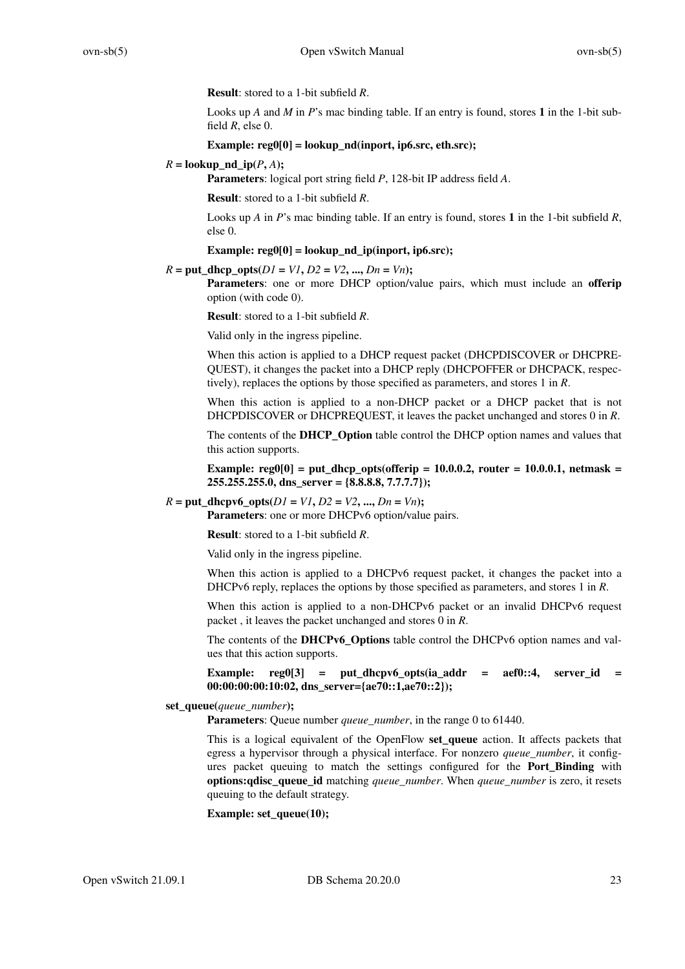**Result**: stored to a 1-bit subfield *R*.

Looks up *A* and *M* in *P*'s mac binding table. If an entry is found, stores **1** in the 1-bit subfield *R*, else 0.

### **Example: reg0[0] = lookup\_nd(inport, ip6.src, eth.src);**

 $R =$ **lookup** nd  $ip(P, A)$ ;

**Parameters**: logical port string field *P*, 128-bit IP address field *A*.

**Result**: stored to a 1-bit subfield *R*.

Looks up *A* in *P*'s mac binding table. If an entry is found, stores **1** in the 1-bit subfield *R*, else 0.

Example: reg0[0] = lookup\_nd\_ip(inport, ip6.src);

 $R = \text{put\_dhep\_opts}(D1 = VI, D2 = V2, ..., Dn = Vn);$ 

**Parameters**: one or more DHCP option/value pairs, which must include an **offerip** option (with code 0).

**Result**: stored to a 1-bit subfield *R*.

Valid only in the ingress pipeline.

When this action is applied to a DHCP request packet (DHCPDISCOVER or DHCPRE-QUEST), it changes the packet into a DHCP reply (DHCPOFFER or DHCPACK, respectively), replaces the options by those specified as parameters, and stores 1 in *R*.

When this action is applied to a non-DHCP packet or a DHCP packet that is not DHCPDISCOVER or DHCPREQUEST, it leaves the packet unchanged and stores 0 in *R*.

The contents of the **DHCP\_Option** table control the DHCP option names and values that this action supports.

**Example: reg0[0] = put\_dhcp\_opts(offerip = 10.0.0.2, router = 10.0.0.1, netmask = 255.255.255.0, dns\_server={8.8.8.8, 7.7.7.7});**

### $R = \text{put\_dhcpv6\_opts}(D1 = VI, D2 = V2, ..., Dn = Vn);$

**Parameters**: one or more DHCPv6 option/value pairs.

**Result**: stored to a 1-bit subfield *R*.

Valid only in the ingress pipeline.

When this action is applied to a DHCPv6 request packet, it changes the packet into a DHCPv6 reply, replaces the options by those specified as parameters, and stores 1 in *R*.

When this action is applied to a non-DHCPv6 packet or an invalid DHCPv6 request packet , it leaves the packet unchanged and stores 0 in *R*.

The contents of the **DHCPv6\_Options** table control the DHCPv6 option names and values that this action supports.

**Example: reg0[3] = put\_dhcpv6\_opts(ia\_addr = aef0::4, server\_id = 00:00:00:00:10:02, dns\_server={ae70::1,ae70::2});**

#### **set\_queue(***queue\_number***);**

**Parameters**: Queue number *queue\_number*, in the range 0 to 61440.

This is a logical equivalent of the OpenFlow **set\_queue** action. It affects packets that egress a hypervisor through a physical interface. For nonzero *queue\_number*, it configures packet queuing to match the settings configured for the **Port\_Binding** with **options:qdisc\_queue\_id** matching *queue\_number*. When *queue\_number* is zero, it resets queuing to the default strategy.

### **Example: set\_queue(10);**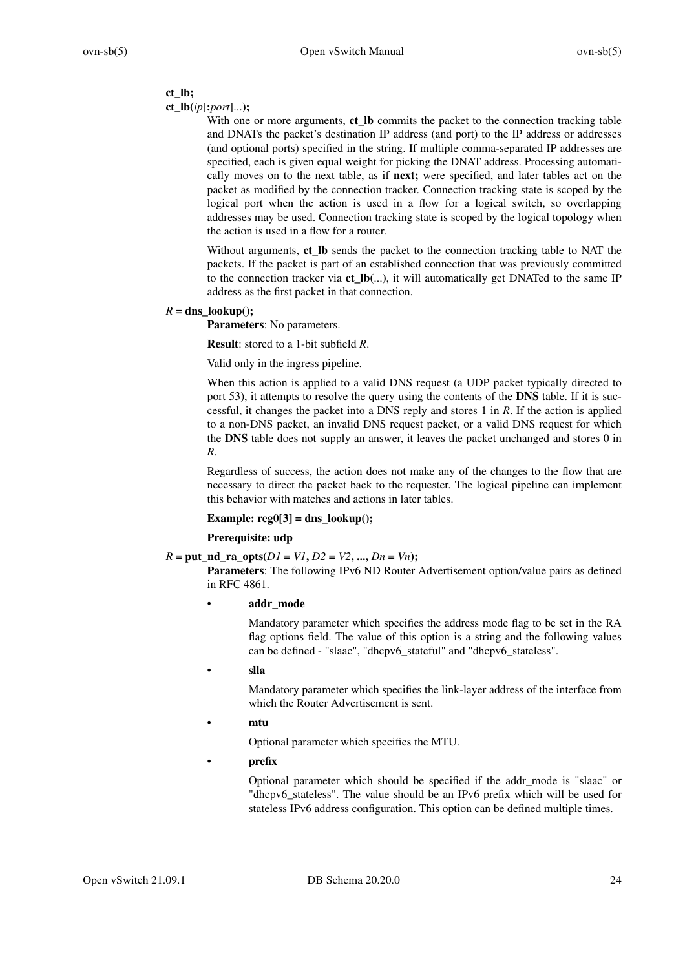### **ct\_lb;**

### **ct\_lb(***ip*[**:***port*]...**);**

With one or more arguments, **ct\_lb** commits the packet to the connection tracking table and DNATs the packet's destination IP address (and port) to the IP address or addresses (and optional ports) specified in the string. If multiple comma-separated IP addresses are specified, each is given equal weight for picking the DNAT address. Processing automatically moves on to the next table, as if **next;** were specified, and later tables act on the packet as modified by the connection tracker. Connection tracking state is scoped by the logical port when the action is used in a flow for a logical switch, so overlapping addresses may be used. Connection tracking state is scoped by the logical topology when the action is used in a flow for a router.

Without arguments, ct Ib sends the packet to the connection tracking table to NAT the packets. If the packet is part of an established connection that was previously committed to the connection tracker via **ct it will automatically get DNATed to the same IP** address as the first packet in that connection.

### $R = \text{dns}$  lookup();

**Parameters**: No parameters.

**Result**: stored to a 1-bit subfield *R*.

Valid only in the ingress pipeline.

When this action is applied to a valid DNS request (a UDP packet typically directed to port 53), it attempts to resolve the query using the contents of the **DNS** table. If it is successful, it changes the packet into a DNS reply and stores 1 in *R*. If the action is applied to a non-DNS packet, an invalid DNS request packet, or a valid DNS request for which the **DNS** table does not supply an answer, it leaves the packet unchanged and stores 0 in *R*.

Regardless of success, the action does not make any of the changes to the flow that are necessary to direct the packet back to the requester. The logical pipeline can implement this behavior with matches and actions in later tables.

### **Example: reg0[3] = dns\_lookup();**

### **Prerequisite: udp**

### $R = \text{put\_nd\_ra\_opts}(D1 = VI, D2 = V2, ..., Dn = Vn);$

**Parameters**: The following IPv6 ND Router Advertisement option/value pairs as defined in RFC 4861.

### • **addr\_mode**

Mandatory parameter which specifies the address mode flag to be set in the RA flag options field. The value of this option is a string and the following values can be defined - "slaac", "dhcpv6\_stateful" and "dhcpv6\_stateless".

• **slla**

Mandatory parameter which specifies the link-layer address of the interface from which the Router Advertisement is sent.

• **mtu**

Optional parameter which specifies the MTU.

• **prefix**

Optional parameter which should be specified if the addr\_mode is "slaac" or "dhcpv6\_stateless". The value should be an IPv6 prefix which will be used for stateless IPv6 address configuration. This option can be defined multiple times.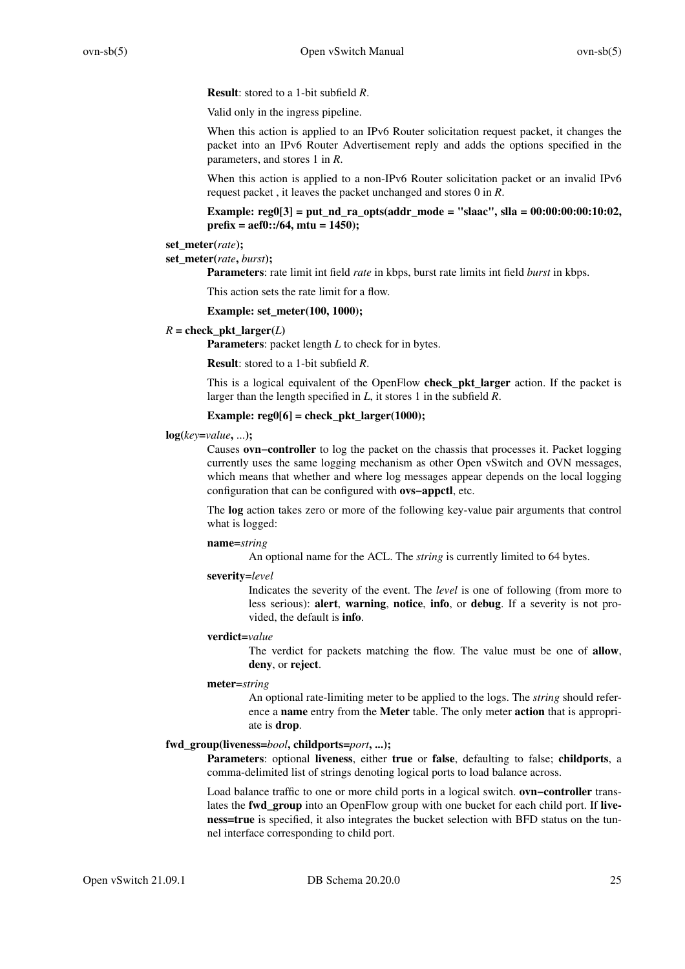**Result**: stored to a 1-bit subfield *R*.

Valid only in the ingress pipeline.

When this action is applied to an IPv6 Router solicitation request packet, it changes the packet into an IPv6 Router Advertisement reply and adds the options specified in the parameters, and stores 1 in *R*.

When this action is applied to a non-IPv6 Router solicitation packet or an invalid IPv6 request packet , it leaves the packet unchanged and stores 0 in *R*.

**Example: reg0[3] = put\_nd\_ra\_opts(addr\_mode = "slaac", slla = 00:00:00:00:10:02, prefix = aef0::/64, mtu = 1450);**

#### **set\_meter(***rate***);**

#### **set\_meter(***rate***,** *burst***);**

**Parameters**: rate limit int field *rate* in kbps, burst rate limits int field *burst* in kbps.

This action sets the rate limit for a flow.

**Example: set\_meter(100, 1000);**

### $R =$  check pkt larger(*L*)

**Parameters**: packet length *L* to check for in bytes.

**Result**: stored to a 1-bit subfield *R*.

This is a logical equivalent of the OpenFlow **check\_pkt\_larger** action. If the packet is larger than the length specified in *L*, it stores 1 in the subfield *R*.

#### **Example: reg0[6] = check\_pkt\_larger(1000);**

#### **log(***key***=***value***,** ...**);**

Causes **ovn−controller** to log the packet on the chassis that processes it. Packet logging currently uses the same logging mechanism as other Open vSwitch and OVN messages, which means that whether and where log messages appear depends on the local logging configuration that can be configured with **ovs−appctl**, etc.

The **log** action takes zero or more of the following key-value pair arguments that control what is logged:

#### **name=***string*

An optional name for the ACL. The *string* is currently limited to 64 bytes.

#### **severity=***level*

Indicates the severity of the event. The *level* is one of following (from more to less serious): **alert**, **warning**, **notice**, **info**, or **debug**. If a severity is not provided, the default is **info**.

### **verdict=***value*

The verdict for packets matching the flow. The value must be one of **allow**, **deny**, or **reject**.

### **meter=***string*

An optional rate-limiting meter to be applied to the logs. The *string* should reference a **name** entry from the **Meter** table. The only meter **action** that is appropriate is **drop**.

### **fwd\_group(liveness=***bool***, childports=***port***, ...);**

**Parameters**: optional **liveness**, either **true** or **false**, defaulting to false; **childports**, a comma-delimited list of strings denoting logical ports to load balance across.

Load balance traffic to one or more child ports in a logical switch. **ovn−controller** translates the **fwd\_group** into an OpenFlow group with one bucket for each child port. If **liveness=true** is specified, it also integrates the bucket selection with BFD status on the tunnel interface corresponding to child port.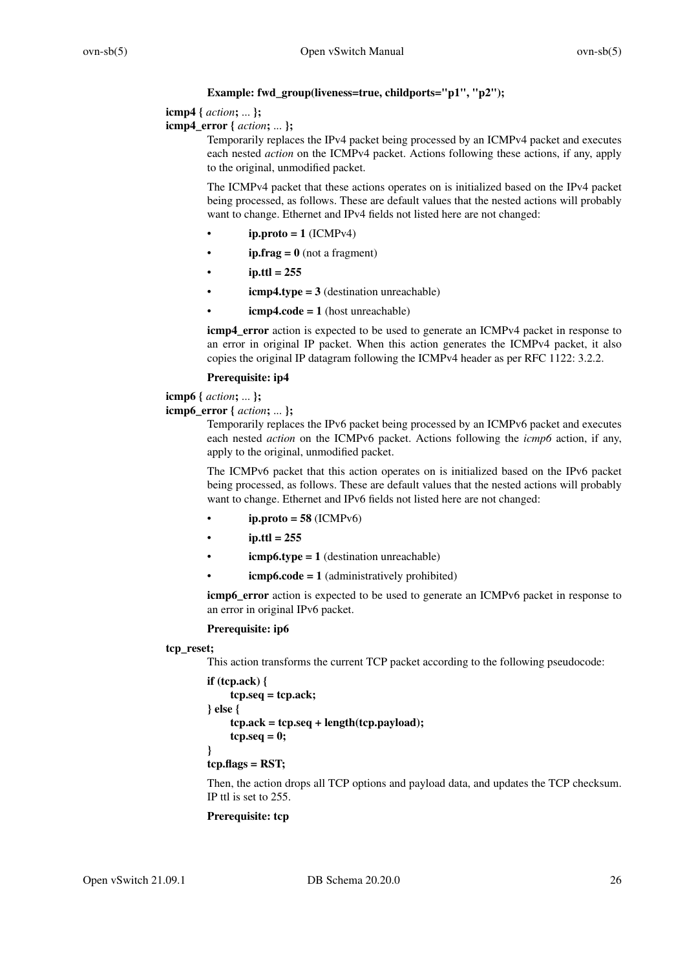# **Example: fwd\_group(liveness=true, childports="p1", "p2");**

# **icmp4 {** *action***;** ... **};**

**icmp4\_error {** *action***;** ... **};**

Temporarily replaces the IPv4 packet being processed by an ICMPv4 packet and executes each nested *action* on the ICMPv4 packet. Actions following these actions, if any, apply to the original, unmodified packet.

The ICMPv4 packet that these actions operates on is initialized based on the IPv4 packet being processed, as follows. These are default values that the nested actions will probably want to change. Ethernet and IPv4 fields not listed here are not changed:

- $ip.proto = 1$  (ICMP<sub>v4</sub>)
- **ip.frag = 0** (not a fragment)
- $ip.ttl = 255$
- $\mathbf{i} \text{cmp4.type} = 3$  (destination unreachable)
- $\mathbf{icmp4}.\mathbf{code} = 1$  (host unreachable)

**icmp4** error action is expected to be used to generate an ICMPv4 packet in response to an error in original IP packet. When this action generates the ICMPv4 packet, it also copies the original IP datagram following the ICMPv4 header as per RFC 1122: 3.2.2.

# **Prerequisite: ip4**

**icmp6 {** *action***;** ... **};**

**icmp6\_error {** *action***;** ... **};**

Temporarily replaces the IPv6 packet being processed by an ICMPv6 packet and executes each nested *action* on the ICMPv6 packet. Actions following the *icmp6* action, if any, apply to the original, unmodified packet.

The ICMPv6 packet that this action operates on is initialized based on the IPv6 packet being processed, as follows. These are default values that the nested actions will probably want to change. Ethernet and IPv6 fields not listed here are not changed:

- $ip.proto = 58$  (ICMP $v6$ )
- $i$ **p.ttl** = 255
- $\mathbf{i} \text{cmp6.type} = 1$  (destination unreachable)
- $icmp6.code = 1$  (administratively prohibited)

**icmp6\_error** action is expected to be used to generate an ICMPv6 packet in response to an error in original IPv6 packet.

# **Prerequisite: ip6**

# **tcp\_reset;**

This action transforms the current TCP packet according to the following pseudocode:

```
if (tcp.ack) {
     tcp.seq = tcp.ack;
} else {
     tcp.ack = tcp.seq + length(tcp.payload);
    tcp.seq = 0;
}
tcp.flags = RST;
```
Then, the action drops all TCP options and payload data, and updates the TCP checksum. IP ttl is set to 255.

# **Prerequisite: tcp**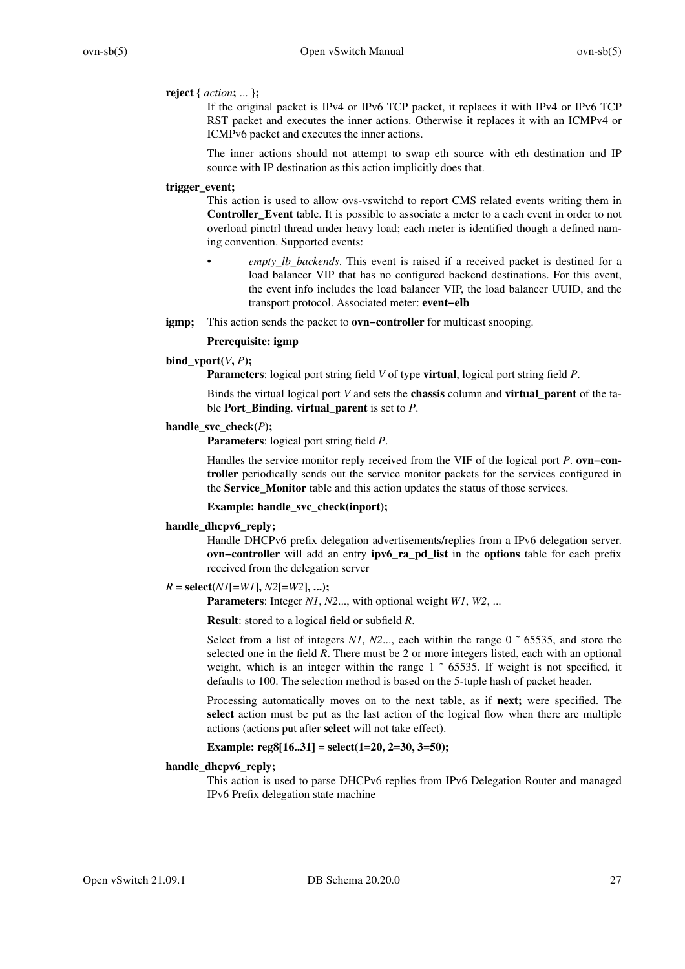### **reject {** *action***;** ... **};**

If the original packet is IPv4 or IPv6 TCP packet, it replaces it with IPv4 or IPv6 TCP RST packet and executes the inner actions. Otherwise it replaces it with an ICMPv4 or ICMPv6 packet and executes the inner actions.

The inner actions should not attempt to swap eth source with eth destination and IP source with IP destination as this action implicitly does that.

### **trigger\_event;**

This action is used to allow ovs-vswitchd to report CMS related events writing them in **Controller\_Event** table. It is possible to associate a meter to a each event in order to not overload pinctrl thread under heavy load; each meter is identified though a defined naming convention. Supported events:

- empty lb backends. This event is raised if a received packet is destined for a load balancer VIP that has no configured backend destinations. For this event, the event info includes the load balancer VIP, the load balancer UUID, and the transport protocol. Associated meter: **event–elb**
- **igmp;** This action sends the packet to **ovn−controller** for multicast snooping.

#### **Prerequisite: igmp**

### **bind** vport $(V, P)$ ;

**Parameters**: logical port string field *V* of type **virtual**, logical port string field *P*.

Binds the virtual logical port *V* and sets the **chassis** column and **virtual\_parent** of the table **Port\_Binding**. **virtual\_parent** is set to *P*.

### **handle** svc check $(P)$ :

**Parameters**: logical port string field *P*.

Handles the service monitor reply received from the VIF of the logical port *P*. **ovn−controller** periodically sends out the service monitor packets for the services configured in the **Service\_Monitor** table and this action updates the status of those services.

### **Example: handle\_svc\_check(inport);**

### **handle\_dhcpv6\_reply;**

Handle DHCPv6 prefix delegation advertisements/replies from a IPv6 delegation server. **ovn−controller** will add an entry **ipv6\_ra\_pd\_list** in the **options** table for each prefix received from the delegation server

### $R = \text{select}(N I[-W I], N2[-W 2], ...)$

**Parameters**: Integer *N1*, *N2*..., with optional weight *W1*, *W2*, ...

**Result**: stored to a logical field or subfield *R*.

Select from a list of integers  $N1$ ,  $N2$ ..., each within the range  $0 \degree 65535$ , and store the selected one in the field *R*. There must be 2 or more integers listed, each with an optional weight, which is an integer within the range  $1 \degree$  65535. If weight is not specified, it defaults to 100. The selection method is based on the 5-tuple hash of packet header.

Processing automatically moves on to the next table, as if **next;** were specified. The **select** action must be put as the last action of the logical flow when there are multiple actions (actions put after **select** will not take effect).

### **Example: reg8[16..31] = select(1=20, 2=30, 3=50);**

### **handle\_dhcpv6\_reply;**

This action is used to parse DHCPv6 replies from IPv6 Delegation Router and managed IPv6 Prefix delegation state machine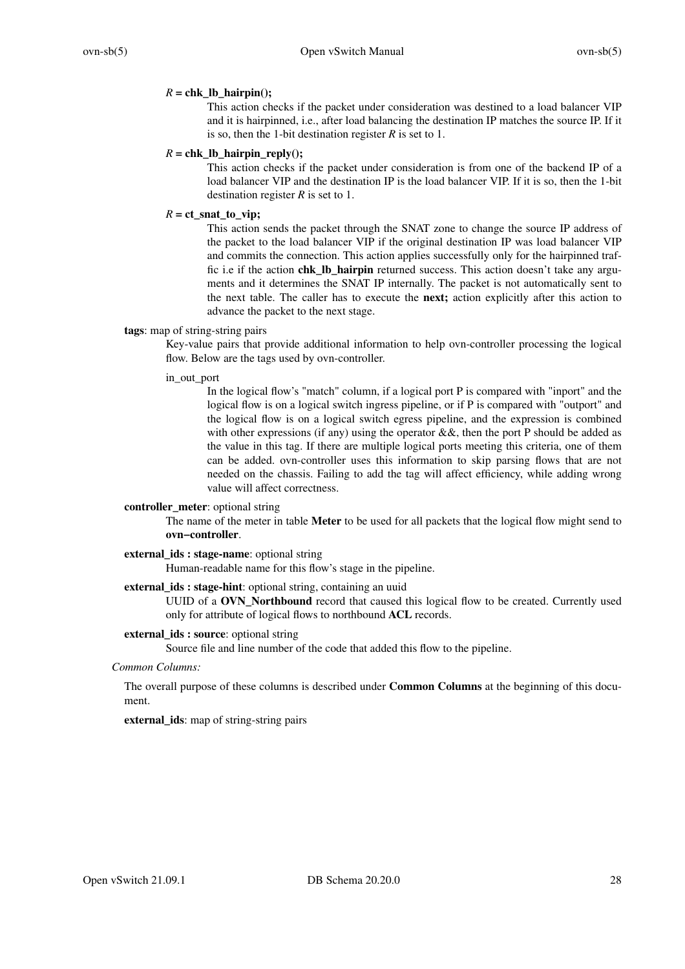### $R =$ chk\_lb\_hairpin();

This action checks if the packet under consideration was destined to a load balancer VIP and it is hairpinned, i.e., after load balancing the destination IP matches the source IP. If it is so, then the 1-bit destination register *R* is set to 1.

### $R =$ chk lb hairpin reply();

This action checks if the packet under consideration is from one of the backend IP of a load balancer VIP and the destination IP is the load balancer VIP. If it is so, then the 1-bit destination register *R* is set to 1.

### $R = ct\_snat_to\_vip;$

This action sends the packet through the SNAT zone to change the source IP address of the packet to the load balancer VIP if the original destination IP was load balancer VIP and commits the connection. This action applies successfully only for the hairpinned traffic i.e if the action **chk\_lb\_hairpin** returned success. This action doesn't take any arguments and it determines the SNAT IP internally. The packet is not automatically sent to the next table. The caller has to execute the **next;** action explicitly after this action to advance the packet to the next stage.

### **tags**: map of string-string pairs

Key-value pairs that provide additional information to help ovn-controller processing the logical flow. Below are the tags used by ovn-controller.

### in out port

In the logical flow's "match" column, if a logical port P is compared with "inport" and the logical flow is on a logical switch ingress pipeline, or if P is compared with "outport" and the logical flow is on a logical switch egress pipeline, and the expression is combined with other expressions (if any) using the operator  $\&\&$ , then the port P should be added as the value in this tag. If there are multiple logical ports meeting this criteria, one of them can be added. ovn-controller uses this information to skip parsing flows that are not needed on the chassis. Failing to add the tag will affect efficiency, while adding wrong value will affect correctness.

### **controller\_meter**: optional string

The name of the meter in table **Meter** to be used for all packets that the logical flow might send to **ovn−controller**.

### **external\_ids : stage-name**: optional string

Human-readable name for this flow's stage in the pipeline.

### **external ids : stage-hint**: optional string, containing an uuid

UUID of a **OVN\_Northbound** record that caused this logical flow to be created. Currently used only for attribute of logical flows to northbound **ACL** records.

### **external\_ids : source**: optional string

Source file and line number of the code that added this flow to the pipeline.

#### *Common Columns:*

The overall purpose of these columns is described under **Common Columns** at the beginning of this document.

**external\_ids**: map of string-string pairs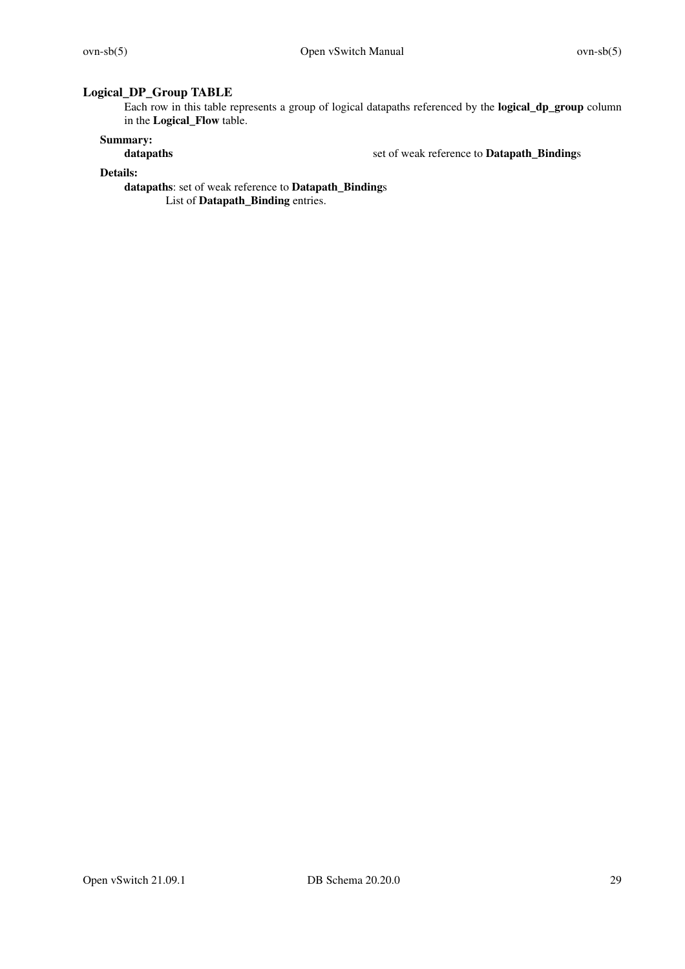# **Logical\_DP\_Group TABLE**

Each row in this table represents a group of logical datapaths referenced by the **logical\_dp\_group** column in the **Logical\_Flow** table.

# **Summary:**

set of weak reference to **Datapath\_Bindings** 

**Details:**

**datapaths**: set of weak reference to **Datapath\_Binding**s

List of **Datapath\_Binding** entries.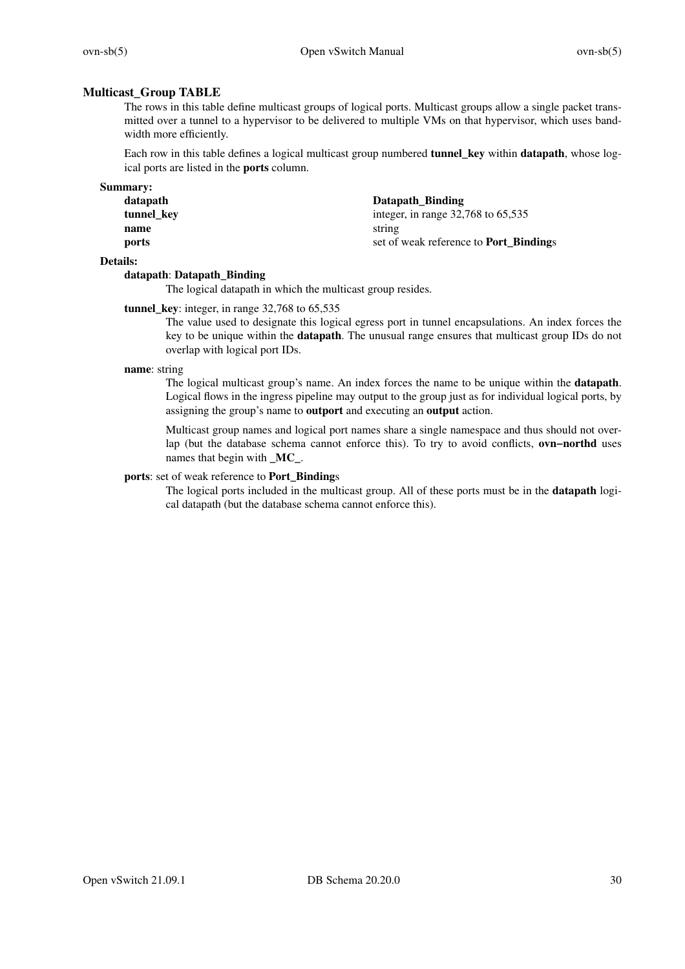# **Multicast\_Group TABLE**

The rows in this table define multicast groups of logical ports. Multicast groups allow a single packet transmitted over a tunnel to a hypervisor to be delivered to multiple VMs on that hypervisor, which uses bandwidth more efficiently.

Each row in this table defines a logical multicast group numbered **tunnel\_key** within **datapath**, whose logical ports are listed in the **ports** column.

| <b>Summary:</b> |  |
|-----------------|--|
|                 |  |

| datapath   | Datapath_Binding                              |
|------------|-----------------------------------------------|
| tunnel kev | integer, in range $32,768$ to $65,535$        |
| name       | string                                        |
| ports      | set of weak reference to <b>Port Bindings</b> |
|            |                                               |

## **Details:**

### **datapath**: **Datapath\_Binding**

The logical datapath in which the multicast group resides.

# **tunnel\_key**: integer, in range 32,768 to 65,535

The value used to designate this logical egress port in tunnel encapsulations. An index forces the key to be unique within the **datapath**. The unusual range ensures that multicast group IDs do not overlap with logical port IDs.

#### **name**: string

The logical multicast group's name. An index forces the name to be unique within the **datapath**. Logical flows in the ingress pipeline may output to the group just as for individual logical ports, by assigning the group's name to **outport** and executing an **output** action.

Multicast group names and logical port names share a single namespace and thus should not overlap (but the database schema cannot enforce this). To try to avoid conflicts, **ovn−northd** uses names that begin with **\_MC\_**.

#### **ports**: set of weak reference to **Port\_Binding**s

The logical ports included in the multicast group. All of these ports must be in the **datapath** logical datapath (but the database schema cannot enforce this).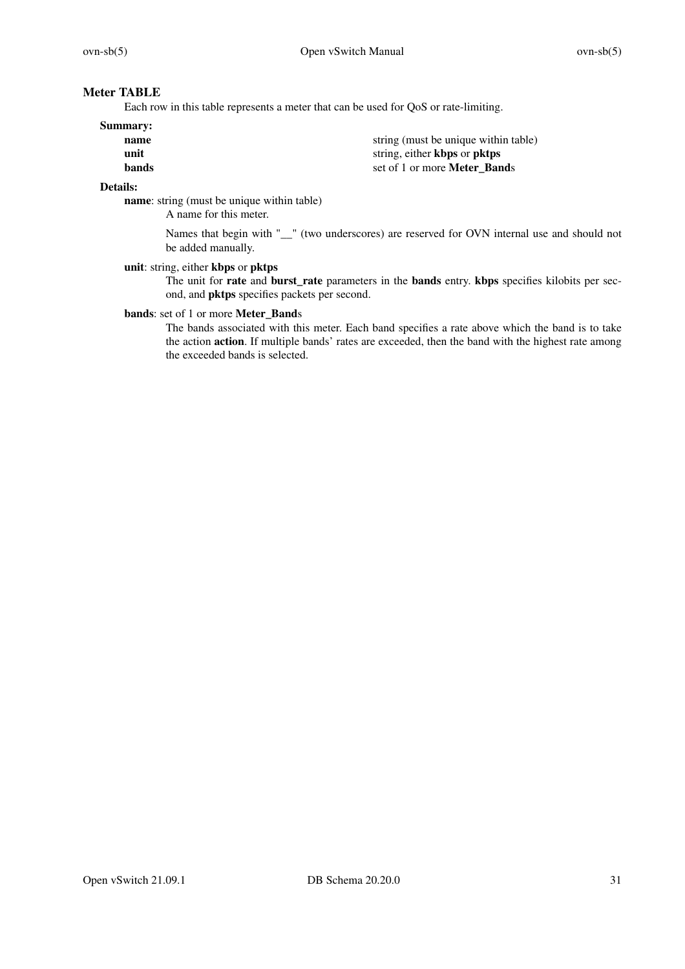# **Meter TABLE**

Each row in this table represents a meter that can be used for QoS or rate-limiting.

### **Summary:**

**name** string (must be unique within table) **unit** string, either **kbps** or **pktps bands** set of 1 or more **Meter Bands** 

# **Details:**

**name**: string (must be unique within table)

A name for this meter.

Names that begin with "  $\degree$ " (two underscores) are reserved for OVN internal use and should not be added manually.

### **unit**: string, either **kbps** or **pktps**

The unit for **rate** and **burst\_rate** parameters in the **bands** entry. **kbps** specifies kilobits per second, and **pktps** specifies packets per second.

# **bands**: set of 1 or more **Meter\_Band**s

The bands associated with this meter. Each band specifies a rate above which the band is to take the action **action**. If multiple bands' rates are exceeded, then the band with the highest rate among the exceeded bands is selected.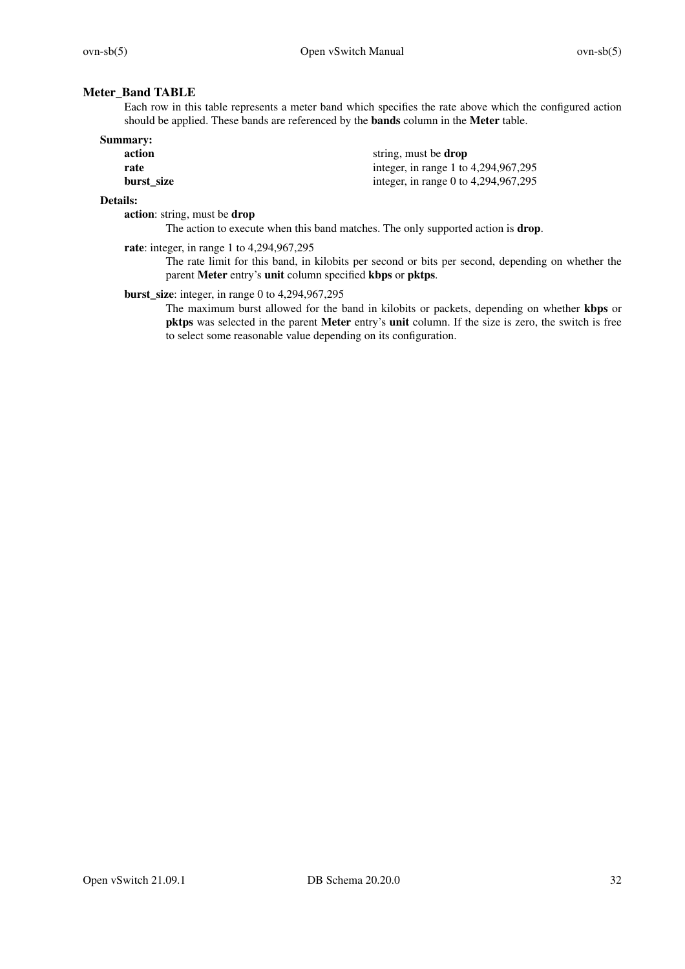# **Meter\_Band TABLE**

Each row in this table represents a meter band which specifies the rate above which the configured action should be applied. These bands are referenced by the **bands** column in the **Meter** table.

| Summary:   |                                      |
|------------|--------------------------------------|
| action     | string, must be <b>drop</b>          |
| rate       | integer, in range 1 to 4,294,967,295 |
| burst size | integer, in range 0 to 4,294,967,295 |

### **Details:**

**action**: string, must be **drop**

The action to execute when this band matches. The only supported action is **drop**.

**rate**: integer, in range 1 to 4,294,967,295

The rate limit for this band, in kilobits per second or bits per second, depending on whether the parent **Meter** entry's **unit** column specified **kbps** or **pktps**.

**burst\_size**: integer, in range 0 to 4,294,967,295

The maximum burst allowed for the band in kilobits or packets, depending on whether **kbps** or **pktps** was selected in the parent **Meter** entry's **unit** column. If the size is zero, the switch is free to select some reasonable value depending on its configuration.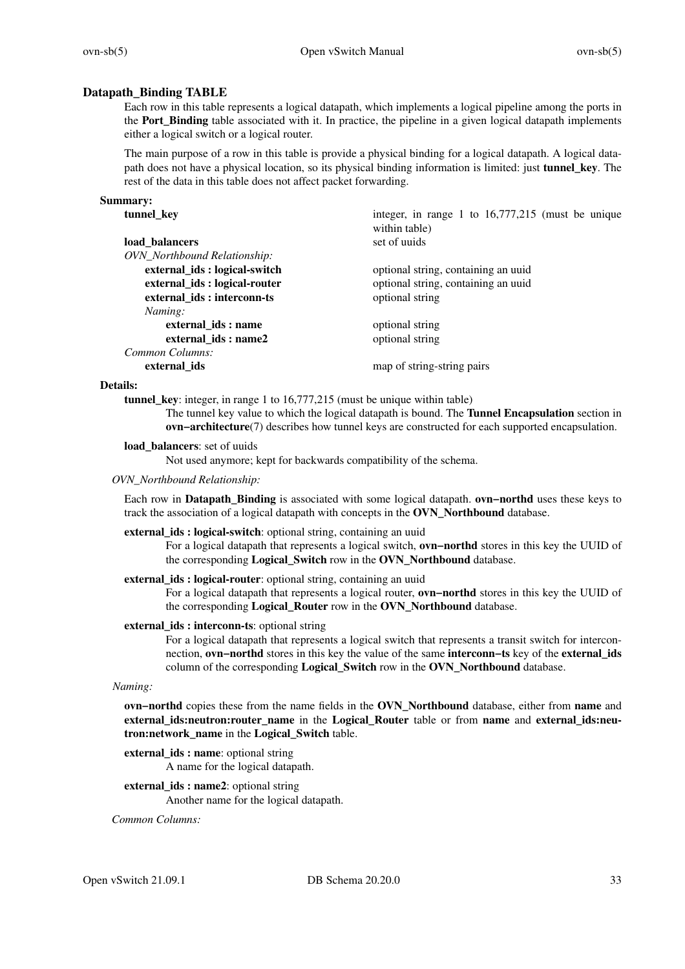# **Datapath\_Binding TABLE**

Each row in this table represents a logical datapath, which implements a logical pipeline among the ports in the **Port\_Binding** table associated with it. In practice, the pipeline in a given logical datapath implements either a logical switch or a logical router.

The main purpose of a row in this table is provide a physical binding for a logical datapath. A logical datapath does not have a physical location, so its physical binding information is limited: just **tunnel\_key**. The rest of the data in this table does not affect packet forwarding.

### **Summary:**

| tunnel_key                   | integer, in range 1 to $16,777,215$ (must be unique<br>within table) |
|------------------------------|----------------------------------------------------------------------|
| load balancers               | set of uuids                                                         |
|                              |                                                                      |
| OVN_Northbound Relationship: |                                                                      |
| external_ids: logical-switch | optional string, containing an uuid                                  |
| external_ids: logical-router | optional string, containing an uuid                                  |
| external ids: interconn-ts   | optional string                                                      |
| Naming:                      |                                                                      |
| external ids: name           | optional string                                                      |
| external_ids: name2          | optional string                                                      |
| Common Columns:              |                                                                      |
| external ids                 | map of string-string pairs                                           |

### **Details:**

**tunnel key**: integer, in range 1 to 16,777,215 (must be unique within table)

The tunnel key value to which the logical datapath is bound. The **Tunnel Encapsulation** section in **ovn−architecture**(7) describes how tunnel keys are constructed for each supported encapsulation.

### **load\_balancers**: set of uuids

Not used anymore; kept for backwards compatibility of the schema.

### *OVN\_Northbound Relationship:*

Each row in **Datapath\_Binding** is associated with some logical datapath. **ovn−northd** uses these keys to track the association of a logical datapath with concepts in the **OVN\_Northbound** database.

### **external\_ids : logical-switch**: optional string, containing an uuid

Foralogical datapath that represents a logical switch, **ovn−northd** stores in this key the UUID of the corresponding **Logical\_Switch** row in the **OVN\_Northbound** database.

### **external ids : logical-router**: optional string, containing an uuid

Foralogical datapath that represents a logical router, **ovn−northd** stores in this key the UUID of the corresponding **Logical\_Router** row in the **OVN\_Northbound** database.

### **external\_ids : interconn-ts**: optional string

For a logical datapath that represents a logical switch that represents a transit switch for interconnection, **ovn−northd** stores in this key the value of the same **interconn−ts** key of the **external\_ids** column of the corresponding **Logical\_Switch** row in the **OVN\_Northbound** database.

*Naming:*

**ovn−northd** copies these from the name fields in the **OVN\_Northbound** database, either from **name** and **external\_ids:neutron:router\_name** in the **Logical\_Router** table or from **name** and **external\_ids:neutron:network\_name** in the **Logical\_Switch** table.

- **external\_ids : name**: optional string A name for the logical datapath.
- **external\_ids : name2**: optional string Another name for the logical datapath.

*Common Columns:*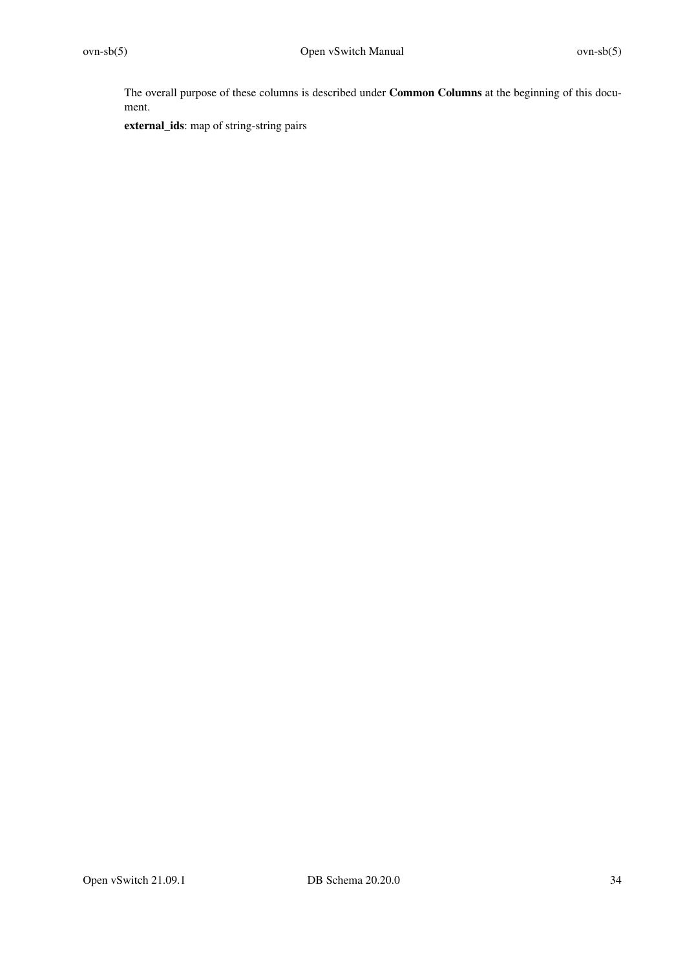The overall purpose of these columns is described under **Common Columns** at the beginning of this document.

**external\_ids**: map of string-string pairs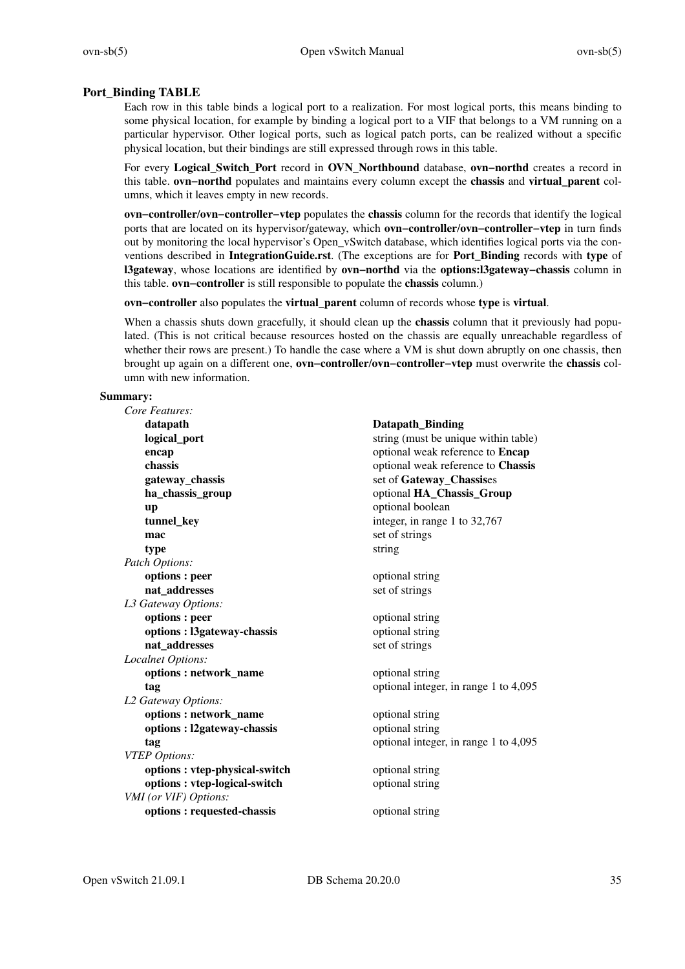# **Port\_Binding TABLE**

Each row in this table binds a logical port to a realization. For most logical ports, this means binding to some physical location, for example by binding a logical port to a VIF that belongs to a VM running on a particular hypervisor. Other logical ports, such as logical patch ports, can be realized without a specific physical location, but their bindings are still expressed through rows in this table.

For every **Logical\_Switch\_Port** record in **OVN\_Northbound** database, **ovn−northd** creates a record in this table. **ovn−northd** populates and maintains every column except the **chassis** and **virtual\_parent** columns, which it leaves empty in new records.

**ovn−controller**/**ovn−controller−vtep** populates the **chassis** column for the records that identify the logical ports that are located on its hypervisor/gateway, which **ovn−controller**/**ovn−controller−vtep** in turn finds out by monitoring the local hypervisor's Open\_vSwitch database, which identifies logical ports via the conventions described in **IntegrationGuide.rst**. (The exceptions are for **Port\_Binding** records with **type** of **l3gateway**, whose locations are identified by **ovn−northd** via the **options:l3gateway−chassis** column in this table. **ovn−controller** is still responsible to populate the **chassis** column.)

**ovn−controller** also populates the **virtual\_parent** column of records whose **type** is **virtual**.

When a chassis shuts down gracefully, it should clean up the **chassis** column that it previously had populated. (This is not critical because resources hosted on the chassis are equally unreachable regardless of whether their rows are present.) To handle the case where a VM is shut down abruptly on one chassis, then brought up again on a different one, **ovn−controller**/**ovn−controller−vtep** must overwrite the **chassis** column with new information.

#### **Summary:**

| Core Features:                |                                       |
|-------------------------------|---------------------------------------|
| datapath                      | Datapath_Binding                      |
| logical_port                  | string (must be unique within table)  |
| encap                         | optional weak reference to Encap      |
| chassis                       | optional weak reference to Chassis    |
| gateway_chassis               | set of Gateway_Chassises              |
| ha_chassis_group              | optional HA_Chassis_Group             |
| up                            | optional boolean                      |
| tunnel_key                    | integer, in range 1 to 32,767         |
| mac                           | set of strings                        |
| type                          | string                                |
| Patch Options:                |                                       |
| options : peer                | optional string                       |
| nat_addresses                 | set of strings                        |
| L3 Gateway Options:           |                                       |
| options : peer                | optional string                       |
| options: 13gateway-chassis    | optional string                       |
| nat addresses                 | set of strings                        |
| Localnet Options:             |                                       |
| options: network_name         | optional string                       |
| tag                           | optional integer, in range 1 to 4,095 |
| L2 Gateway Options:           |                                       |
| options: network_name         | optional string                       |
| options : l2gateway-chassis   | optional string                       |
| tag                           | optional integer, in range 1 to 4,095 |
| <b>VTEP</b> Options:          |                                       |
| options: vtep-physical-switch | optional string                       |
| options : vtep-logical-switch | optional string                       |
| VMI (or VIF) Options:         |                                       |
| options: requested-chassis    | optional string                       |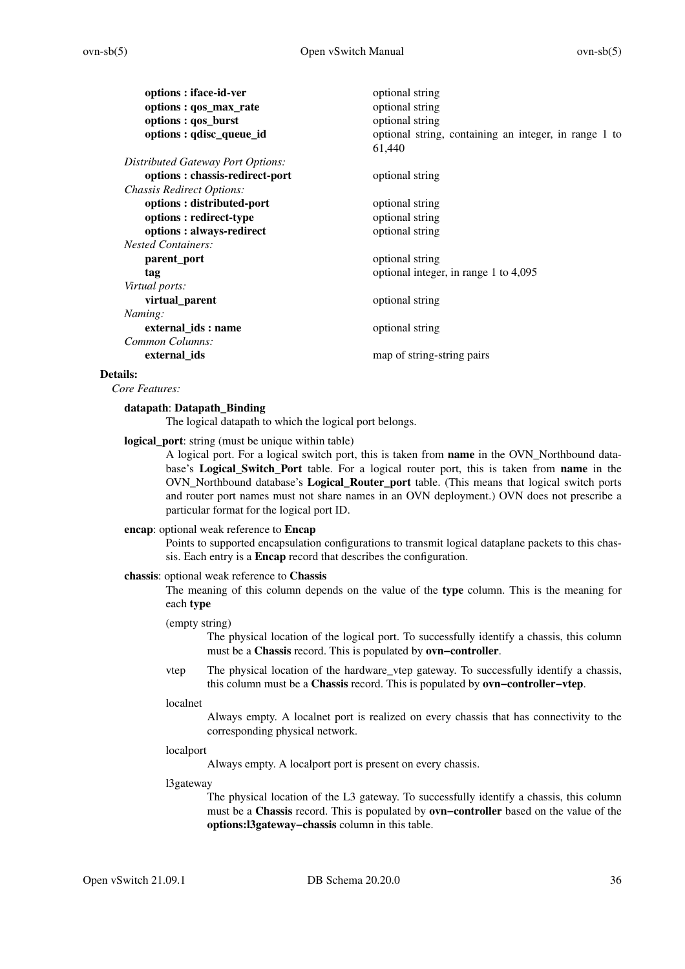| optional string                                                 |
|-----------------------------------------------------------------|
| optional string                                                 |
| optional string                                                 |
| optional string, containing an integer, in range 1 to<br>61,440 |
|                                                                 |
| optional string                                                 |
|                                                                 |
| optional string                                                 |
| optional string                                                 |
| optional string                                                 |
|                                                                 |
| optional string                                                 |
| optional integer, in range 1 to 4,095                           |
|                                                                 |
| optional string                                                 |
|                                                                 |
| optional string                                                 |
|                                                                 |
| map of string-string pairs                                      |
|                                                                 |

### **Details:**

*Core Features:*

### **datapath**: **Datapath\_Binding**

The logical datapath to which the logical port belongs.

**logical\_port**: string (must be unique within table)

A logical port. For a logical switch port, this is taken from **name** in the OVN\_Northbound database's **Logical\_Switch\_Port** table. For a logical router port, this is taken from **name** in the OVN\_Northbound database's **Logical\_Router\_port** table. (This means that logical switch ports and router port names must not share names in an OVN deployment.) OVN does not prescribe a particular format for the logical port ID.

### **encap**: optional weak reference to **Encap**

Points to supported encapsulation configurations to transmit logical dataplane packets to this chassis. Each entry is a **Encap** record that describes the configuration.

#### **chassis**: optional weak reference to **Chassis**

The meaning of this column depends on the value of the **type** column. This is the meaning for each **type**

### (empty string)

The physical location of the logical port. To successfully identify a chassis, this column must be a **Chassis** record. This is populated by **ovn−controller**.

vtep The physical location of the hardware\_vtep gateway. To successfully identify a chassis, this column must be a **Chassis** record. This is populated by **ovn−controller−vtep**.

### localnet

Always empty.Alocalnet port is realized on every chassis that has connectivity to the corresponding physical network.

#### localport

Always empty.Alocalport port is present on every chassis.

l3gateway

The physical location of the L3 gateway. To successfully identify a chassis, this column must be a **Chassis** record. This is populated by **ovn−controller** based on the value of the **options:l3gateway−chassis** column in this table.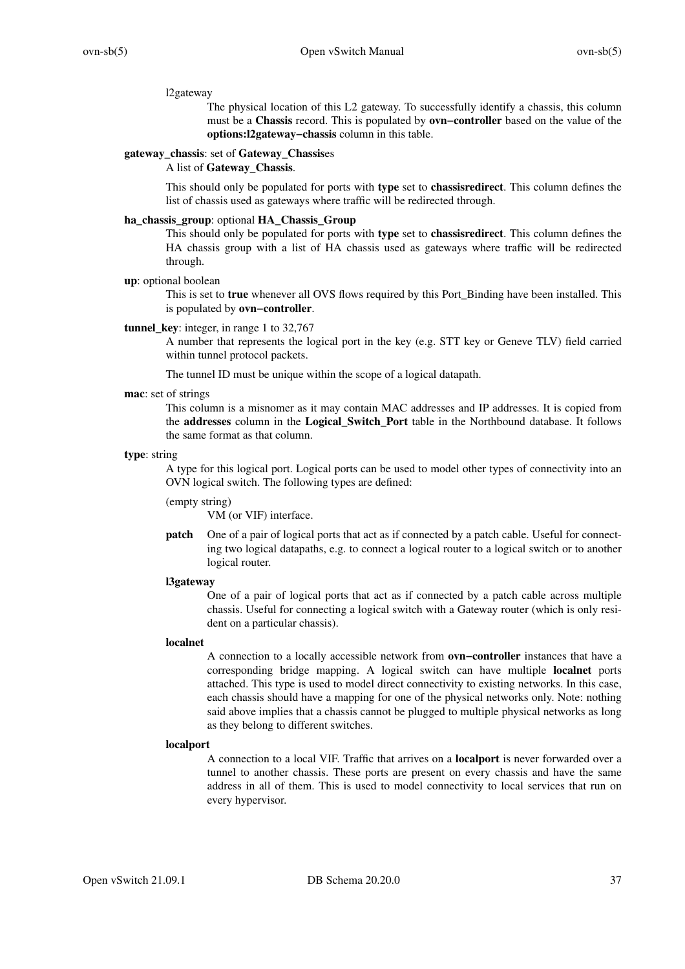### l2gateway

The physical location of this L2 gateway. To successfully identify a chassis, this column must be a **Chassis** record. This is populated by **ovn−controller** based on the value of the **options:l2gateway−chassis** column in this table.

#### **gateway\_chassis**: set of **Gateway\_Chassis**es

#### A list of **Gateway\_Chassis**.

This should only be populated for ports with **type** set to **chassisredirect**. This column defines the list of chassis used as gateways where traffic will be redirected through.

### **ha\_chassis\_group**: optional **HA\_Chassis\_Group**

This should only be populated for ports with **type** set to **chassisredirect**. This column defines the HA chassis group with a list of HA chassis used as gateways where traffic will be redirected through.

### **up**: optional boolean

This is set to **true** whenever all OVS flows required by this Port\_Binding have been installed. This is populated by **ovn−controller**.

#### **tunnel\_key**: integer, in range 1 to 32,767

A number that represents the logical port in the key (e.g. STT key or Geneve TLV) field carried within tunnel protocol packets.

The tunnel ID must be unique within the scope of a logical datapath.

#### **mac**: set of strings

This column is a misnomer as it may contain MAC addresses and IP addresses. It is copied from the **addresses** column in the **Logical\_Switch\_Port** table in the Northbound database. It follows the same format as that column.

#### **type**: string

A type for this logical port. Logical ports can be used to model other types of connectivity into an OVN logical switch. The following types are defined:

### (empty string)

VM (or VIF) interface.

**patch** One of a pair of logical ports that act as if connected by a patch cable. Useful for connecting two logical datapaths, e.g. to connect a logical router to a logical switch or to another logical router.

#### **l3gateway**

One of a pair of logical ports that act as if connected by a patch cable across multiple chassis. Useful for connecting a logical switch with a Gateway router (which is only resident on a particular chassis).

#### **localnet**

A connection to a locally accessible network from **ovn−controller** instances that have a corresponding bridge mapping. A logical switch can have multiple **localnet** ports attached. This type is used to model direct connectivity to existing networks. In this case, each chassis should have a mapping for one of the physical networks only. Note: nothing said above implies that a chassis cannot be plugged to multiple physical networks as long as they belong to different switches.

#### **localport**

A connection to a local VIF. Traffic that arrives on a **localport** is never forwarded over a tunnel to another chassis. These ports are present on every chassis and have the same address in all of them. This is used to model connectivity to local services that run on every hypervisor.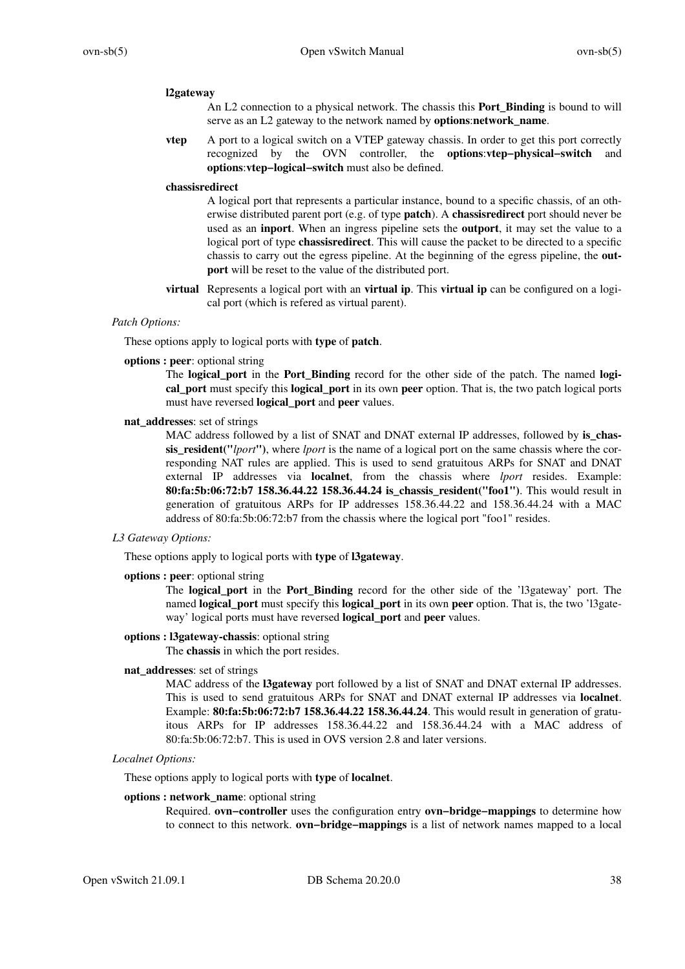#### **l2gateway**

An L2 connection to a physical network. The chassis this **Port\_Binding** is bound to will serve as an L2 gateway to the network named by **options**:**network\_name**.

**vtep** A port to a logical switch on a VTEP gateway chassis. In order to get this port correctly recognized by the OVN controller, the **options**:**vtep−physical−switch** and **options**:**vtep−logical−switch** must also be defined.

#### **chassisredirect**

A logical port that represents a particular instance, bound to a specific chassis, of an otherwise distributed parent port (e.g. of type **patch**). A **chassisredirect** port should never be used as an **inport**. When an ingress pipeline sets the **outport**, it may set the value to a logical port of type **chassisredirect**. This will cause the packet to be directed to a specific chassis to carry out the egress pipeline. At the beginning of the egress pipeline, the **outport** will be reset to the value of the distributed port.

**virtual** Represents a logical port with an **virtual ip**. This **virtual ip** can be configured on a logical port (which is refered as virtual parent).

### *Patch Options:*

These options apply to logical ports with **type** of **patch**.

#### **options : peer**: optional string

The **logical\_port** in the **Port\_Binding** record for the other side of the patch. The named **logical\_port** must specify this **logical\_port** in its own **peer** option. That is, the two patch logical ports must have reversed **logical\_port** and **peer** values.

### **nat\_addresses**: set of strings

MAC address followed by a list of SNAT and DNAT external IP addresses, followed by **is chassis\_resident("***lport***")**, where *lport* is the name of a logical port on the same chassis where the corresponding NAT rules are applied. This is used to send gratuitous ARPs for SNAT and DNAT external IP addresses via **localnet**, from the chassis where *lport* resides. Example: **80:fa:5b:06:72:b7 158.36.44.22 158.36.44.24 is\_chassis\_resident("foo1")**. This would result in generation of gratuitous ARPs for IP addresses 158.36.44.22 and 158.36.44.24 with a MAC address of 80:fa:5b:06:72:b7 from the chassis where the logical port "foo1" resides.

### *L3 Gateway Options:*

These options apply to logical ports with **type** of **l3gateway**.

**options : peer**: optional string

The **logical\_port** in the **Port\_Binding** record for the other side of the 'l3gateway' port. The named **logical\_port** must specify this **logical\_port** in its own **peer** option. That is, the two 'l3gateway' logical ports must have reversed **logical\_port** and **peer** values.

### **options : l3gateway-chassis**: optional string

The **chassis** in which the port resides.

#### **nat\_addresses**: set of strings

MAC address of the **l3gateway** port followed by a list of SNAT and DNAT external IP addresses. This is used to send gratuitous ARPs for SNAT and DNAT external IP addresses via **localnet**. Example: **80:fa:5b:06:72:b7 158.36.44.22 158.36.44.24**. This would result in generation of gratuitous ARPs for IP addresses 158.36.44.22 and 158.36.44.24 with a MAC address of 80:fa:5b:06:72:b7. This is used in OVS version 2.8 and later versions.

#### *Localnet Options:*

These options apply to logical ports with **type** of **localnet**.

## **options : network\_name**: optional string

Required. **ovn−controller** uses the configuration entry **ovn−bridge−mappings** to determine how to connect to this network. **ovn−bridge−mappings** is a list of network names mapped to a local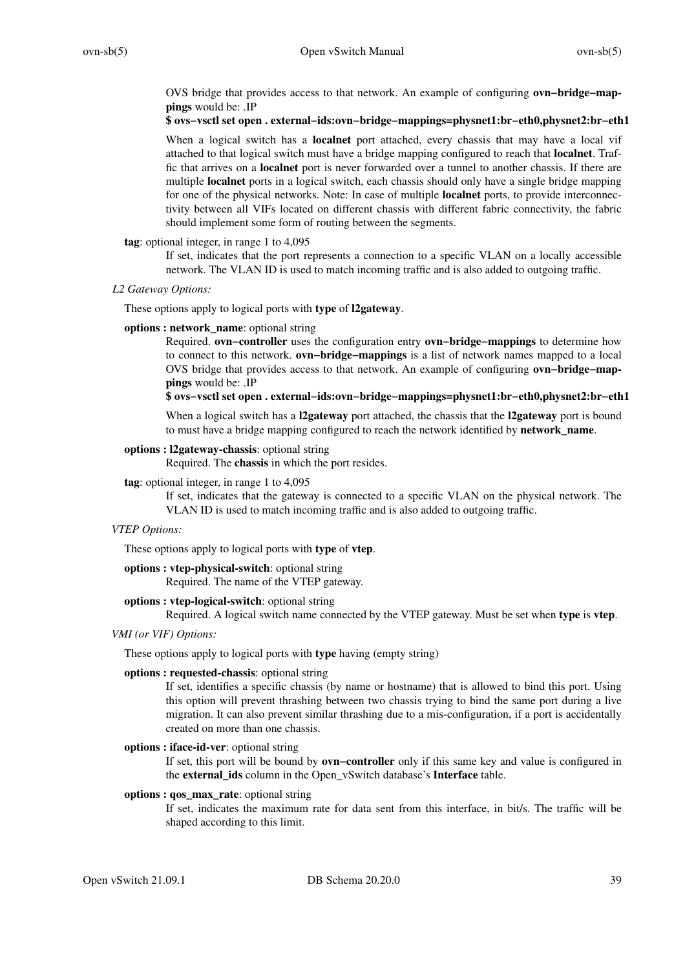OVS bridge that provides access to that network. An example of configuring **ovn−bridge−mappings** would be: .IP

### **\$ ovs−vsctl set open . external−ids:ovn−bridge−mappings=physnet1:br−eth0,physnet2:br−eth1**

When a logical switch has a **localnet** port attached, every chassis that may have a local vif attached to that logical switch must have a bridge mapping configured to reach that **localnet**. Traffic that arrives on a **localnet** port is never forwarded overatunnel to another chassis. If there are multiple **localnet** ports in a logical switch, each chassis should only have a single bridge mapping for one of the physical networks. Note: In case of multiple **localnet** ports, to provide interconnectivity between all VIFs located on different chassis with different fabric connectivity, the fabric should implement some form of routing between the segments.

### **tag**: optional integer, in range 1 to 4,095

If set, indicates that the port represents a connection to a specific VLAN on a locally accessible network. The VLAN ID is used to match incoming traffic and is also added to outgoing traffic.

#### *L2 Gateway Options:*

These options apply to logical ports with **type** of **l2gateway**.

### **options : network\_name**: optional string

Required. **ovn−controller** uses the configuration entry **ovn−bridge−mappings** to determine how to connect to this network. **ovn−bridge−mappings** is a list of network names mapped to a local OVS bridge that provides access to that network. An example of configuring **ovn−bridge−mappings** would be: .IP

### **\$ ovs−vsctl set open . external−ids:ovn−bridge−mappings=physnet1:br−eth0,physnet2:br−eth1**

When a logical switch has a **l2gateway** port attached, the chassis that the **l2gateway** port is bound to must have a bridge mapping configured to reach the network identified by **network\_name**.

### **options : l2gateway-chassis**: optional string

Required. The **chassis** in which the port resides.

#### **tag**: optional integer, in range 1 to 4,095

If set, indicates that the gateway is connected to a specific VLAN on the physical network. The VLAN ID is used to match incoming traffic and is also added to outgoing traffic.

#### *VTEP Options:*

These options apply to logical ports with **type** of **vtep**.

### **options : vtep-physical-switch**: optional string

Required. The name of the VTEP gateway.

### **options : vtep-logical-switch**: optional string

Required. A logical switch name connected by the VTEP gateway. Must be set when **type** is **vtep**.

### *VMI (or VIF) Options:*

These options apply to logical ports with **type** having (empty string)

### **options : requested-chassis**: optional string

If set, identifies a specific chassis (by name or hostname) that is allowed to bind this port. Using this option will prevent thrashing between two chassis trying to bind the same port during a live migration. It can also prevent similar thrashing due to a mis-configuration, if a port is accidentally created on more than one chassis.

### **options : iface-id-ver**: optional string

If set, this port will be bound by **ovn−controller** only if this same key and value is configured in the **external\_ids** column in the Open\_vSwitch database's **Interface** table.

#### **options : qos\_max\_rate**: optional string

If set, indicates the maximum rate for data sent from this interface, in bit/s. The traffic will be shaped according to this limit.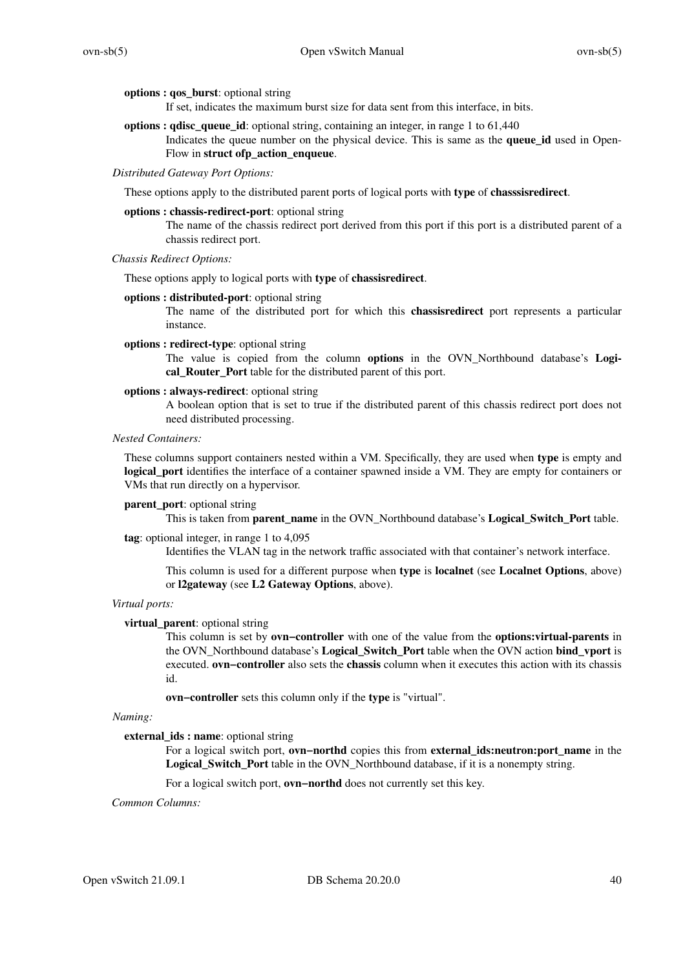### **options : qos\_burst**: optional string

If set, indicates the maximum burst size for data sent from this interface, in bits.

**options : qdisc\_queue\_id**: optional string, containing an integer, in range 1 to 61,440 Indicates the queue number on the physical device. This is same as the **queue\_id** used in Open-Flow in **struct ofp\_action\_enqueue**.

### *Distributed Gateway Port Options:*

These options apply to the distributed parent ports of logical ports with **type** of **chasssisredirect**.

#### **options : chassis-redirect-port**: optional string

The name of the chassis redirect port derived from this port if this port is a distributed parent of a chassis redirect port.

### *Chassis Redirect Options:*

These options apply to logical ports with **type** of **chassisredirect**.

#### **options : distributed-port**: optional string

The name of the distributed port for which this **chassisredirect** port represents a particular instance.

### **options : redirect-type**: optional string

The value is copied from the column **options** in the OVN\_Northbound database's **Logical\_Router\_Port** table for the distributed parent of this port.

### **options : always-redirect**: optional string

A boolean option that is set to true if the distributed parent of this chassis redirect port does not need distributed processing.

#### *Nested Containers:*

These columns support containers nested within a VM. Specifically, they are used when **type** is empty and **logical\_port** identifies the interface of a container spawned inside a VM. They are empty for containers or VMs that run directly on a hypervisor.

### **parent\_port**: optional string

This is taken from **parent\_name** in the OVN\_Northbound database's **Logical\_Switch\_Port** table.

### **tag**: optional integer, in range 1 to 4,095

Identifies the VLAN tag in the network traffic associated with that container's network interface.

This column is used for a different purpose when **type** is **localnet** (see **Localnet Options**, above) or **l2gateway** (see **L2 Gateway Options**, above).

### *Virtual ports:*

#### **virtual\_parent**: optional string

This column is set by **ovn−controller** with one of the value from the **options:virtual-parents** in the OVN\_Northbound database's **Logical\_Switch\_Port** table when the OVN action **bind\_vport** is executed. **ovn−controller** also sets the **chassis** column when it executes this action with its chassis id.

**ovn−controller** sets this column only if the **type** is "virtual".

### *Naming:*

### **external\_ids : name**: optional string

For a logical switch port, **ovn−northd** copies this from **external\_ids:neutron:port\_name** in the **Logical\_Switch\_Port** table in the OVN\_Northbound database, if it is a nonempty string.

Foralogical switch port, **ovn−northd** does not currently set this key.

### *Common Columns:*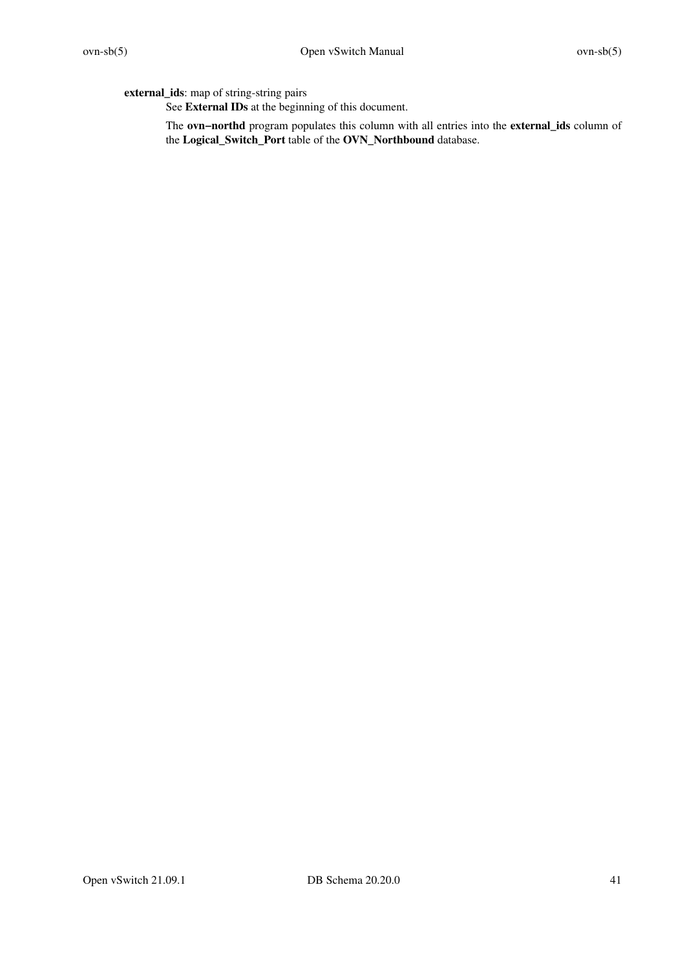**external\_ids**: map of string-string pairs

See **External IDs** at the beginning of this document.

The **ovn−northd** program populates this column with all entries into the **external\_ids** column of the **Logical\_Switch\_Port** table of the **OVN\_Northbound** database.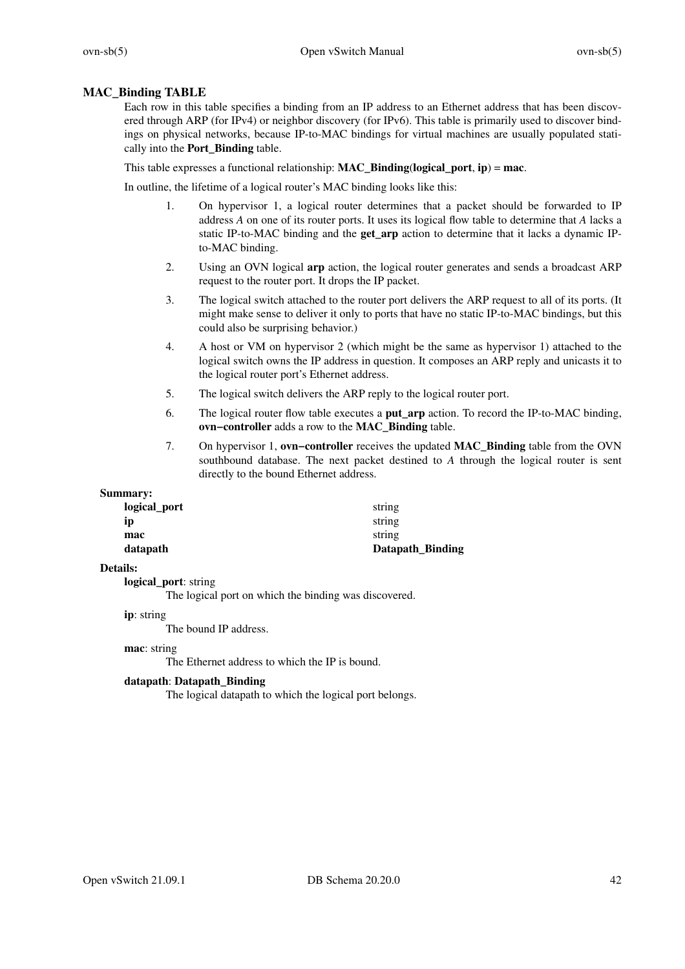### **MAC\_Binding TABLE**

Each row in this table specifies a binding from an IP address to an Ethernet address that has been discovered through ARP (for IPv4) or neighbor discovery (for IPv6). This table is primarily used to discover bindings on physical networks, because IP-to-MAC bindings for virtual machines are usually populated statically into the **Port\_Binding** table.

This table expresses a functional relationship: **MAC\_Binding**(**logical\_port**, **ip**) = **mac**.

In outline, the lifetime of a logical router's MAC binding looks like this:

- 1. On hypervisor 1, a logical router determines that a packet should be forwarded to IP address *A* on one of its router ports. It uses its logical flow table to determine that *A* lacks a static IP-to-MAC binding and the **get\_arp** action to determine that it lacks a dynamic IPto-MAC binding.
- 2. Using an OVN logical **arp** action, the logical router generates and sends a broadcast ARP request to the router port. It drops the IP packet.
- 3. The logical switch attached to the router port delivers the ARP request to all of its ports. (It might make sense to deliver it only to ports that have no static IP-to-MAC bindings, but this could also be surprising behavior.)
- 4. A host or VM on hypervisor 2 (which might be the same as hypervisor 1) attached to the logical switch owns the IP address in question. It composes an ARP reply and unicasts it to the logical router port's Ethernet address.
- 5. The logical switch delivers the ARP reply to the logical router port.
- 6. The logical router flow table executes a **put\_arp** action. To record the IP-to-MAC binding, **ovn−controller** adds a row to the **MAC\_Binding** table.
- 7. On hypervisor 1, **ovn−controller** receives the updated **MAC\_Binding** table from the OVN southbound database. The next packet destined to *A* through the logical router is sent directly to the bound Ethernet address.

### **Summary:**

| datapath     | Datapath_Binding |
|--------------|------------------|
| mac          | string           |
| ip           | string           |
| logical_port | string           |

### **Details:**

**logical\_port**: string

The logical port on which the binding was discovered.

### **ip**: string

The bound IP address.

### **mac**: string

The Ethernet address to which the IP is bound.

### **datapath**: **Datapath\_Binding**

The logical datapath to which the logical port belongs.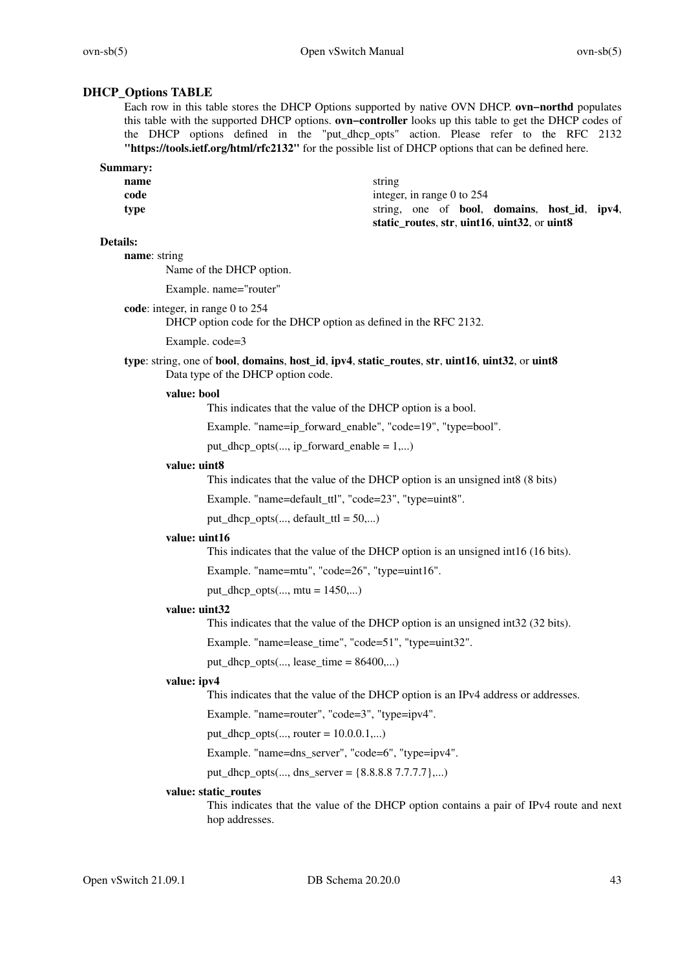# **DHCP\_Options TABLE**

Each row in this table stores the DHCP Options supported by native OVN DHCP. **ovn−northd** populates this table with the supported DHCP options. **ovn−controller** looks up this table to get the DHCP codes of the DHCP options defined in the "put\_dhcp\_opts" action. Please refer to the RFC 2132 **"https://tools.ietf.org/html/rfc2132"** for the possible list of DHCP options that can be defined here.

| Summary: |                                              |
|----------|----------------------------------------------|
| name     | string                                       |
| code     | integer, in range 0 to $254$                 |
| tvpe     | string, one of bool, domains, host id, ipv4, |
|          | static_routes, str, uint16, uint32, or uint8 |

#### **Details:**

**name**: string

Name of the DHCP option.

Example. name="router"

**code**: integer, in range 0 to 254

DHCP option code for the DHCP option as defined in the RFC 2132.

Example. code=3

**type**: string, one of **bool**, **domains**, **host\_id**, **ipv4**, **static\_routes**, **str**, **uint16**, **uint32**, or **uint8** Data type of the DHCP option code.

#### **value: bool**

This indicates that the value of the DHCP option is a bool.

Example. "name=ip\_forward\_enable", "code=19", "type=bool".

put\_dhcp\_opts(..., ip\_forward\_enable = 1,...)

### **value: uint8**

This indicates that the value of the DHCP option is an unsigned int8 (8 bits)

Example. "name=default\_ttl", "code=23", "type=uint8".

put\_dhcp\_opts $(...,$  default\_ttl = 50,...)

### **value: uint16**

This indicates that the value of the DHCP option is an unsigned int16 (16 bits).

Example. "name=mtu", "code=26", "type=uint16".

put\_dhcp\_opts $(...,$  mtu = 1450,...)

#### **value: uint32**

This indicates that the value of the DHCP option is an unsigned int32 (32 bits).

Example. "name=lease\_time", "code=51", "type=uint32".

put\_dhcp\_opts $(..., \text{lease\_time} = 86400,...)$ 

#### **value: ipv4**

This indicates that the value of the DHCP option is an IPv4 address or addresses.

Example. "name=router", "code=3", "type=ipv4".

put\_dhcp\_opts $(..., router = 10.0.0.1,...)$ 

Example. "name=dns\_server", "code=6", "type=ipv4".

put\_dhcp\_opts(..., dns\_server =  $\{8.8.8.8.7.7.7.7\}...$ )

#### **value: static\_routes**

This indicates that the value of the DHCP option contains a pair of IPv4 route and next hop addresses.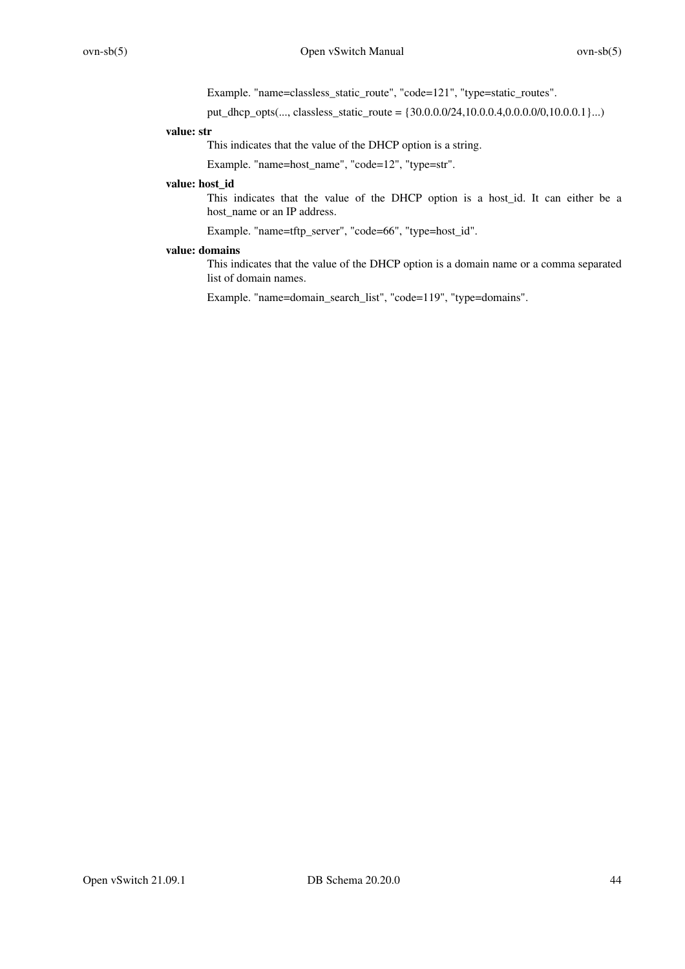Example. "name=classless\_static\_route", "code=121", "type=static\_routes".

put dhcp opts(..., classless static route = { $30.0.0.0/24,10.0.0.4,0.0.0.0/0,10.0.0.1$ }...)

### **value: str**

This indicates that the value of the DHCP option is a string.

Example. "name=host\_name", "code=12", "type=str".

# **value: host\_id**

This indicates that the value of the DHCP option is a host\_id. It can either be a host\_name or an IP address.

Example. "name=tftp\_server", "code=66", "type=host\_id".

### **value: domains**

This indicates that the value of the DHCP option is a domain name or a comma separated list of domain names.

Example. "name=domain\_search\_list", "code=119", "type=domains".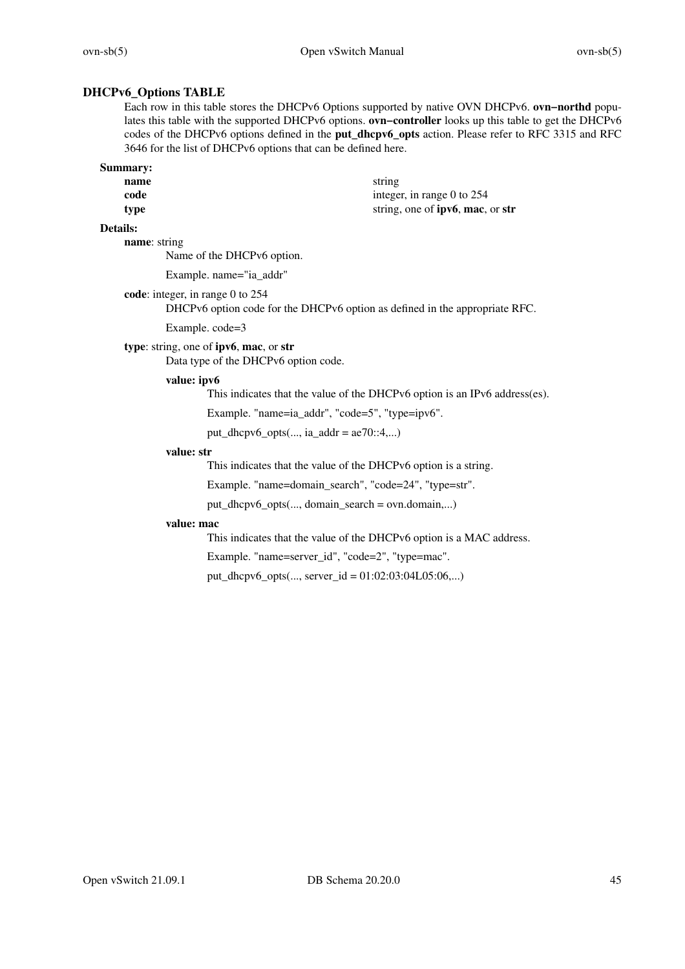# **DHCPv6\_Options TABLE**

Each row in this table stores the DHCPv6 Options supported by native OVN DHCPv6. **ovn−northd** populates this table with the supported DHCPv6 options. **ovn−controller** looks up this table to get the DHCPv6 codes of the DHCPv6 options defined in the **put\_dhcpv6\_opts** action. Please refer to RFC 3315 and RFC 3646 for the list of DHCPv6 options that can be defined here.

| Summary: |                                          |
|----------|------------------------------------------|
| name     | string                                   |
| code     | integer, in range 0 to $254$             |
| type     | string, one of <b>ipv6</b> , mac, or str |

### **Details:**

**name**: string

Name of the DHCPv6 option.

Example. name="ia\_addr"

**code**: integer, in range 0 to 254

DHCPv6 option code for the DHCPv6 option as defined in the appropriate RFC.

Example. code=3

### **type**: string, one of **ipv6**, **mac**, or **str**

Data type of the DHCPv6 option code.

### **value: ipv6**

This indicates that the value of the DHCPv6 option is an IPv6 address(es).

Example. "name=ia\_addr", "code=5", "type=ipv6".

put\_dhcpv6\_opts $(..., ia\_addr = ae70::4,...)$ 

#### **value: str**

This indicates that the value of the DHCPv6 option is a string.

Example. "name=domain\_search", "code=24", "type=str".

put\_dhcpv6\_opts(..., domain\_search = ovn.domain,...)

### **value: mac**

This indicates that the value of the DHCPv6 option is a MAC address.

Example. "name=server\_id", "code=2", "type=mac".

put\_dhcpv6\_opts(..., server\_id = 01:02:03:04L05:06,...)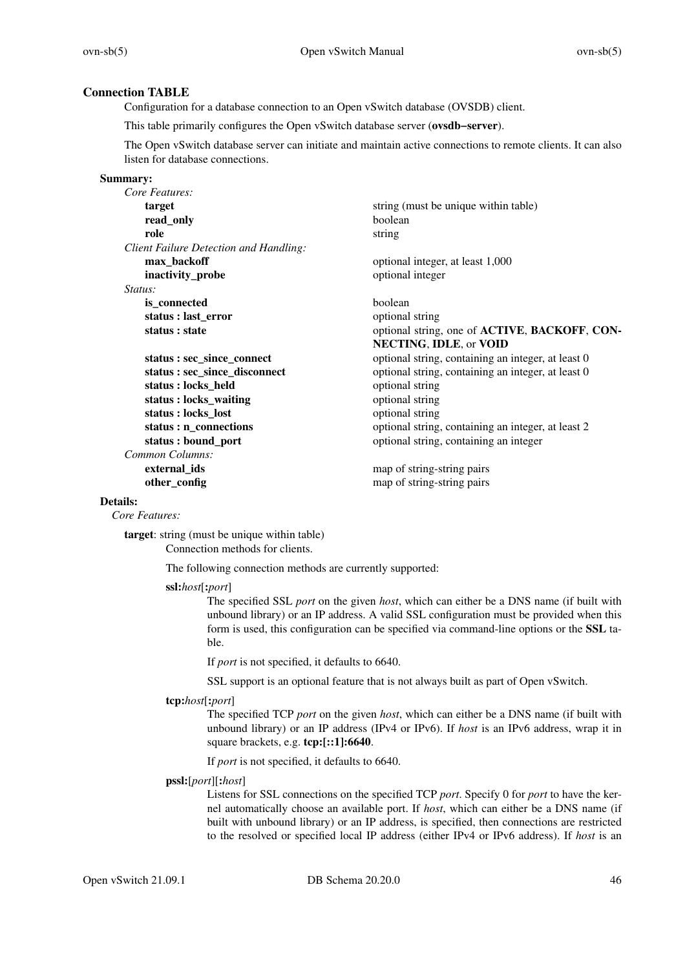# **Connection TABLE**

Configuration for a database connection to an Open vSwitch database (OVSDB) client.

This table primarily configures the Open vSwitch database server (**ovsdb−server**).

The Open vSwitch database server can initiate and maintain active connections to remote clients. It can also listen for database connections.

#### **Summary:**

| Core Features:                         |                                                                      |
|----------------------------------------|----------------------------------------------------------------------|
| target                                 | string (must be unique within table)                                 |
| read_only                              | boolean                                                              |
| role                                   | string                                                               |
| Client Failure Detection and Handling: |                                                                      |
| max_backoff                            | optional integer, at least 1,000                                     |
| inactivity_probe                       | optional integer                                                     |
| Status:                                |                                                                      |
| is_connected                           | boolean                                                              |
| status : last_error                    | optional string                                                      |
| status : state                         | optional string, one of <b>ACTIVE</b> , <b>BACKOFF</b> , <b>CON-</b> |
|                                        | <b>NECTING, IDLE, or VOID</b>                                        |
| status : sec_since_connect             | optional string, containing an integer, at least 0                   |
| status: sec_since_disconnect           | optional string, containing an integer, at least 0                   |
| status: locks_held                     | optional string                                                      |
| status : locks_waiting                 | optional string                                                      |
| status : locks_lost                    | optional string                                                      |
| status : n_connections                 | optional string, containing an integer, at least 2                   |
| status: bound_port                     | optional string, containing an integer                               |
| Common Columns:                        |                                                                      |
| external ids                           | map of string-string pairs                                           |
| other_config                           | map of string-string pairs                                           |

#### **Details:**

*Core Features:*

**target**: string (must be unique within table) Connection methods for clients.

The following connection methods are currently supported:

**ssl:***host*[**:***port*]

The specified SSL *port* on the given *host*, which can either be a DNS name (if built with unbound library) or an IP address. A valid SSL configuration must be provided when this form is used, this configuration can be specified via command-line options or the **SSL** table.

If *port* is not specified, it defaults to 6640.

SSL support is an optional feature that is not always built as part of Open vSwitch.

#### **tcp:***host*[**:***port*]

The specified TCP *port* on the given *host*, which can either be a DNS name (if built with unbound library) or an IP address (IPv4 or IPv6). If *host* is an IPv6 address, wrap it in square brackets, e.g. **tcp:[::1]:6640**.

If *port* is not specified, it defaults to 6640.

#### **pssl:**[*port*][**:***host*]

Listens for SSL connections on the specified TCP *port*. Specify 0 for *port* to have the kernel automatically choose an available port. If *host*, which can either be a DNS name (if built with unbound library) or an IP address, is specified, then connections are restricted to the resolved or specified local IP address (either IPv4 or IPv6 address). If *host* is an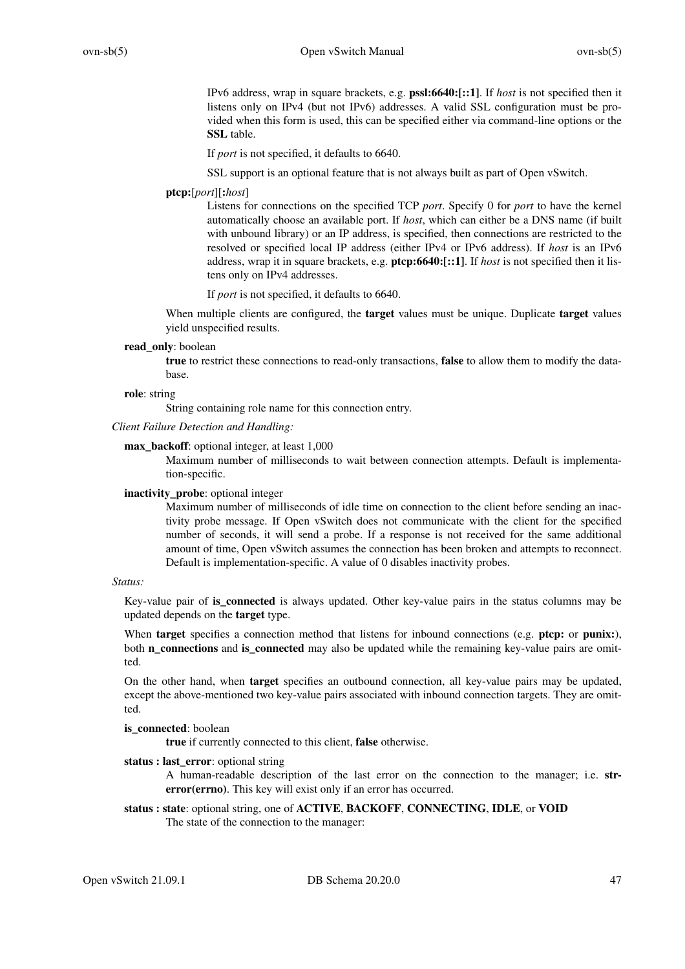IPv6 address, wrap in square brackets, e.g. **pssl:6640:[::1]**. If *host* is not specified then it listens only on IPv4 (but not IPv6) addresses. A valid SSL configuration must be provided when this form is used, this can be specified either via command-line options or the **SSL** table.

If *port* is not specified, it defaults to 6640.

SSL support is an optional feature that is not always built as part of Open vSwitch.

#### **ptcp:**[*port*][**:***host*]

Listens for connections on the specified TCP *port*. Specify 0 for *port* to have the kernel automatically choose an available port. If *host*, which can either be a DNS name (if built with unbound library) or an IP address, is specified, then connections are restricted to the resolved or specified local IP address (either IPv4 or IPv6 address). If *host* is an IPv6 address, wrap it in square brackets, e.g. **ptcp:6640:[::1]**. If *host* is not specified then it listens only on IPv4 addresses.

If *port* is not specified, it defaults to 6640.

When multiple clients are configured, the **target** values must be unique. Duplicate **target** values yield unspecified results.

### **read\_only**: boolean

**true** to restrict these connections to read-only transactions, **false** to allow them to modify the database.

#### **role**: string

String containing role name for this connection entry.

### *Client Failure Detection and Handling:*

### **max\_backoff**: optional integer, at least 1,000

Maximum number of milliseconds to wait between connection attempts. Default is implementation-specific.

#### **inactivity\_probe**: optional integer

Maximum number of milliseconds of idle time on connection to the client before sending an inactivity probe message. If Open vSwitch does not communicate with the client for the specified number of seconds, it will send a probe. If a response is not received for the same additional amount of time, Open vSwitch assumes the connection has been broken and attempts to reconnect. Default is implementation-specific. A value of 0 disables inactivity probes.

#### *Status:*

Key-value pair of **is\_connected** is always updated. Other key-value pairs in the status columns may be updated depends on the **target** type.

When **target** specifies a connection method that listens for inbound connections (e.g. **ptcp:** or **punix:**), both **n\_connections** and **is\_connected** may also be updated while the remaining key-value pairs are omitted.

On the other hand, when **target** specifies an outbound connection, all key-value pairs may be updated, except the above-mentioned two key-value pairs associated with inbound connection targets. They are omitted.

## **is** connected: boolean

**true** if currently connected to this client, **false** otherwise.

### **status : last\_error**: optional string

A human-readable description of the last error on the connection to the manager; i.e. **strerror(errno)**. This key will exist only if an error has occurred.

**status : state**: optional string, one of **ACTIVE**, **BACKOFF**, **CONNECTING**, **IDLE**, or **VOID** The state of the connection to the manager: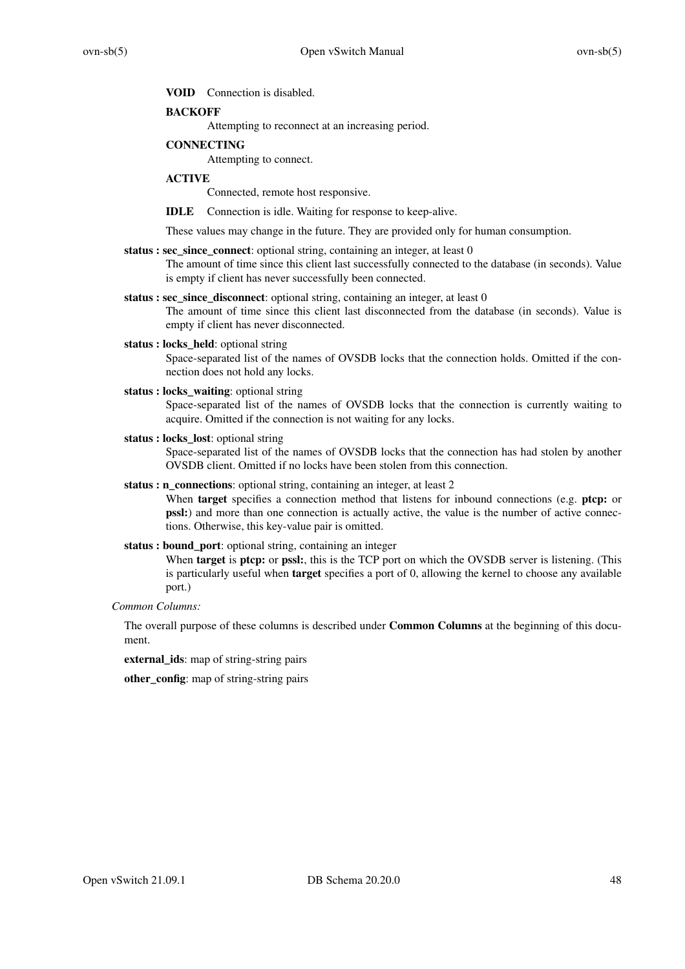#### **VOID** Connection is disabled.

### **BACKOFF**

Attempting to reconnect at an increasing period.

### **CONNECTING**

Attempting to connect.

### **ACTIVE**

Connected, remote host responsive.

**IDLE** Connection is idle. Waiting for response to keep-alive.

These values may change in the future. They are provided only for human consumption.

### **status : sec\_since\_connect**: optional string, containing an integer, at least 0

The amount of time since this client last successfully connected to the database (in seconds). Value is empty if client has never successfully been connected.

- **status : sec\_since\_disconnect**: optional string, containing an integer, at least 0 The amount of time since this client last disconnected from the database (in seconds). Value is
	- empty if client has never disconnected.
- status : locks held: optional string

Space-separated list of the names of OVSDB locks that the connection holds. Omitted if the connection does not hold any locks.

**status : locks\_waiting**: optional string

Space-separated list of the names of OVSDB locks that the connection is currently waiting to acquire. Omitted if the connection is not waiting for any locks.

**status : locks\_lost**: optional string

Space-separated list of the names of OVSDB locks that the connection has had stolen by another OVSDB client. Omitted if no locks have been stolen from this connection.

**status : n\_connections**: optional string, containing an integer, at least 2

When **target** specifies a connection method that listens for inbound connections (e.g. **ptcp:** or **pssl:**) and more than one connection is actually active, the value is the number of active connections. Otherwise, this key-value pair is omitted.

### **status : bound\_port**: optional string, containing an integer

When **target** is **ptcp:** or **pssl:**, this is the TCP port on which the OVSDB server is listening. (This is particularly useful when **target** specifies a port of 0, allowing the kernel to choose any available port.)

*Common Columns:*

The overall purpose of these columns is described under **Common Columns** at the beginning of this document.

**external\_ids**: map of string-string pairs

**other\_config**: map of string-string pairs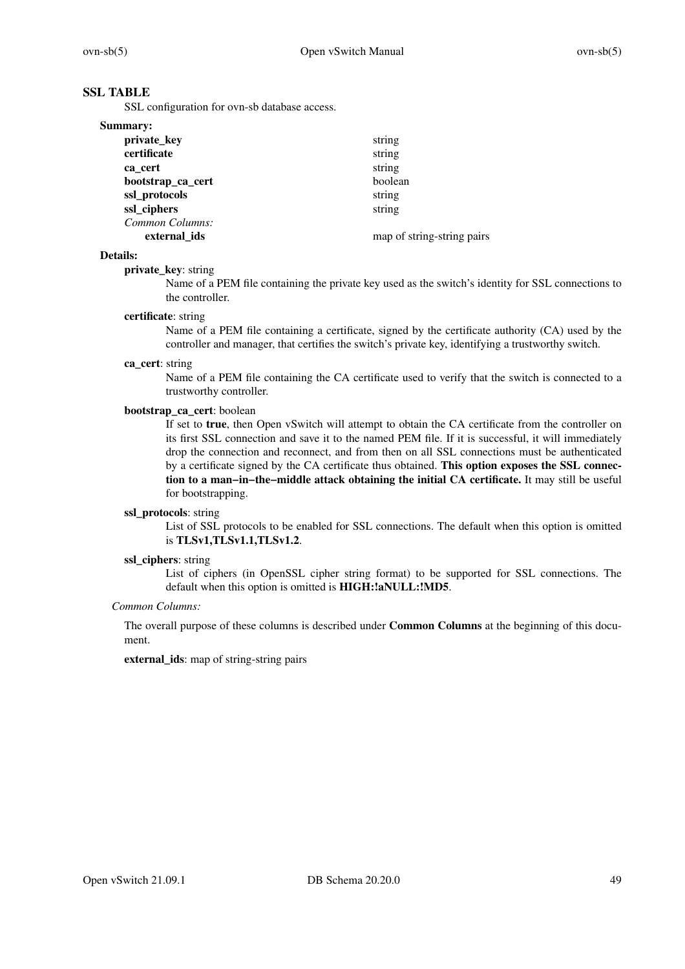# **SSL TABLE**

SSL configuration for ovn-sb database access.

| Summary:          |                            |
|-------------------|----------------------------|
| private_key       | string                     |
| certificate       | string                     |
| ca cert           | string                     |
| bootstrap_ca_cert | boolean                    |
| ssl_protocols     | string                     |
| ssl_ciphers       | string                     |
| Common Columns:   |                            |
| external ids      | map of string-string pairs |

#### **Details:**

### **private\_key**: string

Name of a PEM file containing the private key used as the switch's identity for SSL connections to the controller.

### **certificate**: string

Name of a PEM file containing a certificate, signed by the certificate authority (CA) used by the controller and manager, that certifies the switch's private key, identifying a trustworthy switch.

#### **ca\_cert**: string

Name of a PEM file containing the CA certificate used to verify that the switch is connected to a trustworthy controller.

### **bootstrap\_ca\_cert**: boolean

If set to **true**, then Open vSwitch will attempt to obtain the CA certificate from the controller on its first SSL connection and save it to the named PEM file. If it is successful, it will immediately drop the connection and reconnect, and from then on all SSL connections must be authenticated by a certificate signed by the CA certificate thus obtained. **This option exposes the SSL connection to a man−in−the−middle attack obtaining the initial CA certificate.** It may still be useful for bootstrapping.

## **ssl\_protocols**: string

List of SSL protocols to be enabled for SSL connections. The default when this option is omitted is **TLSv1,TLSv1.1,TLSv1.2**.

### **ssl\_ciphers**: string

List of ciphers (in OpenSSL cipher string format) to be supported for SSL connections. The default when this option is omitted is **HIGH:!aNULL:!MD5**.

### *Common Columns:*

The overall purpose of these columns is described under **Common Columns** at the beginning of this document.

**external\_ids**: map of string-string pairs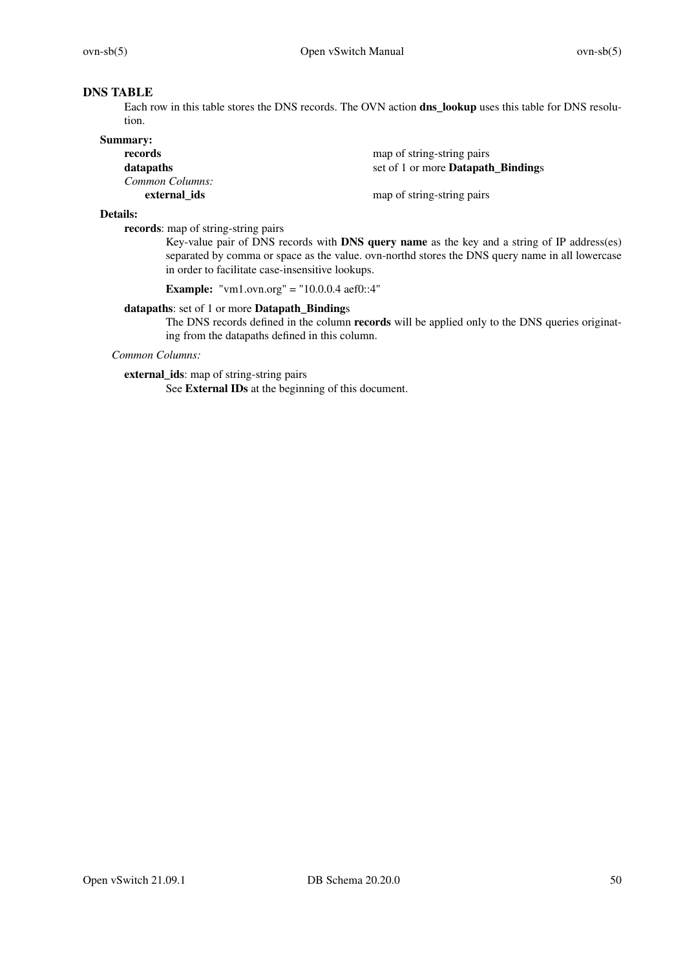# **DNS TABLE**

Each row in this table stores the DNS records. The OVN action **dns\_lookup** uses this table for DNS resolution.

| <b>Summary:</b> |                                           |
|-----------------|-------------------------------------------|
| records         | map of string-string pairs                |
| datapaths       | set of 1 or more <b>Datapath Bindings</b> |
| Common Columns: |                                           |
| external ids    | map of string-string pairs                |

### **Details:**

**records**: map of string-string pairs

Key-value pair of DNS records with **DNS query name** as the key and a string of IP address(es) separated by comma or space as the value. ovn-northd stores the DNS query name in all lowercase in order to facilitate case-insensitive lookups.

**Example:** "vm1.ovn.org" = "10.0.0.4 aef0::4"

### **datapaths**: set of 1 or more **Datapath\_Binding**s

The DNS records defined in the column **records** will be applied only to the DNS queries originating from the datapaths defined in this column.

*Common Columns:*

**external\_ids**: map of string-string pairs

See **External IDs** at the beginning of this document.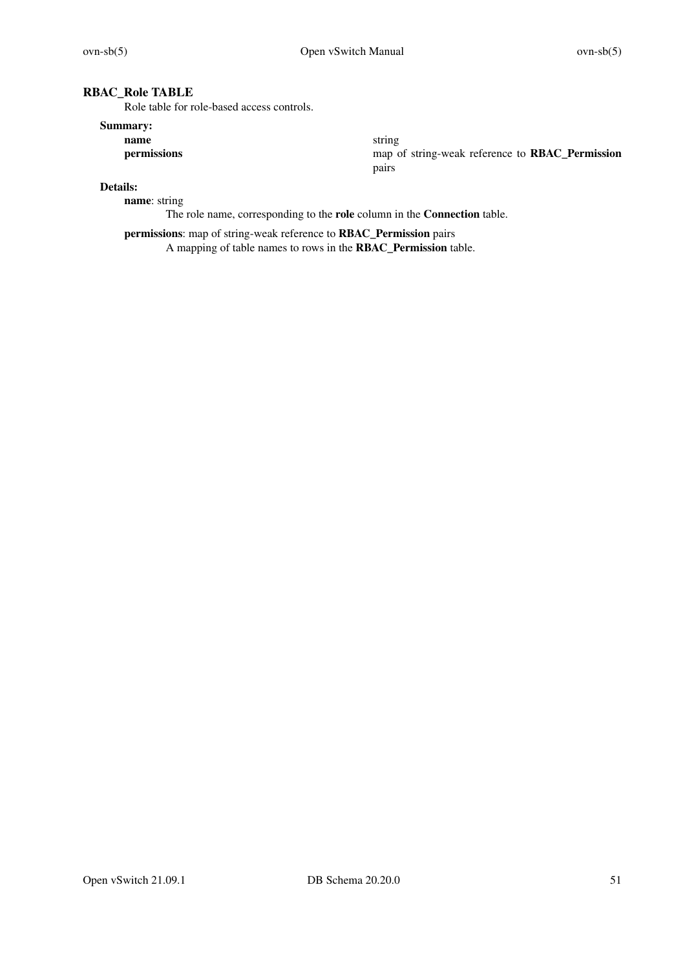# **RBAC\_Role TABLE**

Role table for role-based access controls.

# **Summary:**

**name** string

**permissions** map of string-weak reference to **RBAC\_Permission** pairs

# **Details:**

**name**: string

The role name, corresponding to the **role** column in the **Connection** table.

**permissions**: map of string-weak reference to **RBAC\_Permission** pairs A mapping of table names to rows in the **RBAC\_Permission** table.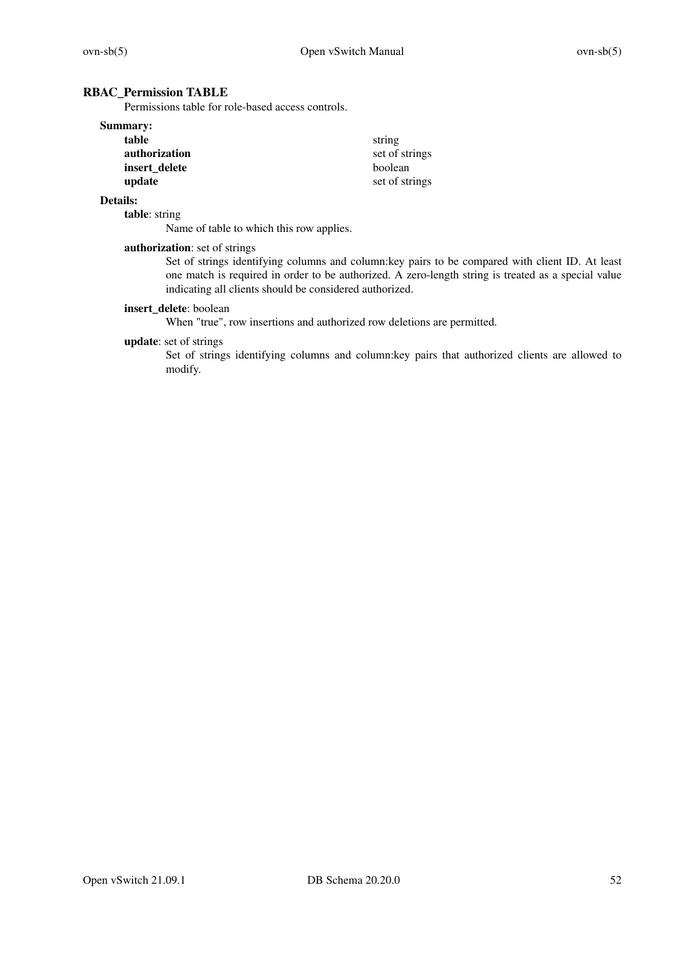# **RBAC\_Permission TABLE**

Permissions table for role-based access controls.

| <b>Summary:</b> |                |
|-----------------|----------------|
| table           | string         |
| authorization   | set of strings |
| insert delete   | boolean        |
| update          | set of strings |

# **Details:**

**table**: string

Name of table to which this row applies.

### **authorization**: set of strings

Set of strings identifying columns and column:key pairs to be compared with client ID. At least one match is required in order to be authorized. A zero-length string is treated as a special value indicating all clients should be considered authorized.

# **insert\_delete**: boolean

When "true", row insertions and authorized row deletions are permitted.

#### **update**: set of strings

Set of strings identifying columns and column:key pairs that authorized clients are allowed to modify.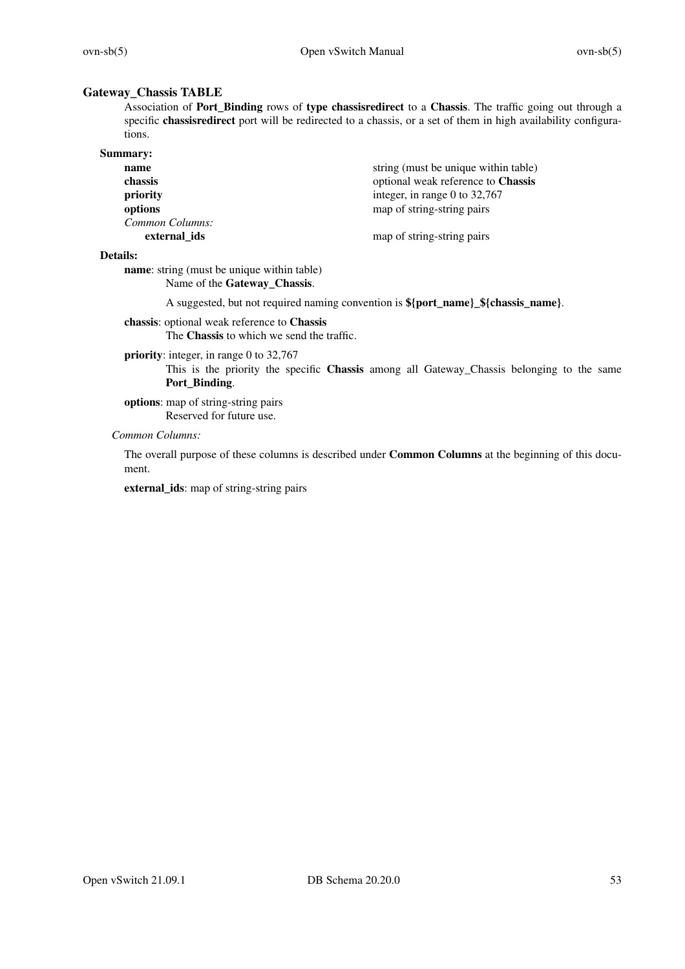### **Gateway\_Chassis TABLE**

Association of **Port\_Binding** rows of **type chassisredirect** to a **Chassis**. The traffic going out through a specific **chassisredirect** port will be redirected to a chassis, or a set of them in high availability configurations.

| <b>Summary:</b> |                                      |
|-----------------|--------------------------------------|
| name            | string (must be unique within table) |
| chassis         | optional weak reference to Chassis   |
| priority        | integer, in range 0 to $32,767$      |
| options         | map of string-string pairs           |
| Common Columns: |                                      |
| external ids    | map of string-string pairs           |

#### **Details:**

**name**: string (must be unique within table) Name of the **Gateway\_Chassis**.

A suggested, but not required naming convention is **\${port\_name}\_\${chassis\_name}**.

**chassis**: optional weak reference to **Chassis** The **Chassis** to which we send the traffic.

### **priority**: integer, in range 0 to 32,767

This is the priority the specific **Chassis** among all Gateway\_Chassis belonging to the same **Port\_Binding**.

**options**: map of string-string pairs Reserved for future use.

## *Common Columns:*

The overall purpose of these columns is described under **Common Columns** at the beginning of this document.

**external\_ids**: map of string-string pairs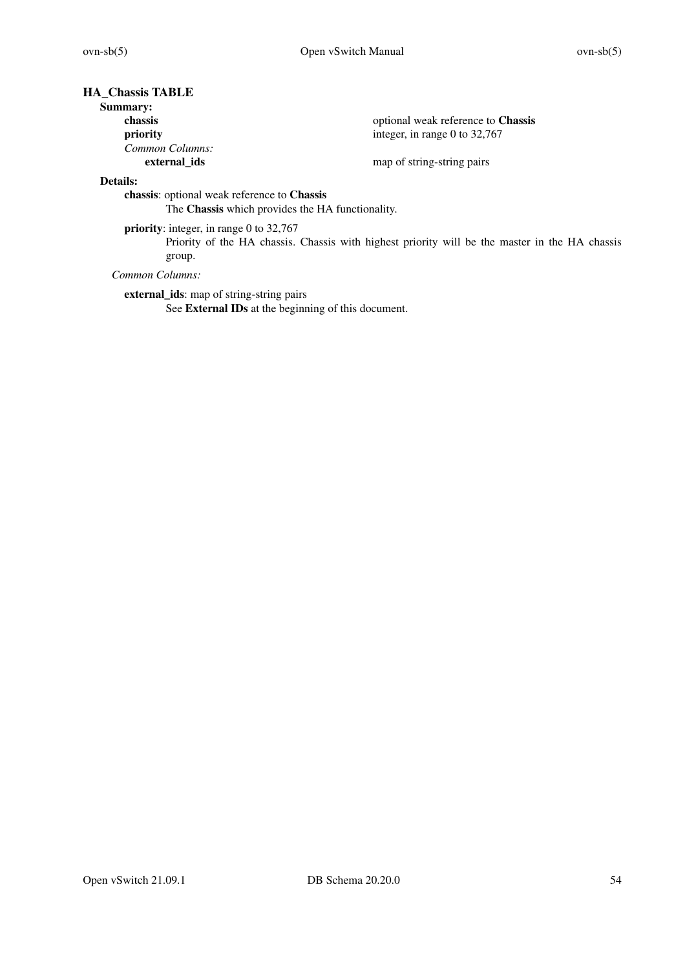# **HA\_Chassis TABLE**

# **Summary:**

| chassis         | optional weak reference to <b>Chassis</b> |
|-----------------|-------------------------------------------|
| priority        | integer, in range 0 to $32,767$           |
| Common Columns: |                                           |
| external ids    | map of string-string pairs                |

# **Details:**

**chassis**: optional weak reference to **Chassis**

The **Chassis** which provides the HA functionality.

**priority**: integer, in range 0 to 32,767

Priority of the HA chassis. Chassis with highest priority will be the master in the HA chassis group.

*Common Columns:*

**external\_ids**: map of string-string pairs

See **External IDs** at the beginning of this document.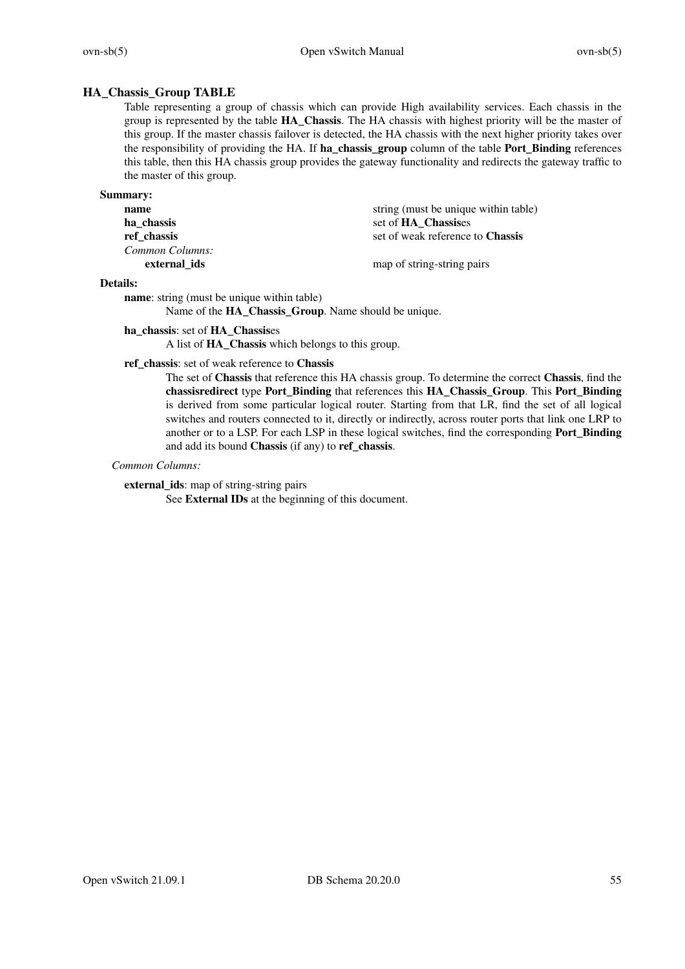# **HA\_Chassis\_Group TABLE**

Table representing a group of chassis which can provide High availability services. Each chassis in the group is represented by the table **HA\_Chassis**. The HA chassis with highest priority will be the master of this group. If the master chassis failover is detected, the HA chassis with the next higher priority takes over the responsibility of providing the HA. If **ha\_chassis\_group** column of the table **Port\_Binding** references this table, then this HA chassis group provides the gateway functionality and redirects the gateway traffic to the master of this group.

| <b>Summary:</b> |                                         |
|-----------------|-----------------------------------------|
| name            | string (must be unique within table)    |
| ha chassis      | set of HA Chassises                     |
| ref chassis     | set of weak reference to <b>Chassis</b> |
| Common Columns: |                                         |
| external ids    | map of string-string pairs              |

### **Details:**

**name**: string (must be unique within table)

Name of the **HA\_Chassis\_Group**. Name should be unique.

### **ha\_chassis**: set of **HA\_Chassis**es

A list of **HA\_Chassis** which belongs to this group.

#### **ref\_chassis**: set of weak reference to **Chassis**

The set of **Chassis** that reference this HA chassis group. To determine the correct **Chassis**, find the **chassisredirect** type **Port\_Binding** that references this **HA\_Chassis\_Group**. This **Port\_Binding** is derived from some particular logical router. Starting from that LR, find the set of all logical switches and routers connected to it, directly or indirectly, across router ports that link one LRP to another or to a LSP. For each LSP in these logical switches, find the corresponding **Port\_Binding** and add its bound **Chassis** (if any) to **ref\_chassis**.

#### *Common Columns:*

**external\_ids**: map of string-string pairs

See **External IDs** at the beginning of this document.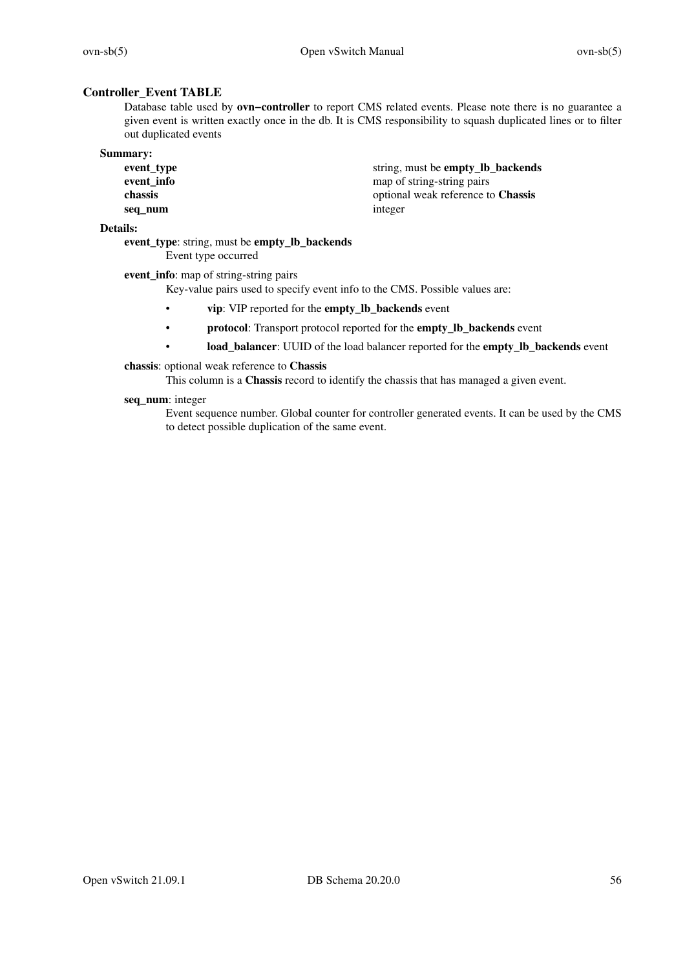# **Controller\_Event TABLE**

Database table used by **ovn−controller** to report CMS related events. Please note there is no guarantee a given event is written exactly once in the db. It is CMS responsibility to squash duplicated lines or to filter out duplicated events

| <b>Summary:</b> |                                           |
|-----------------|-------------------------------------------|
| event_type      | string, must be <b>empty_lb_backends</b>  |
| event_info      | map of string-string pairs                |
| chassis         | optional weak reference to <b>Chassis</b> |
| seq num         | integer                                   |

### **Details:**

**ev ent\_type**: string, must be **empty\_lb\_backends** Event type occurred

**event** info: map of string-string pairs

Key-value pairs used to specify event info to the CMS. Possible values are:

- **vip**: VIP reported for the **empty\_lb\_backends** event
- protocol: Transport protocol reported for the **empty\_lb\_backends** event
- **load\_balancer**: UUID of the load balancer reported for the **empty\_lb\_backends** event

### **chassis**: optional weak reference to **Chassis**

This column is a **Chassis** record to identify the chassis that has managed a given event.

### **seq\_num**: integer

Event sequence number. Global counter for controller generated events. It can be used by the CMS to detect possible duplication of the same event.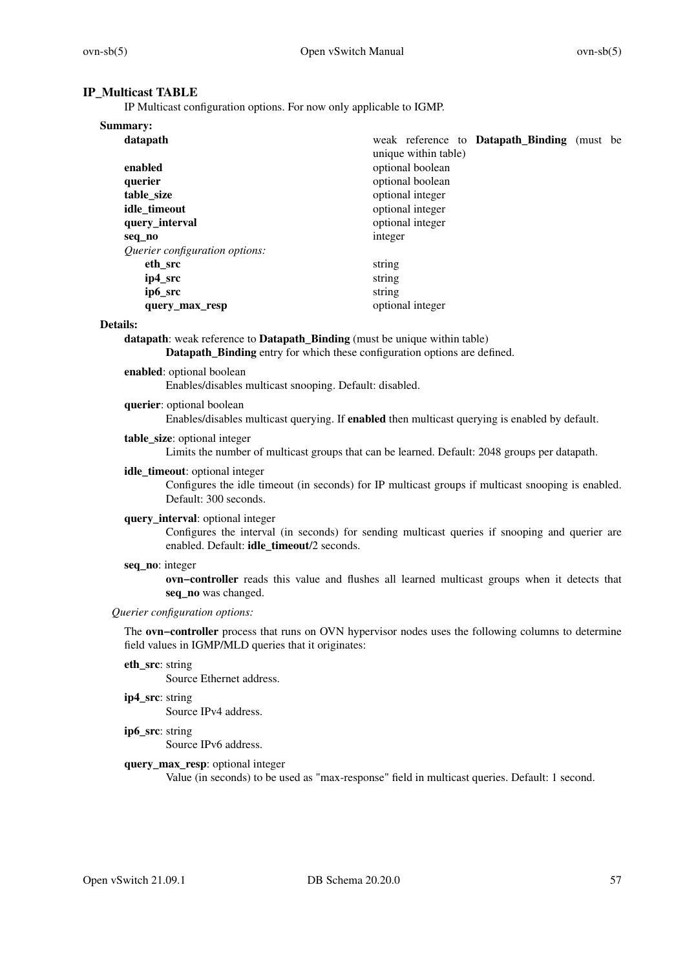# **IP\_Multicast TABLE**

IP Multicast configuration options. For now only applicable to IGMP.

| Summary:                       |                                                                            |
|--------------------------------|----------------------------------------------------------------------------|
| datapath                       | weak reference to <b>Datapath</b> Binding (must be<br>unique within table) |
| enabled                        | optional boolean                                                           |
| querier                        | optional boolean                                                           |
| table size                     | optional integer                                                           |
| idle timeout                   | optional integer                                                           |
| query_interval                 | optional integer                                                           |
| seq_no                         | integer                                                                    |
| Querier configuration options: |                                                                            |
| eth src                        | string                                                                     |
| ip4_src                        | string                                                                     |
| ip6_src                        | string                                                                     |
| query_max_resp                 | optional integer                                                           |

### **Details:**

**datapath**: weak reference to **Datapath Binding** (must be unique within table) **Datapath\_Binding** entry for which these configuration options are defined.

## **enabled**: optional boolean

Enables/disables multicast snooping. Default: disabled.

**querier**: optional boolean

Enables/disables multicast querying. If **enabled** then multicast querying is enabled by default.

### **table\_size**: optional integer

Limits the number of multicast groups that can be learned. Default: 2048 groups per datapath.

### **idle\_timeout**: optional integer

Configures the idle timeout (in seconds) for IP multicast groups if multicast snooping is enabled. Default: 300 seconds.

### **query\_interval**: optional integer

Configures the interval (in seconds) for sending multicast queries if snooping and querier are enabled. Default: **idle\_timeout**/2 seconds.

#### **seq\_no**: integer

**ovn−controller** reads this value and flushes all learned multicast groups when it detects that **seq\_no** was changed.

### *Querier configuration options:*

The **ovn−controller** process that runs on OVN hypervisor nodes uses the following columns to determine field values in IGMP/MLD queries that it originates:

## **eth\_src**: string

Source Ethernet address.

**ip4\_src**: string

Source IPv4 address.

**ip6\_src**: string

Source IPv6 address.

# **query\_max\_resp**: optional integer

Value (in seconds) to be used as "max-response" field in multicast queries. Default: 1 second.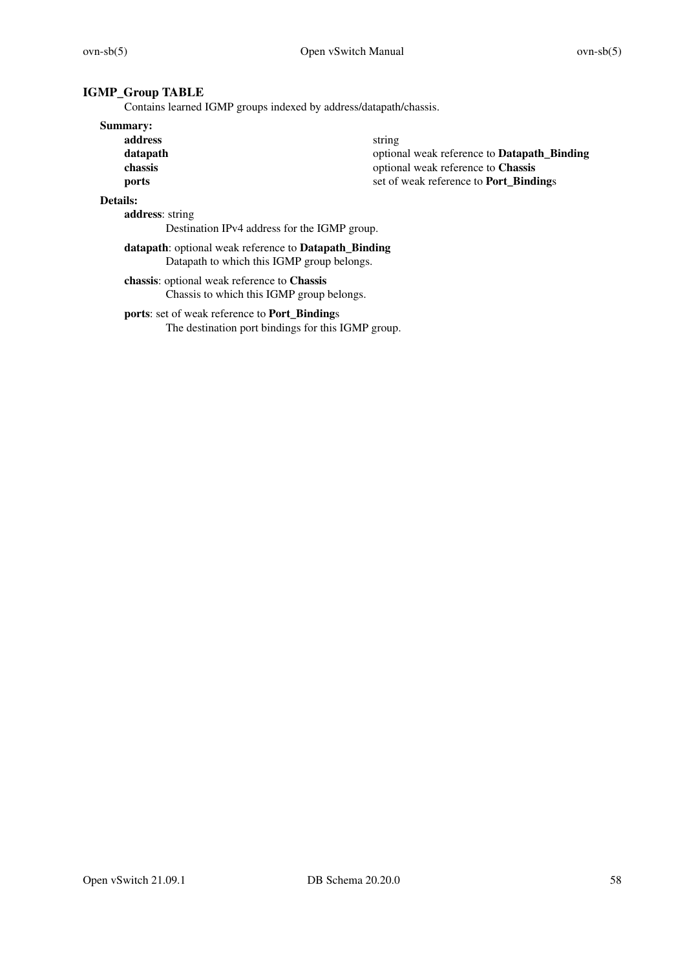# **IGMP\_Group TABLE**

Contains learned IGMP groups indexed by address/datapath/chassis.

### **Summary:**

**address** string

**datapath** optional weak reference to **Datapath\_Binding chassis** optional weak reference to **Chassis ports** set of weak reference to **Port\_Bindings** 

# **Details:**

**address**: string

Destination IPv4 address for the IGMP group.

# **datapath**: optional weak reference to **Datapath\_Binding** Datapath to which this IGMP group belongs.

**chassis**: optional weak reference to **Chassis** Chassis to which this IGMP group belongs.

### **ports**: set of weak reference to **Port\_Binding**s

The destination port bindings for this IGMP group.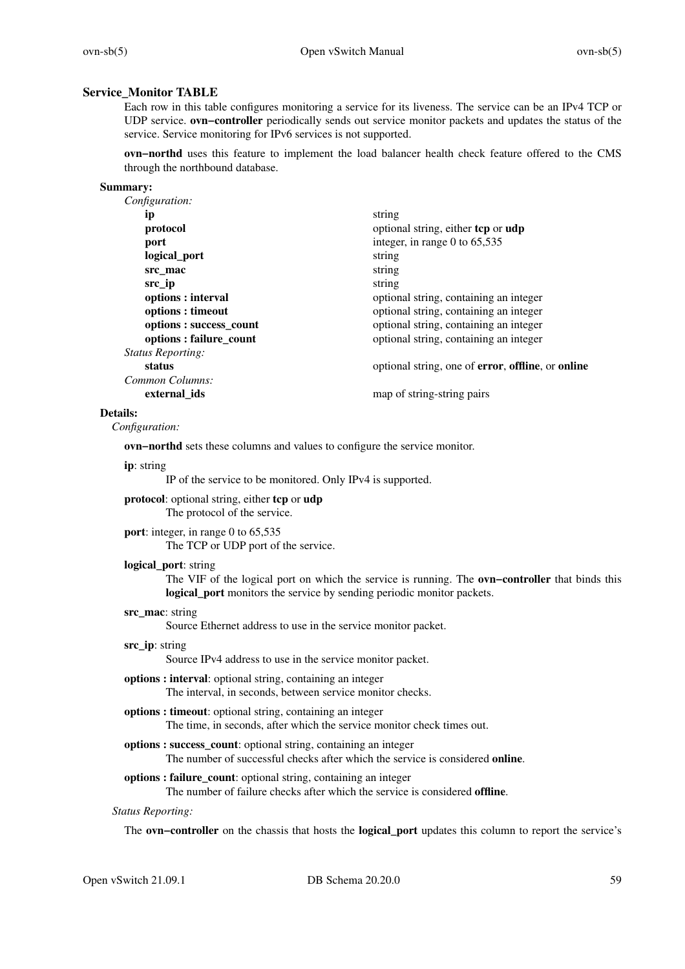### **Service\_Monitor TABLE**

Each row in this table configures monitoring a service for its liveness. The service can be an IPv4 TCP or UDP service. **ovn−controller** periodically sends out service monitor packets and updates the status of the service. Service monitoring for IPv6 services is not supported.

**ovn−northd** uses this feature to implement the load balancer health check feature offered to the CMS through the northbound database.

#### **Summary:**

| Configuration:           |                                                                          |
|--------------------------|--------------------------------------------------------------------------|
| ip                       | string                                                                   |
| protocol                 | optional string, either tcp or udp                                       |
| port                     | integer, in range 0 to $65,535$                                          |
| logical_port             | string                                                                   |
| src mac                  | string                                                                   |
| src ip                   | string                                                                   |
| options : interval       | optional string, containing an integer                                   |
| options : timeout        | optional string, containing an integer                                   |
| options : success_count  | optional string, containing an integer                                   |
| options: failure_count   | optional string, containing an integer                                   |
| <b>Status Reporting:</b> |                                                                          |
| status                   | optional string, one of <b>error</b> , <b>offline</b> , or <b>online</b> |
| Common Columns:          |                                                                          |
| external ids             | map of string-string pairs                                               |
|                          |                                                                          |

#### **Details:**

*Configuration:*

**ovn−northd** sets these columns and values to configure the service monitor.

#### **ip**: string

IP of the service to be monitored. Only IPv4 is supported.

**protocol**: optional string, either **tcp** or **udp**

The protocol of the service.

# **port**: integer, in range 0 to 65,535

The TCP or UDP port of the service.

### **logical\_port**: string

The VIF of the logical port on which the service is running. The **ovn−controller** that binds this **logical** port monitors the service by sending periodic monitor packets.

### **src\_mac**: string

Source Ethernet address to use in the service monitor packet.

### **src\_ip**: string

Source IPv4 address to use in the service monitor packet.

- **options : interval**: optional string, containing an integer The interval, in seconds, between service monitor checks.
- **options : timeout**: optional string, containing an integer The time, in seconds, after which the service monitor check times out.
- **options : success\_count**: optional string, containing an integer The number of successful checks after which the service is considered **online**.
- **options : failure count**: optional string, containing an integer The number of failure checks after which the service is considered **offline**.

### *Status Reporting:*

The **ovn−controller** on the chassis that hosts the **logical\_port** updates this column to report the service's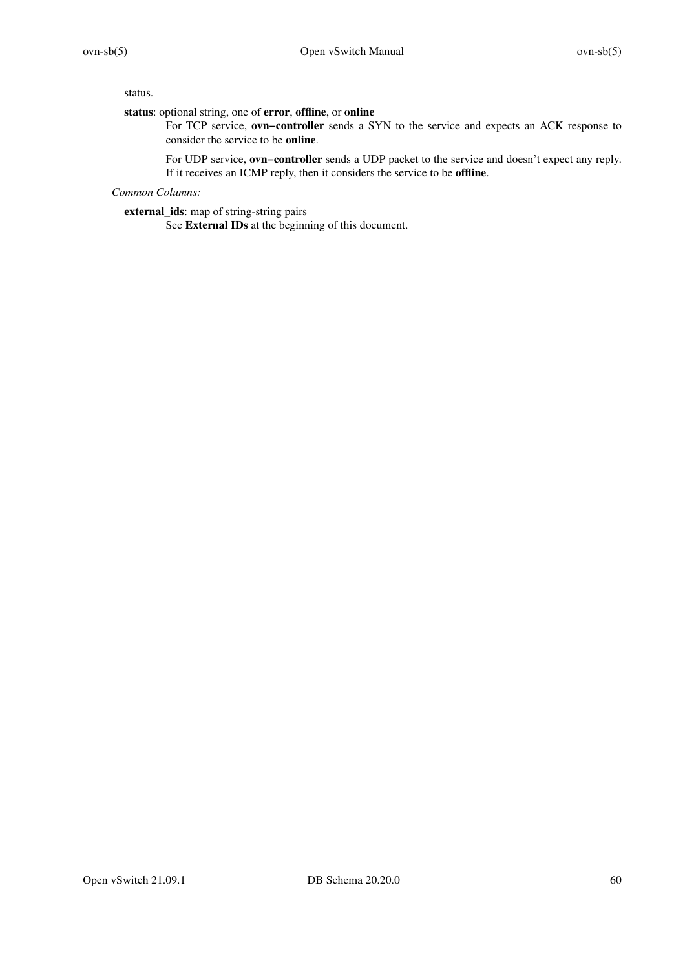status.

**status**: optional string, one of **error**, **offline**, or **online**

For TCP service, **ovn−controller** sends a SYN to the service and expects an ACK response to consider the service to be **online**.

For UDP service, **ovn−controller** sends a UDP packet to the service and doesn't expect any reply. If it receives an ICMP reply, then it considers the service to be **offline**.

*Common Columns:*

**external\_ids**: map of string-string pairs

See **External IDs** at the beginning of this document.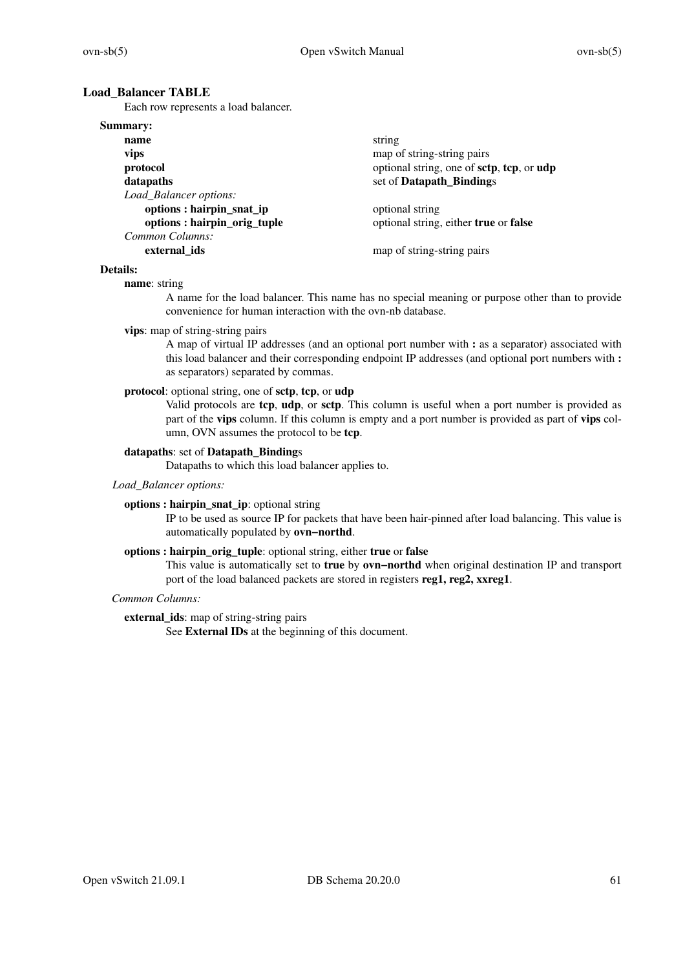### **Load\_Balancer TABLE**

Each row represents a load balancer.

### **Summary:**

| name                        | string                                    |
|-----------------------------|-------------------------------------------|
| vips                        | map of string-string pairs                |
| protocol                    | optional string, one of sctp, tcp, or udp |
| datapaths                   | set of Datapath_Bindings                  |
| Load_Balancer options:      |                                           |
| options : hairpin_snat_ip   | optional string                           |
| options: hairpin_orig_tuple | optional string, either true or false     |
| Common Columns:             |                                           |
| external ids                | map of string-string pairs                |

# **Details:**

#### **name**: string

A name for the load balancer. This name has no special meaning or purpose other than to provide convenience for human interaction with the ovn-nb database.

### **vips**: map of string-string pairs

A map of virtual IP addresses (and an optional port number with **:** as a separator) associated with this load balancer and their corresponding endpoint IP addresses (and optional port numbers with **:** as separators) separated by commas.

### **protocol**: optional string, one of **sctp**, **tcp**, or **udp**

Valid protocols are **tcp**, **udp**, or **sctp**. This column is useful when a port number is provided as part of the **vips** column. If this column is empty and a port number is provided as part of **vips** column, OVN assumes the protocol to be **tcp**.

#### **datapaths**: set of **Datapath\_Binding**s

Datapaths to which this load balancer applies to.

# *Load\_Balancer options:*

#### **options : hairpin\_snat\_ip**: optional string

IP to be used as source IP for packets that have been hair-pinned after load balancing. This value is automatically populated by **ovn−northd**.

### **options : hairpin\_orig\_tuple**: optional string, either **true** or **false**

This value is automatically set to **true** by **ovn−northd** when original destination IP and transport port of the load balanced packets are stored in registers **reg1, reg2, xxreg1**.

### *Common Columns:*

### **external\_ids**: map of string-string pairs

See **External IDs** at the beginning of this document.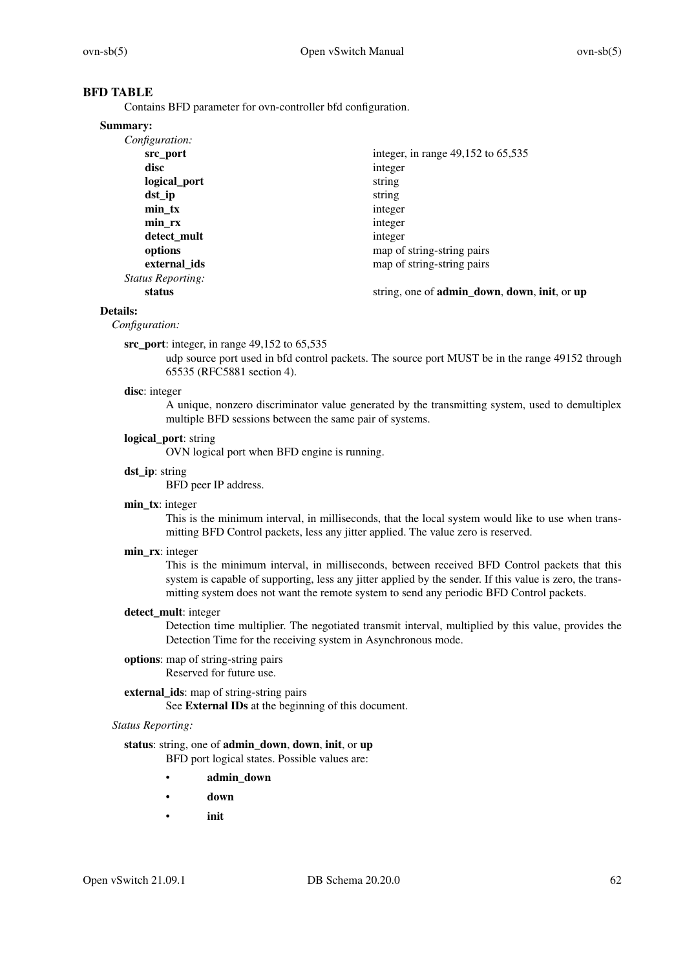# **BFD TABLE**

Contains BFD parameter for ovn-controller bfd configuration.

#### **Summary:**

| Configuration:           |                                                                             |
|--------------------------|-----------------------------------------------------------------------------|
| src port                 | integer, in range 49,152 to 65,535                                          |
| disc                     | integer                                                                     |
| logical_port             | string                                                                      |
| dst ip                   | string                                                                      |
| $min_{x}$                | integer                                                                     |
| min rx                   | integer                                                                     |
| detect_mult              | integer                                                                     |
| options                  | map of string-string pairs                                                  |
| external ids             | map of string-string pairs                                                  |
| <i>Status Reporting:</i> |                                                                             |
| status                   | string, one of <b>admin_down</b> , <b>down</b> , <b>init</b> , or <b>up</b> |

### **Details:**

*Configuration:*

#### **src\_port**: integer, in range 49,152 to 65,535

udp source port used in bfd control packets. The source port MUST be in the range 49152 through 65535 (RFC5881 section 4).

#### **disc**: integer

A unique, nonzero discriminator value generated by the transmitting system, used to demultiplex multiple BFD sessions between the same pair of systems.

#### **logical\_port**: string

OVN logical port when BFD engine is running.

### **dst\_ip**: string

BFD peer IP address.

### **min\_tx**: integer

This is the minimum interval, in milliseconds, that the local system would like to use when transmitting BFD Control packets, less any jitter applied. The value zero is reserved.

### **min\_rx**: integer

This is the minimum interval, in milliseconds, between received BFD Control packets that this system is capable of supporting, less any jitter applied by the sender. If this value is zero, the transmitting system does not want the remote system to send any periodic BFD Control packets.

### **detect\_mult**: integer

Detection time multiplier. The negotiated transmit interval, multiplied by this value, provides the Detection Time for the receiving system in Asynchronous mode.

#### **options**: map of string-string pairs Reserved for future use.

# **external\_ids**: map of string-string pairs

See **External IDs** at the beginning of this document.

### *Status Reporting:*

### **status**: string, one of **admin\_down**, **down**, **init**, or **up**

BFD port logical states. Possible values are:

- **admin\_down**
- **down**
- **init**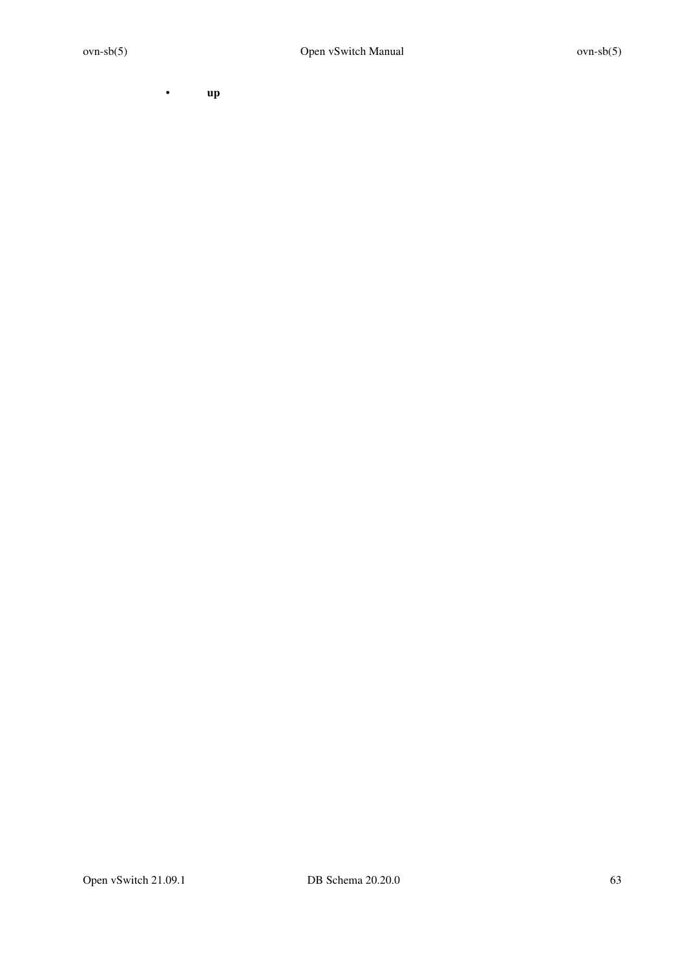• **up**